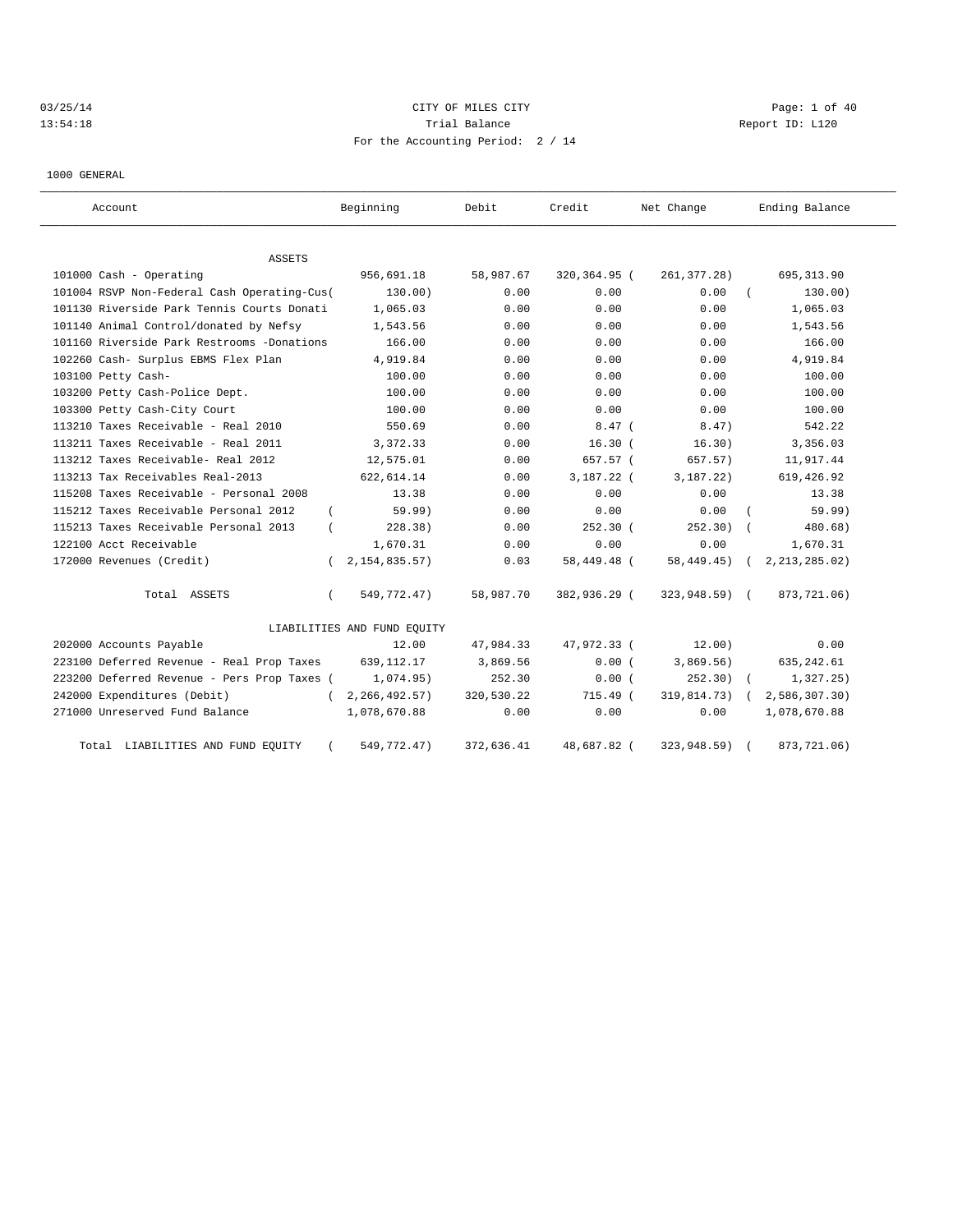# 03/25/14 Page: 1 of 40 13:54:18 Change Report ID: L120 For the Accounting Period: 2 / 14

1000 GENERAL

| Account                                     | Beginning                   | Debit               | Credit       | Net Change    | Ending Balance  |
|---------------------------------------------|-----------------------------|---------------------|--------------|---------------|-----------------|
| ASSETS                                      |                             |                     |              |               |                 |
| 101000 Cash - Operating                     | 956,691.18                  | 58,987.67           | 320,364.95 ( | 261, 377.28)  | 695, 313.90     |
| 101004 RSVP Non-Federal Cash Operating-Cus( |                             | 130.00)<br>0.00     | 0.00         | 0.00          | 130.00)         |
| 101130 Riverside Park Tennis Courts Donati  |                             | 1,065.03<br>0.00    | 0.00         | 0.00          | 1,065.03        |
| 101140 Animal Control/donated by Nefsy      |                             | 1,543.56<br>0.00    | 0.00         | 0.00          | 1,543.56        |
| 101160 Riverside Park Restrooms -Donations  |                             | 166.00<br>0.00      | 0.00         | 0.00          | 166.00          |
| 102260 Cash- Surplus EBMS Flex Plan         |                             | 4,919.84<br>0.00    | 0.00         | 0.00          | 4,919.84        |
| 103100 Petty Cash-                          |                             | 100.00<br>0.00      | 0.00         | 0.00          | 100.00          |
| 103200 Petty Cash-Police Dept.              |                             | 100.00<br>0.00      | 0.00         | 0.00          | 100.00          |
| 103300 Petty Cash-City Court                |                             | 100.00<br>0.00      | 0.00         | 0.00          | 100.00          |
| 113210 Taxes Receivable - Real 2010         |                             | 550.69<br>0.00      | $8.47$ (     | 8.47)         | 542.22          |
| 113211 Taxes Receivable - Real 2011         |                             | 3,372.33<br>0.00    | 16.30(       | 16.30)        | 3,356.03        |
| 113212 Taxes Receivable- Real 2012          | 12,575.01                   | 0.00                | 657.57 (     | 657.57)       | 11,917.44       |
| 113213 Tax Receivables Real-2013            | 622, 614.14                 | 0.00                | 3,187.22 (   | 3, 187, 22)   | 619, 426.92     |
| 115208 Taxes Receivable - Personal 2008     |                             | 13.38<br>0.00       | 0.00         | 0.00          | 13.38           |
| 115212 Taxes Receivable Personal 2012       | $\left($                    | 59.99)<br>0.00      | 0.00         | 0.00          | 59.99)          |
| 115213 Taxes Receivable Personal 2013       |                             | 228.38)<br>0.00     | $252.30$ (   | 252.30)       | 480.68)         |
| 122100 Acct Receivable                      |                             | 1,670.31<br>0.00    | 0.00         | 0.00          | 1,670.31        |
| 172000 Revenues (Credit)                    | 2, 154, 835.57<br>$\left($  | 0.03                | 58,449.48 (  | 58, 449. 45)  | 2, 213, 285.02) |
| Total ASSETS                                | 549,772.47)<br>$\left($     | 58,987.70           | 382,936.29 ( | 323,948.59) ( | 873,721.06)     |
|                                             | LIABILITIES AND FUND EQUITY |                     |              |               |                 |
| 202000 Accounts Payable                     |                             | 12.00<br>47,984.33  | 47,972.33 (  | 12.00)        | 0.00            |
| 223100 Deferred Revenue - Real Prop Taxes   | 639, 112. 17                | 3,869.56            | 0.00(        | 3,869.56)     | 635, 242.61     |
| 223200 Deferred Revenue - Pers Prop Taxes ( |                             | 252.30<br>1,074.95) | 0.00(        | 252.30)       | 1,327.25)       |
| 242000 Expenditures (Debit)                 | 2, 266, 492.57)             | 320,530.22          | 715.49 (     | 319,814.73)   | 2,586,307.30)   |
| 271000 Unreserved Fund Balance              | 1,078,670.88                | 0.00                | 0.00         | 0.00          | 1,078,670.88    |
| Total LIABILITIES AND FUND EQUITY           | 549,772.47)                 | 372,636.41          | 48,687.82 (  | 323,948.59)   | 873,721.06)     |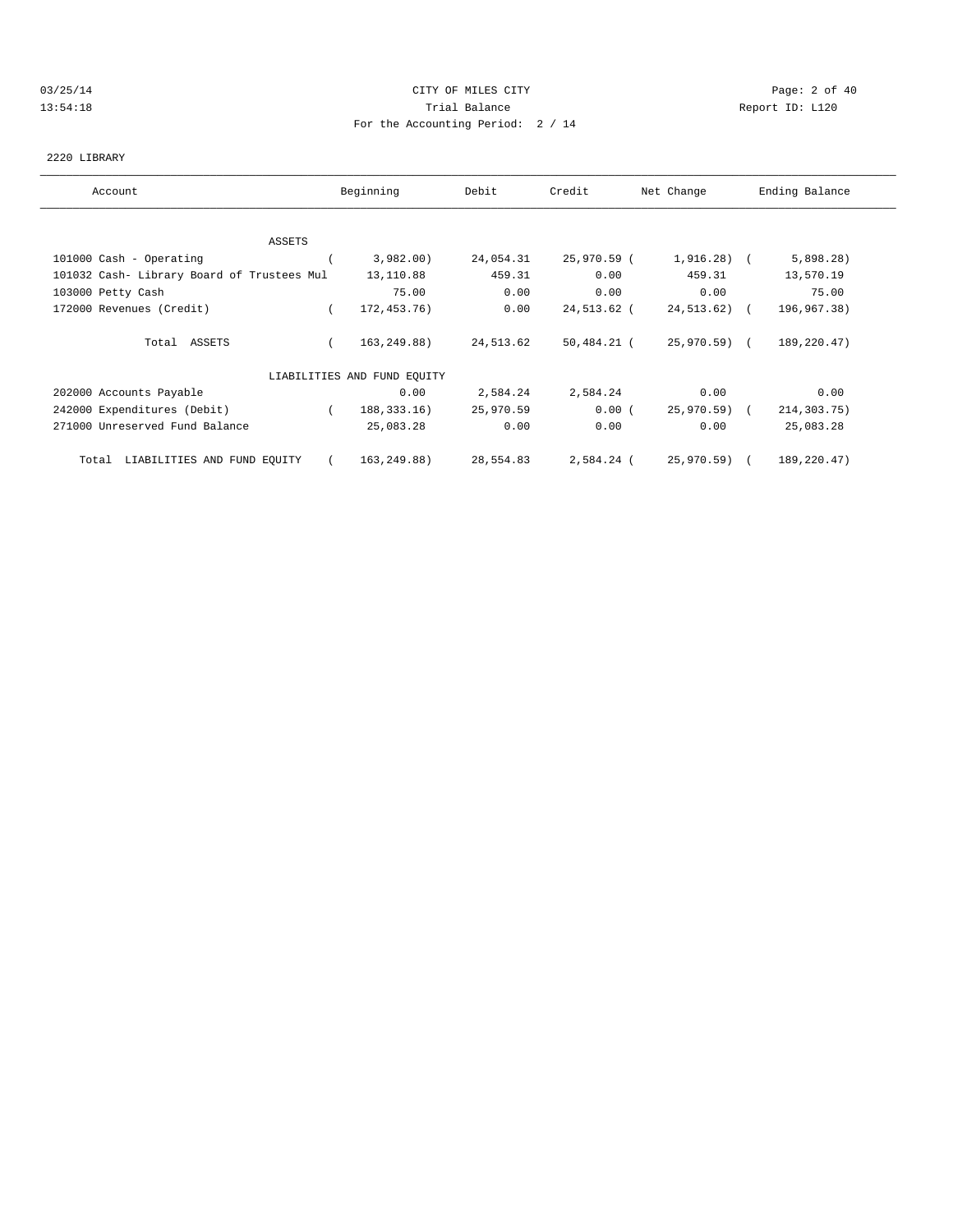## 03/25/14 Page: 2 of 40 13:54:18 Trial Balance Report ID: L120 For the Accounting Period: 2 / 14

#### 2220 LIBRARY

| Account                                    | Beginning                   | Debit     | Credit      | Net Change   | Ending Balance |
|--------------------------------------------|-----------------------------|-----------|-------------|--------------|----------------|
|                                            |                             |           |             |              |                |
| ASSETS                                     |                             |           |             |              |                |
| 101000 Cash - Operating                    | 3,982.00                    | 24,054.31 | 25,970.59 ( | $1,916.28$ ( | 5,898.28)      |
| 101032 Cash- Library Board of Trustees Mul | 13,110.88                   | 459.31    | 0.00        | 459.31       | 13,570.19      |
| 103000 Petty Cash                          | 75.00                       | 0.00      | 0.00        | 0.00         | 75.00          |
| 172000 Revenues (Credit)                   | 172,453.76)                 | 0.00      | 24,513.62 ( | 24,513.62) ( | 196,967.38)    |
| Total ASSETS                               | 163,249.88)                 | 24,513.62 | 50,484.21 ( | 25,970.59) ( | 189,220.47)    |
|                                            | LIABILITIES AND FUND EQUITY |           |             |              |                |
| 202000 Accounts Payable                    | 0.00                        | 2,584.24  | 2,584.24    | 0.00         | 0.00           |
| 242000 Expenditures (Debit)                | 188, 333. 16)               | 25,970.59 | 0.00(       | 25,970.59) ( | 214,303.75)    |
| 271000 Unreserved Fund Balance             | 25,083.28                   | 0.00      | 0.00        | 0.00         | 25,083.28      |
| Total LIABILITIES AND FUND EQUITY          | 163,249.88)                 | 28,554.83 | 2,584.24 (  | 25,970.59) ( | 189,220.47)    |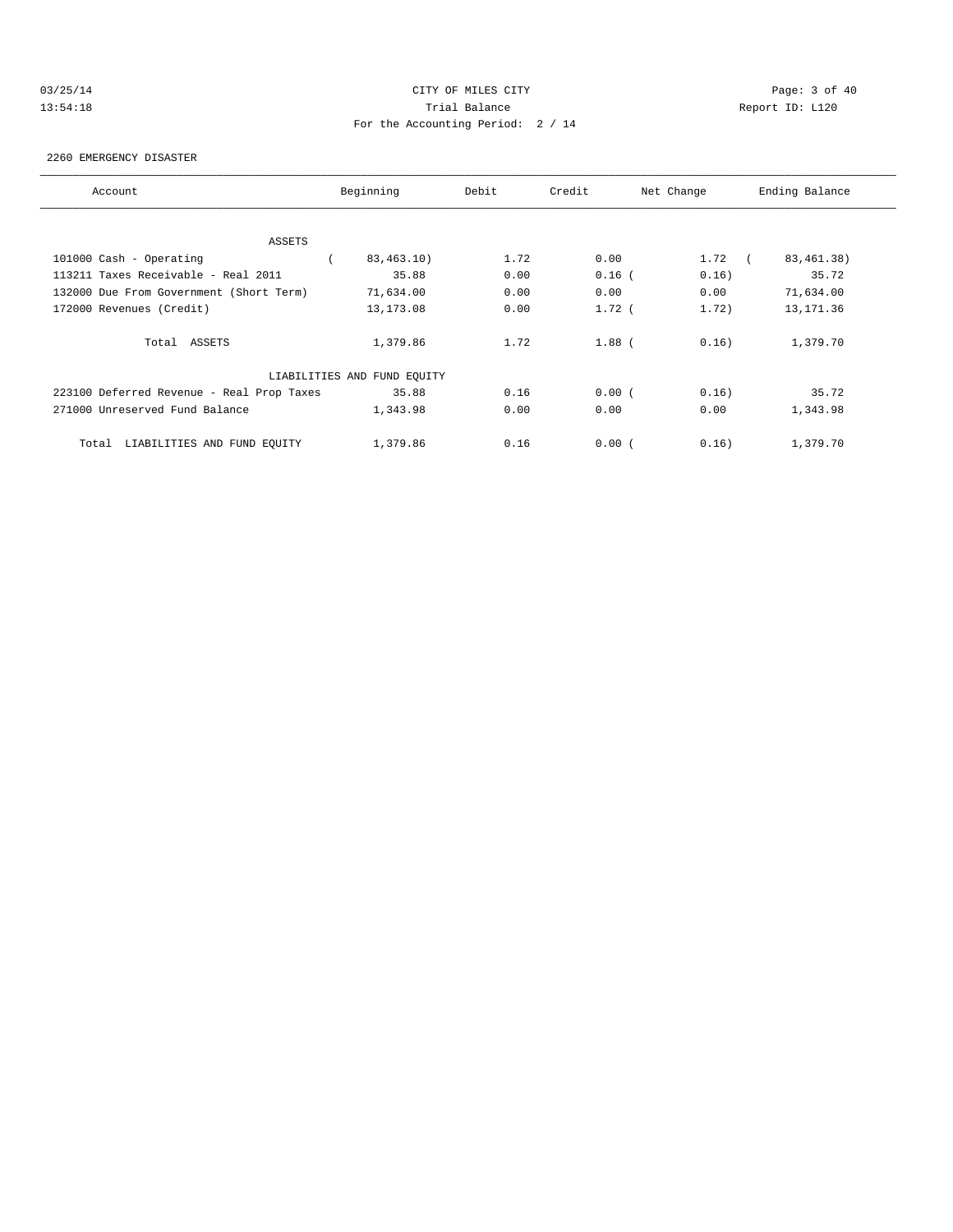# 03/25/14 Page: 3 of 40 13:54:18 Trial Balance Report ID: L120 For the Accounting Period: 2 / 14

#### 2260 EMERGENCY DISASTER

| Account                                   | Beginning                   | Debit | Credit   | Net Change         | Ending Balance |
|-------------------------------------------|-----------------------------|-------|----------|--------------------|----------------|
|                                           |                             |       |          |                    |                |
| ASSETS                                    |                             |       |          |                    |                |
| 101000 Cash - Operating                   | 83,463.10)                  | 1.72  | 0.00     | 1.72<br>$\sqrt{2}$ | 83, 461. 38)   |
| 113211 Taxes Receivable - Real 2011       | 35.88                       | 0.00  | $0.16$ ( | 0.16)              | 35.72          |
| 132000 Due From Government (Short Term)   | 71,634.00                   | 0.00  | 0.00     | 0.00               | 71,634.00      |
| 172000 Revenues (Credit)                  | 13, 173.08                  | 0.00  | $1.72$ ( | 1.72)              | 13,171.36      |
| Total ASSETS                              | 1,379.86                    | 1.72  | $1.88$ ( | 0.16)              | 1,379.70       |
|                                           | LIABILITIES AND FUND EQUITY |       |          |                    |                |
| 223100 Deferred Revenue - Real Prop Taxes | 35.88                       | 0.16  | 0.00(    | 0.16)              | 35.72          |
| 271000 Unreserved Fund Balance            | 1,343.98                    | 0.00  | 0.00     | 0.00               | 1,343.98       |
| LIABILITIES AND FUND EQUITY<br>Total      | 1,379.86                    | 0.16  | 0.00(    | 0.16)              | 1,379.70       |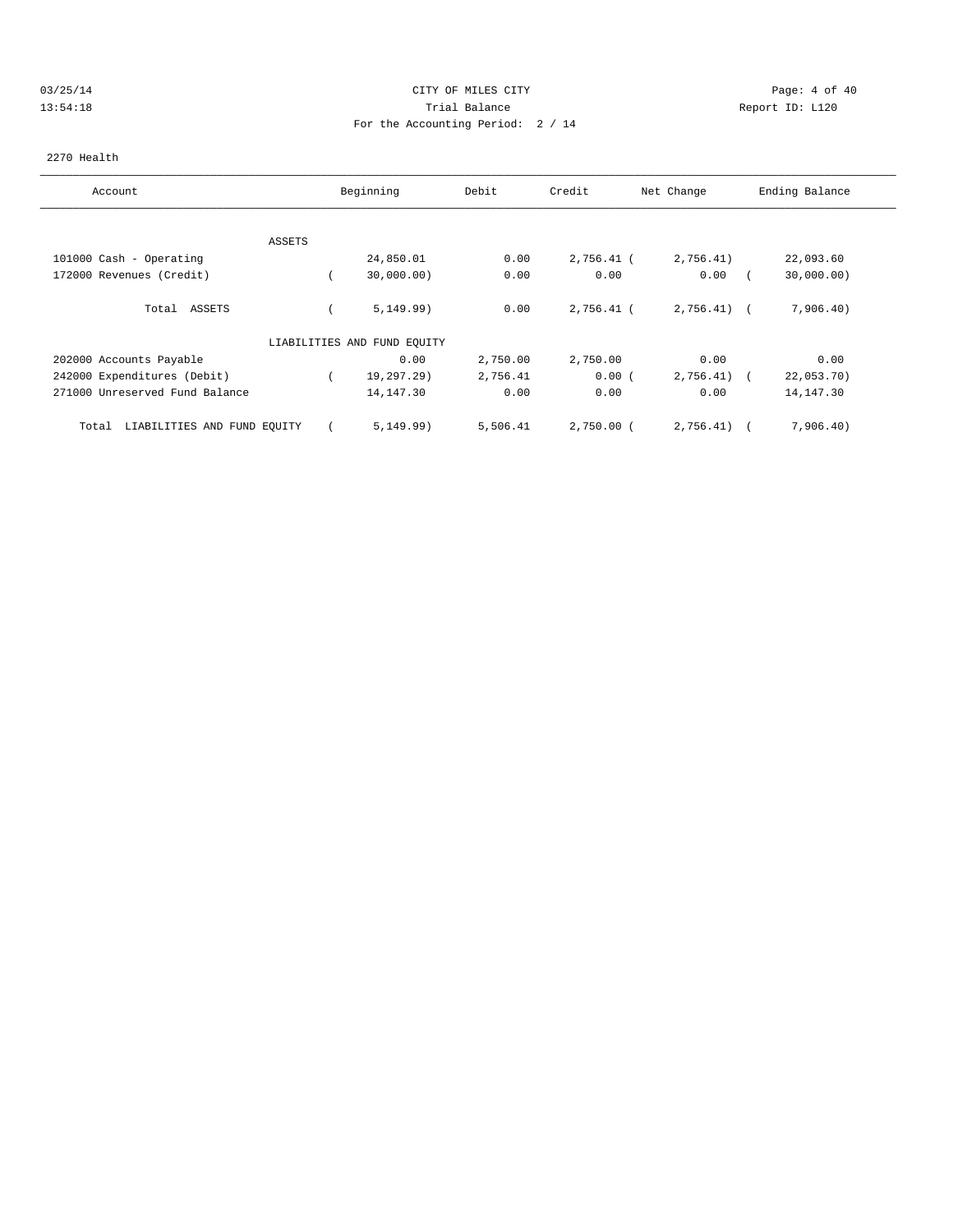## 03/25/14 Page: 4 of 40 13:54:18 Trial Balance Report ID: L120 For the Accounting Period: 2 / 14

#### 2270 Health

| Account                              |        | Beginning                   | Debit    | Credit       | Net Change   | Ending Balance |
|--------------------------------------|--------|-----------------------------|----------|--------------|--------------|----------------|
|                                      |        |                             |          |              |              |                |
|                                      | ASSETS |                             |          |              |              |                |
| 101000 Cash - Operating              |        | 24,850.01                   | 0.00     | 2,756.41 (   | 2,756.41)    | 22,093.60      |
| 172000 Revenues (Credit)             |        | 30,000.00)                  | 0.00     | 0.00         | 0.00         | 30,000.00)     |
| ASSETS<br>Total                      |        | 5, 149.99)                  | 0.00     | 2,756.41 (   | $2,756.41$ ( | 7,906.40)      |
|                                      |        | LIABILITIES AND FUND EQUITY |          |              |              |                |
| 202000 Accounts Payable              |        | 0.00                        | 2,750.00 | 2,750.00     | 0.00         | 0.00           |
| 242000 Expenditures (Debit)          |        | 19,297.29)                  | 2,756.41 | 0.00(        | 2,756.41)    | 22,053.70)     |
| 271000 Unreserved Fund Balance       |        | 14,147.30                   | 0.00     | 0.00         | 0.00         | 14, 147.30     |
| LIABILITIES AND FUND EQUITY<br>Total |        | 5, 149.99)                  | 5,506.41 | $2,750.00$ ( | 2,756.41)    | 7,906.40)      |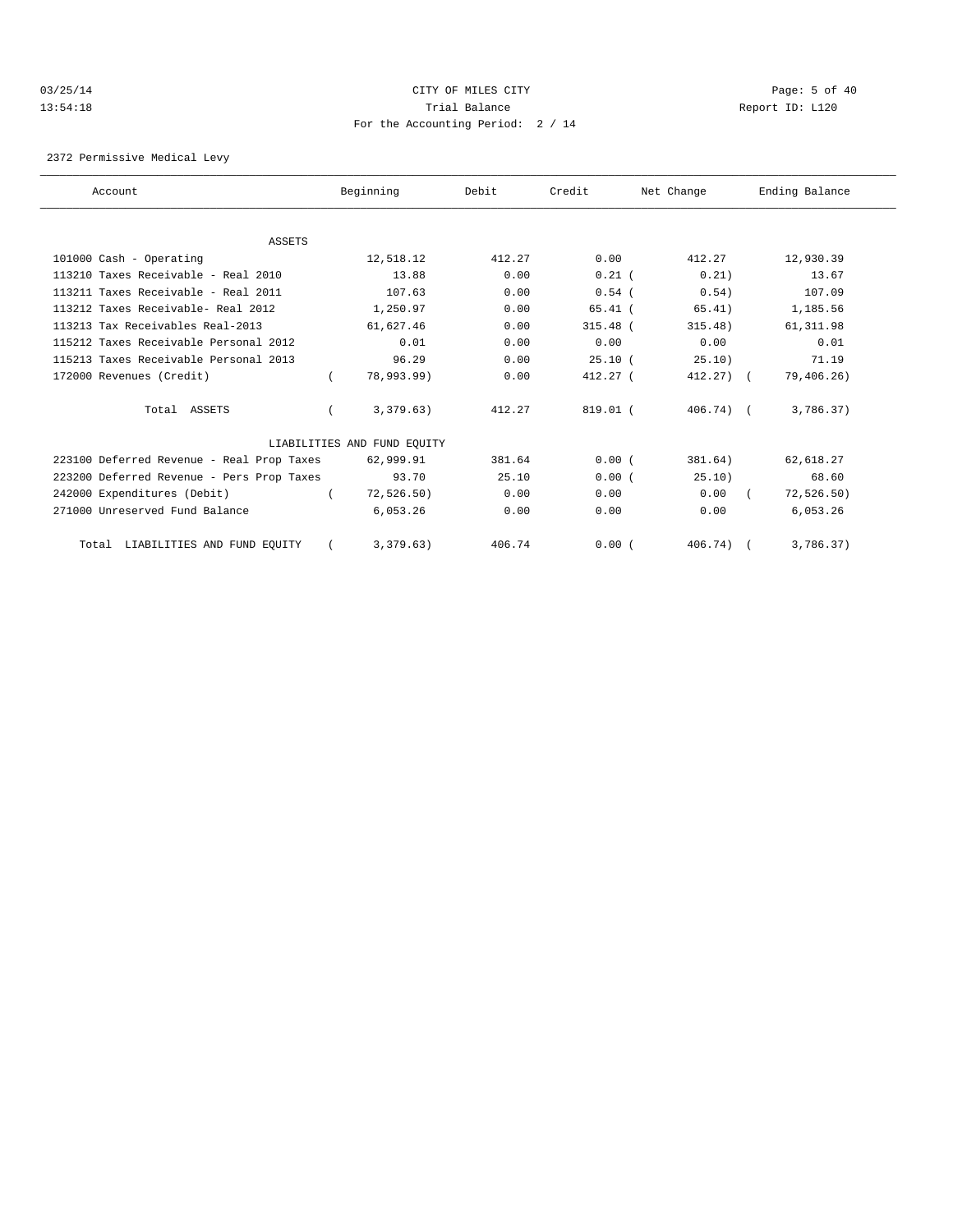## 03/25/14 Page: 5 of 40 13:54:18 Trial Balance Report ID: L120 For the Accounting Period: 2 / 14

2372 Permissive Medical Levy

| Account                                   | Beginning                   | Debit  | Credit     | Net Change   | Ending Balance |
|-------------------------------------------|-----------------------------|--------|------------|--------------|----------------|
|                                           |                             |        |            |              |                |
| <b>ASSETS</b>                             |                             |        |            |              |                |
| 101000 Cash - Operating                   | 12,518.12                   | 412.27 | 0.00       | 412.27       | 12,930.39      |
| $113210$ Taxes Receivable - Real $2010$   | 13.88                       | 0.00   | $0.21$ (   | 0.21)        | 13.67          |
| 113211 Taxes Receivable - Real 2011       | 107.63                      | 0.00   | $0.54$ (   | 0.54)        | 107.09         |
| 113212 Taxes Receivable- Real 2012        | 1,250.97                    | 0.00   | $65.41$ (  | 65.41)       | 1,185.56       |
| 113213 Tax Receivables Real-2013          | 61,627.46                   | 0.00   | $315.48$ ( | 315.48)      | 61, 311.98     |
| 115212 Taxes Receivable Personal 2012     | 0.01                        | 0.00   | 0.00       | 0.00         | 0.01           |
| 115213 Taxes Receivable Personal 2013     | 96.29                       | 0.00   | 25.10(     | 25.10)       | 71.19          |
| 172000 Revenues (Credit)                  | 78,993.99)                  | 0.00   | $412.27$ ( | $412.27$ ) ( | 79,406.26)     |
| Total ASSETS                              | 3,379.63)                   | 412.27 | 819.01 (   | $406.74$ (   | 3,786.37)      |
|                                           | LIABILITIES AND FUND EQUITY |        |            |              |                |
| 223100 Deferred Revenue - Real Prop Taxes | 62,999.91                   | 381.64 | 0.00(      | 381.64)      | 62,618.27      |
| 223200 Deferred Revenue - Pers Prop Taxes | 93.70                       | 25.10  | 0.00(      | 25.10)       | 68.60          |
| 242000 Expenditures (Debit)               | 72,526.50)                  | 0.00   | 0.00       | 0.00         | 72, 526.50)    |
| 271000 Unreserved Fund Balance            | 6,053.26                    | 0.00   | 0.00       | 0.00         | 6,053.26       |
| Total LIABILITIES AND FUND EQUITY         | 3,379.63)                   | 406.74 | 0.00(      | $406.74$ ) ( | 3,786.37)      |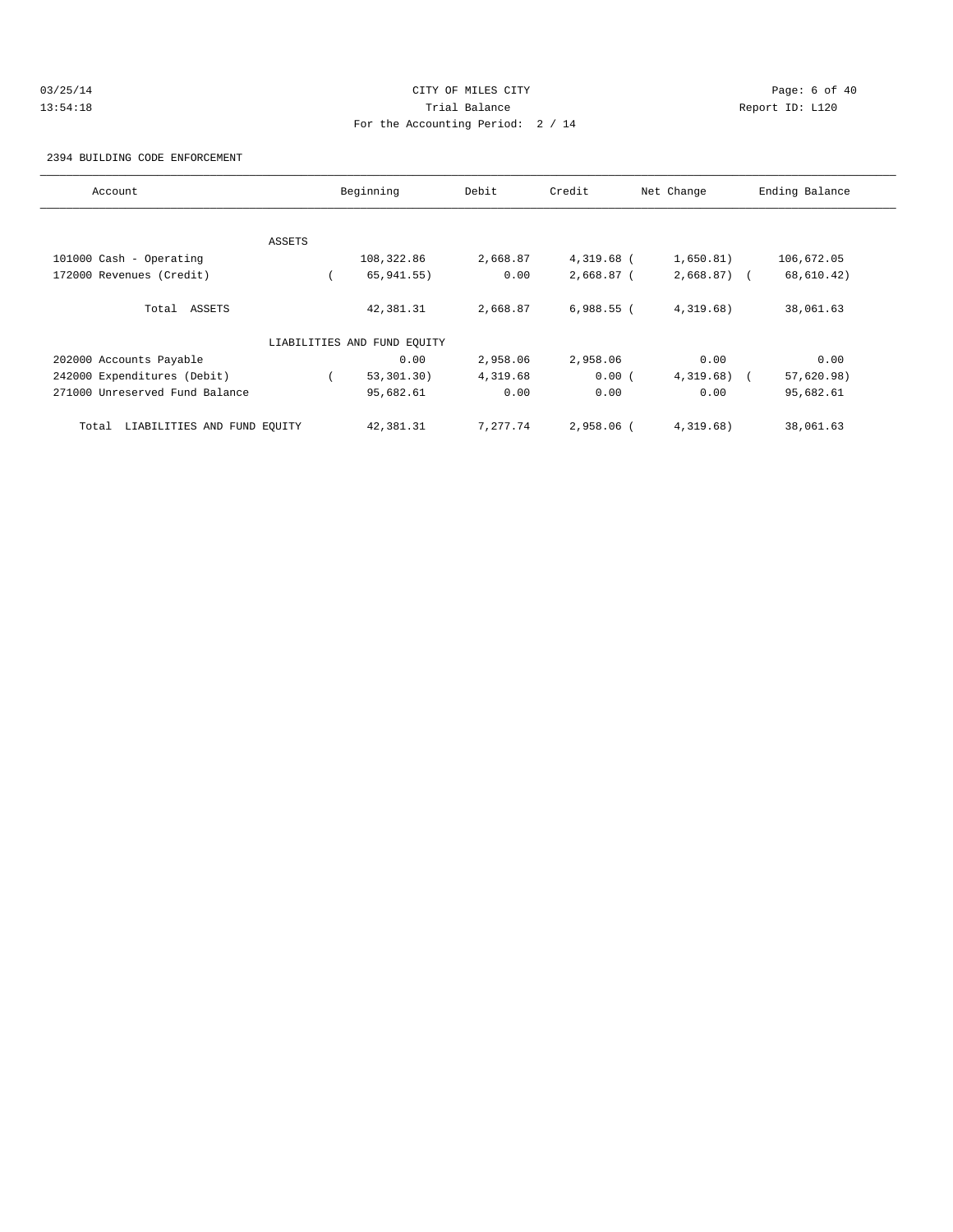# 03/25/14 Page: 6 of 40 13:54:18 Trial Balance Report ID: L120 For the Accounting Period: 2 / 14

2394 BUILDING CODE ENFORCEMENT

| Account                              |        | Beginning                   | Debit    | Credit       | Net Change   | Ending Balance |
|--------------------------------------|--------|-----------------------------|----------|--------------|--------------|----------------|
|                                      |        |                             |          |              |              |                |
|                                      | ASSETS |                             |          |              |              |                |
| 101000 Cash - Operating              |        | 108,322.86                  | 2,668.87 | 4,319.68 (   | 1,650.81)    | 106,672.05     |
| 172000 Revenues (Credit)             |        | 65, 941.55)                 | 0.00     | 2,668.87 (   | $2,668.87$ ( | 68,610.42)     |
| Total ASSETS                         |        | 42,381.31                   | 2,668.87 | $6,988.55$ ( | 4,319.68)    | 38,061.63      |
|                                      |        | LIABILITIES AND FUND EQUITY |          |              |              |                |
| 202000 Accounts Payable              |        | 0.00                        | 2,958.06 | 2,958.06     | 0.00         | 0.00           |
| 242000 Expenditures (Debit)          |        | 53,301.30)                  | 4,319.68 | 0.00(        | $4,319.68$ ( | 57,620.98)     |
| 271000 Unreserved Fund Balance       |        | 95,682.61                   | 0.00     | 0.00         | 0.00         | 95,682.61      |
| LIABILITIES AND FUND EQUITY<br>Total |        | 42,381.31                   | 7,277.74 | 2,958.06 (   | 4,319.68)    | 38,061.63      |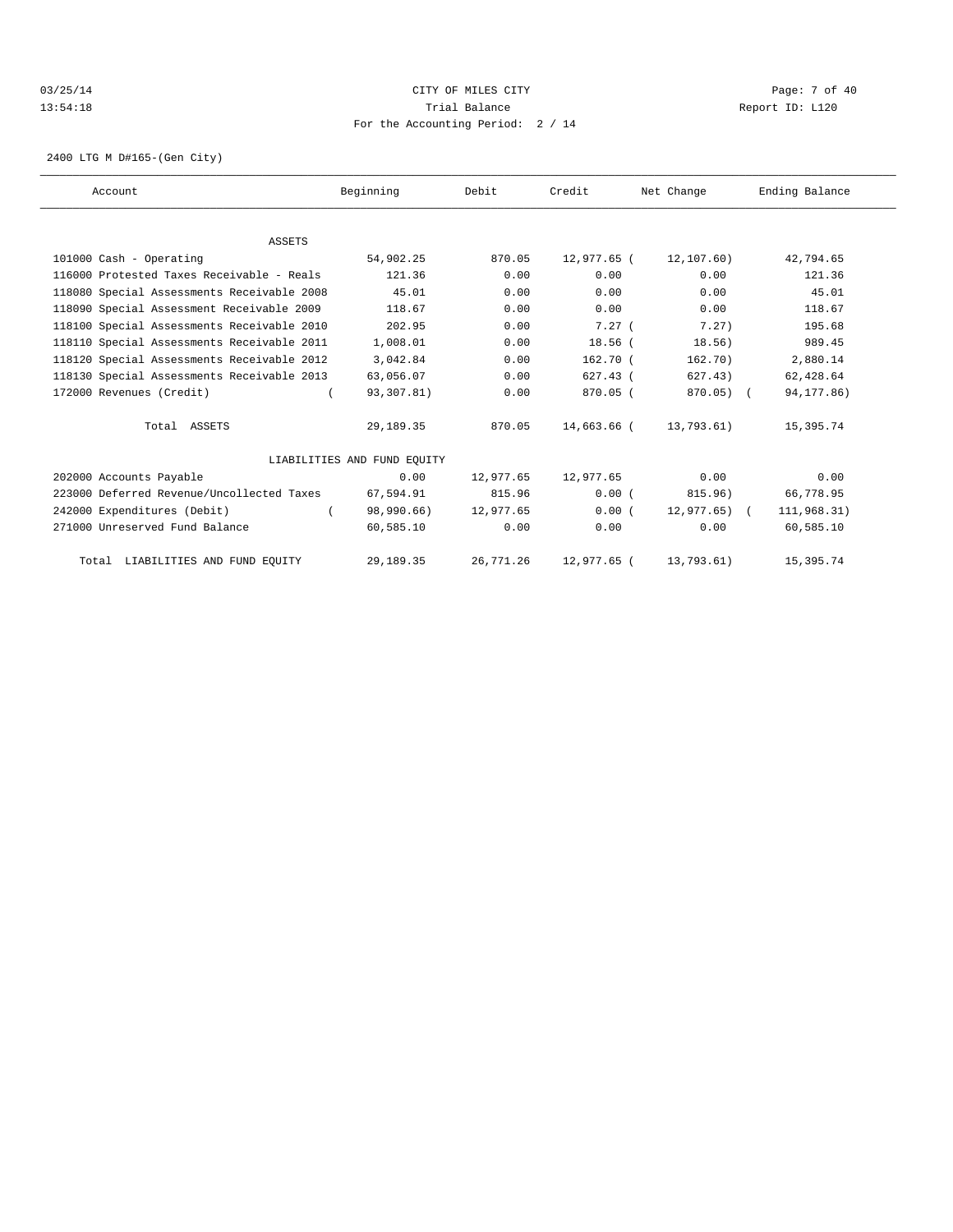## 03/25/14 Page: 7 of 40 13:54:18 Trial Balance Report ID: L120 For the Accounting Period: 2 / 14

2400 LTG M D#165-(Gen City)

| Account                                    | Beginning                   | Debit     | Credit      | Net Change      | Ending Balance |
|--------------------------------------------|-----------------------------|-----------|-------------|-----------------|----------------|
|                                            |                             |           |             |                 |                |
| ASSETS                                     |                             |           |             |                 |                |
| 101000 Cash - Operating                    | 54,902.25                   | 870.05    | 12,977.65 ( | 12,107.60)      | 42,794.65      |
| 116000 Protested Taxes Receivable - Reals  | 121.36                      | 0.00      | 0.00        | 0.00            | 121.36         |
| 118080 Special Assessments Receivable 2008 | 45.01                       | 0.00      | 0.00        | 0.00            | 45.01          |
| 118090 Special Assessment Receivable 2009  | 118.67                      | 0.00      | 0.00        | 0.00            | 118.67         |
| 118100 Special Assessments Receivable 2010 | 202.95                      | 0.00      | 7.27(       | 7.27)           | 195.68         |
| 118110 Special Assessments Receivable 2011 | 1,008.01                    | 0.00      | $18.56$ $($ | 18.56)          | 989.45         |
| 118120 Special Assessments Receivable 2012 | 3,042.84                    | 0.00      | $162.70$ (  | 162.70)         | 2,880.14       |
| 118130 Special Assessments Receivable 2013 | 63,056.07                   | 0.00      | $627.43$ (  | 627.43)         | 62,428.64      |
| 172000 Revenues (Credit)                   | 93,307.81)                  | 0.00      | $870.05$ (  | $870.05$ ) (    | 94, 177.86)    |
| Total ASSETS                               | 29,189.35                   | 870.05    | 14,663.66 ( | 13,793.61)      | 15,395.74      |
|                                            | LIABILITIES AND FUND EOUITY |           |             |                 |                |
| 202000 Accounts Payable                    | 0.00                        | 12,977.65 | 12,977.65   | 0.00            | 0.00           |
| 223000 Deferred Revenue/Uncollected Taxes  | 67,594.91                   | 815.96    | 0.00(       | 815.96)         | 66,778.95      |
| 242000 Expenditures (Debit)                | 98,990.66)                  | 12,977.65 | 0.00(       | $12.977.65$ ) ( | 111,968.31)    |
| 271000 Unreserved Fund Balance             | 60,585.10                   | 0.00      | 0.00        | 0.00            | 60,585.10      |
| Total LIABILITIES AND FUND EQUITY          | 29,189.35                   | 26,771.26 | 12,977.65 ( | 13,793.61)      | 15,395.74      |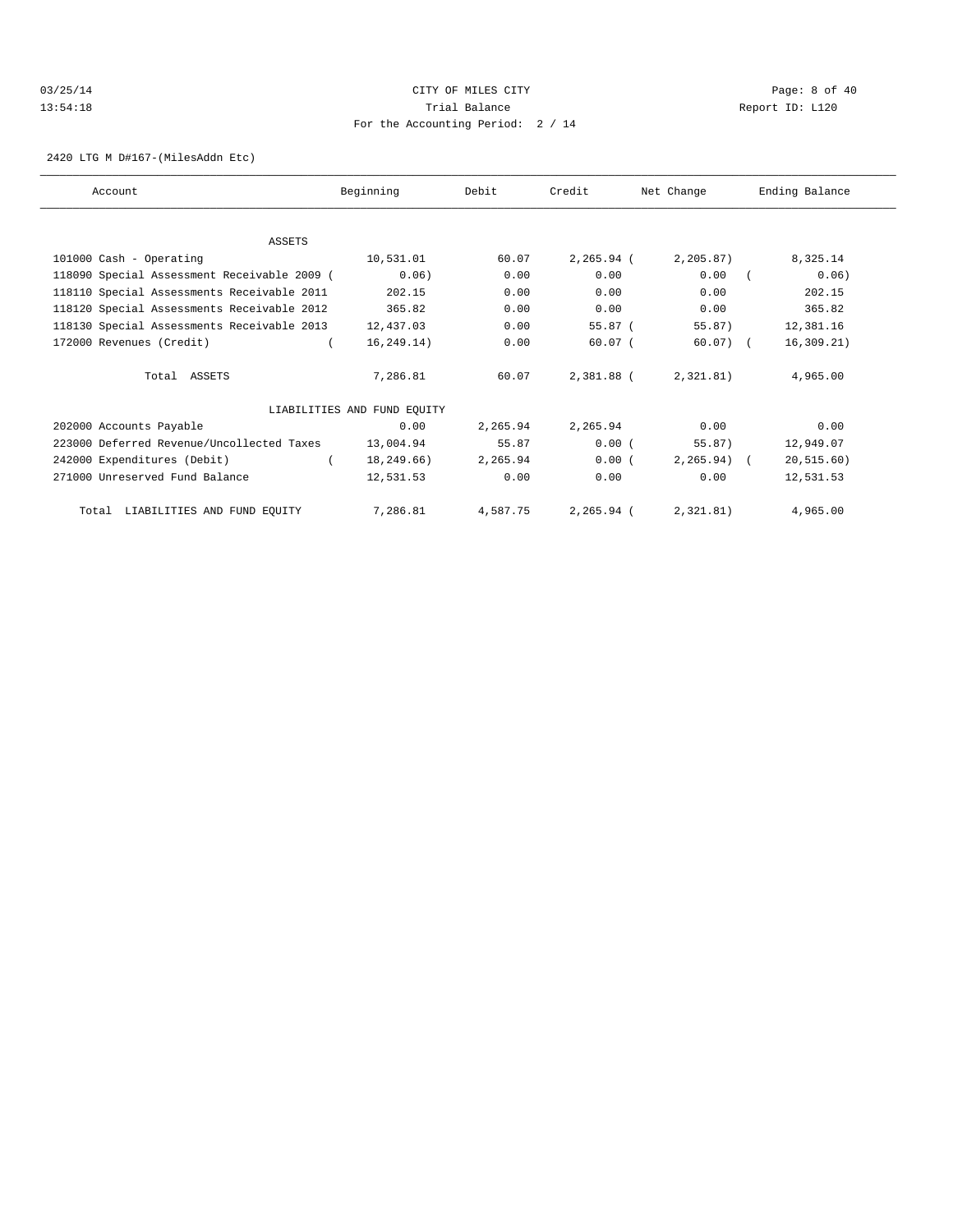## 03/25/14 Page: 8 of 40 13:54:18 Trial Balance Report ID: L120 For the Accounting Period: 2 / 14

2420 LTG M D#167-(MilesAddn Etc)

| Account                                     | Beginning                   | Debit    | Credit     | Net Change    | Ending Balance |
|---------------------------------------------|-----------------------------|----------|------------|---------------|----------------|
|                                             |                             |          |            |               |                |
| <b>ASSETS</b>                               |                             |          |            |               |                |
| 101000 Cash - Operating                     | 10,531.01                   | 60.07    | 2,265.94 ( | 2, 205.87)    | 8,325.14       |
| 118090 Special Assessment Receivable 2009 ( | 0.06)                       | 0.00     | 0.00       | 0.00          | 0.06)          |
| 118110 Special Assessments Receivable 2011  | 202.15                      | 0.00     | 0.00       | 0.00          | 202.15         |
| 118120 Special Assessments Receivable 2012  | 365.82                      | 0.00     | 0.00       | 0.00          | 365.82         |
| 118130 Special Assessments Receivable 2013  | 12,437.03                   | 0.00     | $55.87$ (  | 55.87)        | 12,381.16      |
| 172000 Revenues (Credit)                    | 16, 249.14)                 | 0.00     | $60.07$ (  | $60.07$ ) (   | 16, 309.21)    |
| Total ASSETS                                | 7,286.81                    | 60.07    | 2,381.88 ( | 2,321.81)     | 4,965.00       |
|                                             | LIABILITIES AND FUND EQUITY |          |            |               |                |
| 202000 Accounts Payable                     | 0.00                        | 2,265.94 | 2,265.94   | 0.00          | 0.00           |
| 223000 Deferred Revenue/Uncollected Taxes   | 13,004.94                   | 55.87    | 0.00(      | 55.87)        | 12,949.07      |
| 242000 Expenditures (Debit)                 | 18,249.66)                  | 2,265.94 | 0.00(      | $2, 265.94$ ( | 20, 515.60)    |
| 271000 Unreserved Fund Balance              | 12,531.53                   | 0.00     | 0.00       | 0.00          | 12,531.53      |
| Total LIABILITIES AND FUND EQUITY           | 7,286.81                    | 4,587.75 | 2,265.94 ( | 2,321.81)     | 4,965.00       |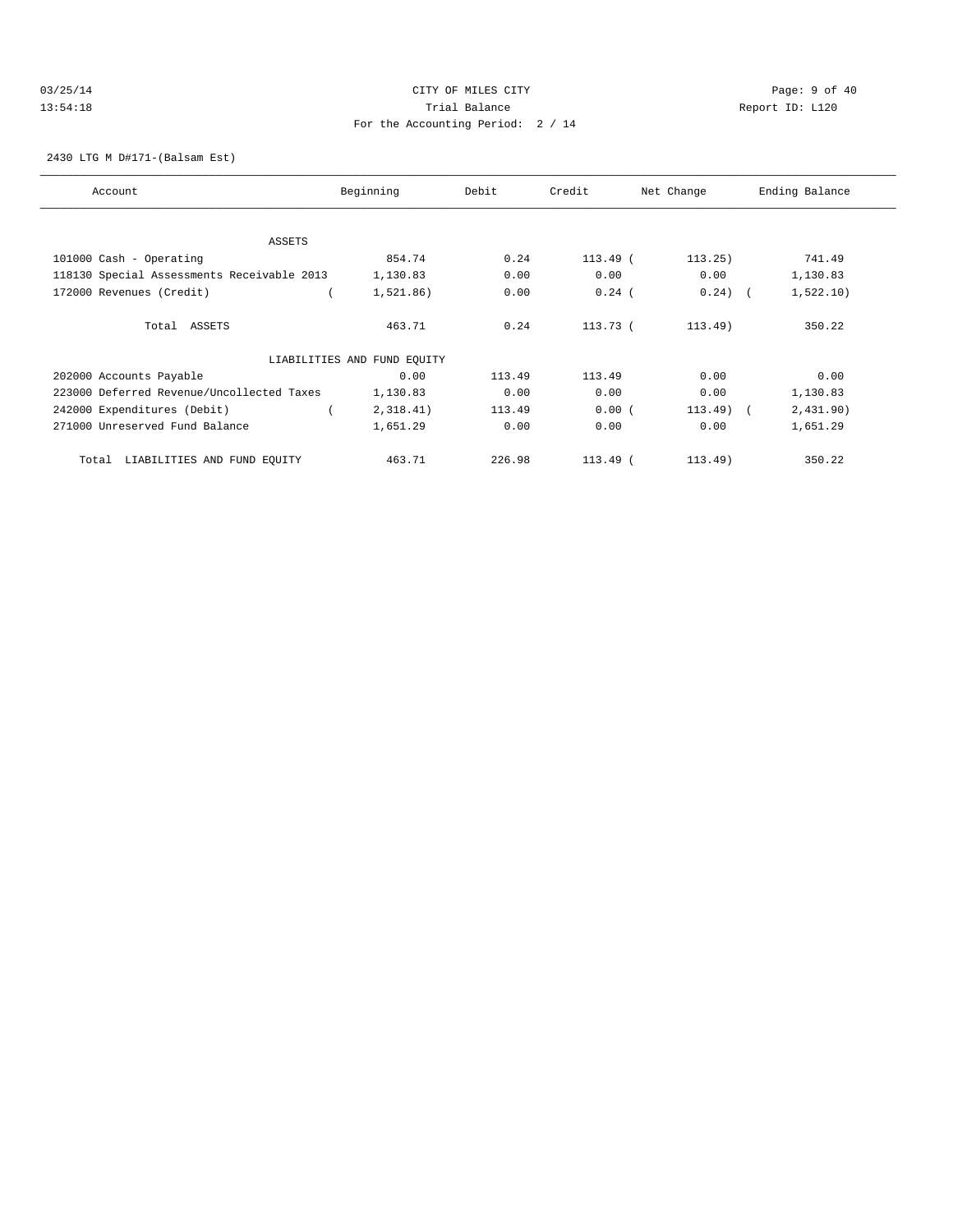## 03/25/14 Page: 9 of 40 13:54:18 Trial Balance Report ID: L120 For the Accounting Period: 2 / 14

2430 LTG M D#171-(Balsam Est)

| Account                                    | Beginning                   | Debit  | Credit     | Net Change | Ending Balance |
|--------------------------------------------|-----------------------------|--------|------------|------------|----------------|
| ASSETS                                     |                             |        |            |            |                |
| 101000 Cash - Operating                    | 854.74                      | 0.24   | $113.49$ ( | 113.25)    | 741.49         |
| 118130 Special Assessments Receivable 2013 | 1,130.83                    | 0.00   | 0.00       | 0.00       | 1,130.83       |
| 172000 Revenues (Credit)                   | 1,521.86)                   | 0.00   | $0.24$ (   | $0.24)$ (  | 1,522.10)      |
| Total ASSETS                               | 463.71                      | 0.24   | $113.73$ ( | $113.49$ ) | 350.22         |
|                                            | LIABILITIES AND FUND EQUITY |        |            |            |                |
| 202000 Accounts Payable                    | 0.00                        | 113.49 | 113.49     | 0.00       | 0.00           |
| 223000 Deferred Revenue/Uncollected Taxes  | 1,130.83                    | 0.00   | 0.00       | 0.00       | 1,130.83       |
| 242000 Expenditures (Debit)                | 2,318.41)                   | 113.49 | 0.00(      | $113.49$ ( | 2,431.90)      |
| 271000 Unreserved Fund Balance             | 1,651.29                    | 0.00   | 0.00       | 0.00       | 1,651.29       |
| LIABILITIES AND FUND EQUITY<br>Total       | 463.71                      | 226.98 | $113.49$ ( | 113.49)    | 350.22         |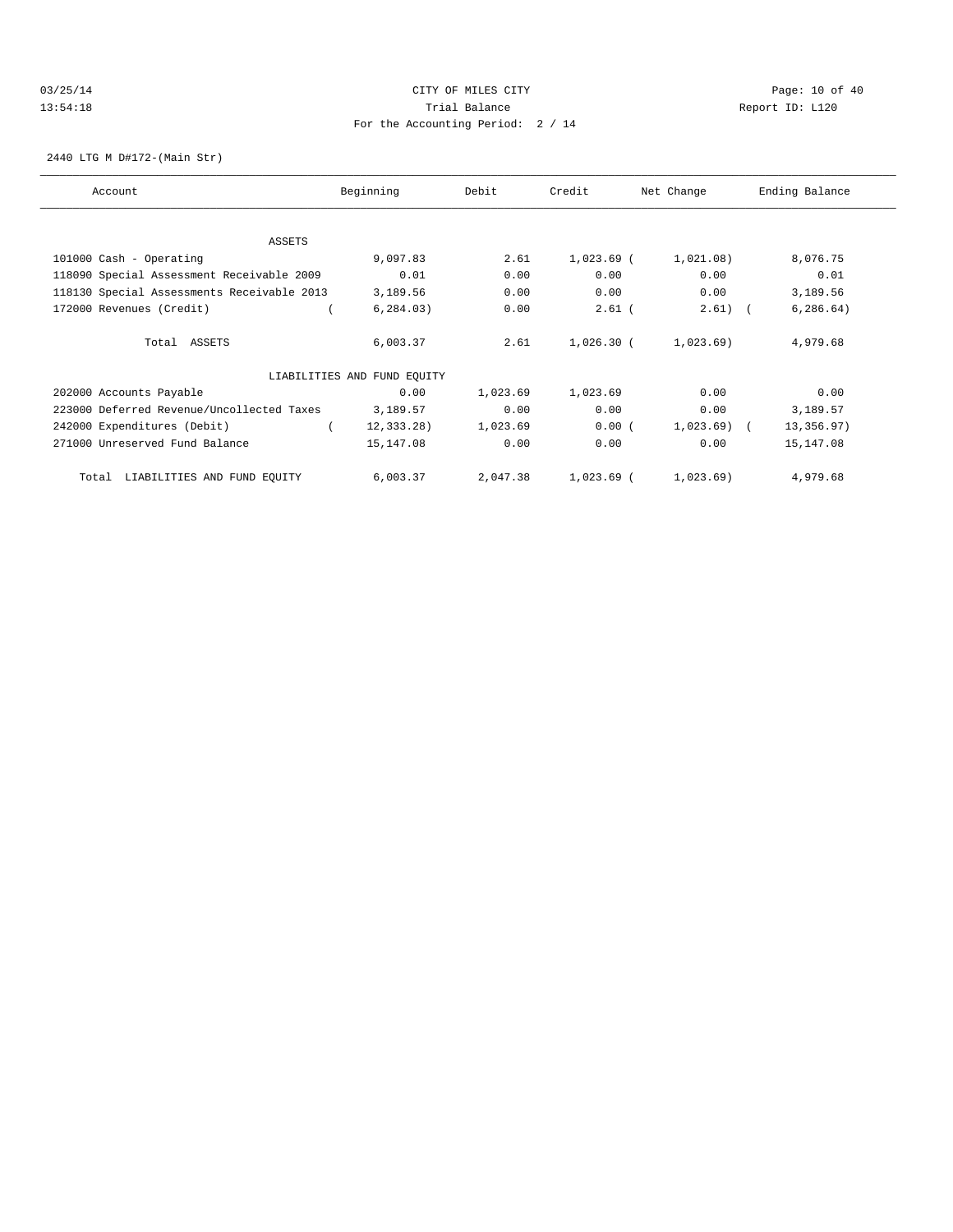## 03/25/14 Page: 10 of 40 13:54:18 Trial Balance Report ID: L120 For the Accounting Period: 2 / 14

2440 LTG M D#172-(Main Str)

| Account                                    | Beginning                   | Debit    | Credit       | Net Change | Ending Balance |
|--------------------------------------------|-----------------------------|----------|--------------|------------|----------------|
|                                            |                             |          |              |            |                |
| ASSETS                                     |                             |          |              |            |                |
| 101000 Cash - Operating                    | 9,097.83                    | 2.61     | $1,023.69$ ( | 1,021.08)  | 8,076.75       |
| 118090 Special Assessment Receivable 2009  | 0.01                        | 0.00     | 0.00         | 0.00       | 0.01           |
| 118130 Special Assessments Receivable 2013 | 3,189.56                    | 0.00     | 0.00         | 0.00       | 3,189.56       |
| 172000 Revenues (Credit)                   | 6, 284.03)                  | 0.00     | $2.61$ (     | 2.61)      | 6, 286.64)     |
| Total ASSETS                               | 6,003.37                    | 2.61     | $1,026.30$ ( | 1,023.69)  | 4,979.68       |
|                                            | LIABILITIES AND FUND EQUITY |          |              |            |                |
| 202000 Accounts Payable                    | 0.00                        | 1,023.69 | 1,023.69     | 0.00       | 0.00           |
| 223000 Deferred Revenue/Uncollected Taxes  | 3,189.57                    | 0.00     | 0.00         | 0.00       | 3,189.57       |
| 242000 Expenditures (Debit)                | $12, 333.28$ )              | 1,023.69 | 0.00(        | 1,023.69)  | 13,356.97)     |
| 271000 Unreserved Fund Balance             | 15,147.08                   | 0.00     | 0.00         | 0.00       | 15,147.08      |
| LIABILITIES AND FUND EQUITY<br>Total       | 6,003.37                    | 2,047.38 | $1,023.69$ ( | 1,023.69)  | 4,979.68       |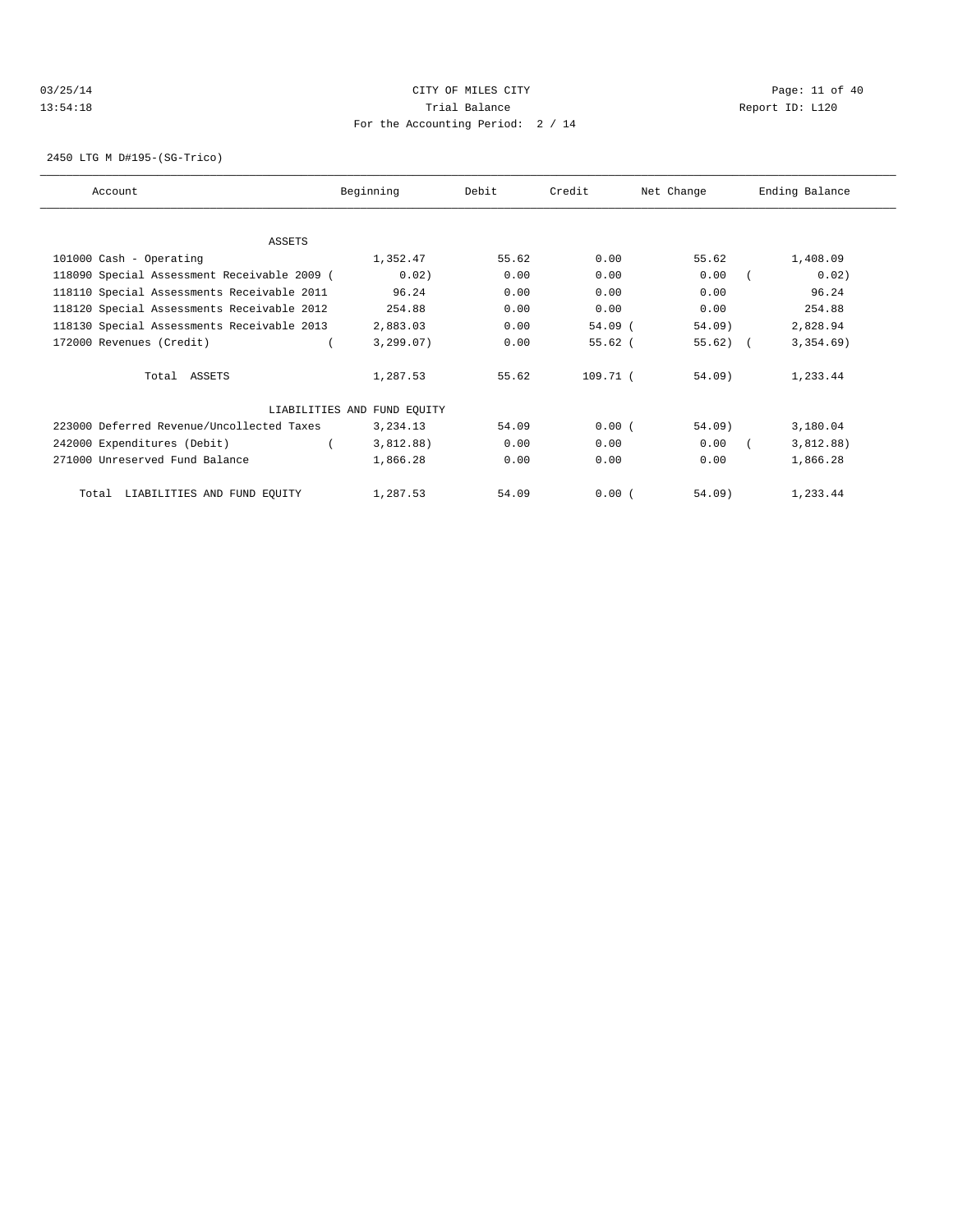## 03/25/14 Page: 11 of 40 13:54:18 Trial Balance Report ID: L120 For the Accounting Period: 2 / 14

2450 LTG M D#195-(SG-Trico)

| Account                                     | Beginning                   | Debit | Credit     | Net Change  | Ending Balance |
|---------------------------------------------|-----------------------------|-------|------------|-------------|----------------|
|                                             |                             |       |            |             |                |
| ASSETS                                      |                             |       |            |             |                |
| 101000 Cash - Operating                     | 1,352.47                    | 55.62 | 0.00       | 55.62       | 1,408.09       |
| 118090 Special Assessment Receivable 2009 ( | 0.02)                       | 0.00  | 0.00       | 0.00        | 0.02)          |
| 118110 Special Assessments Receivable 2011  | 96.24                       | 0.00  | 0.00       | 0.00        | 96.24          |
| 118120 Special Assessments Receivable 2012  | 254.88                      | 0.00  | 0.00       | 0.00        | 254.88         |
| 118130 Special Assessments Receivable 2013  | 2,883.03                    | 0.00  | $54.09$ (  | $54.09$ )   | 2,828.94       |
| 172000 Revenues (Credit)                    | 3, 299.07)                  | 0.00  | $55.62$ (  | $55.62$ ) ( | 3,354.69)      |
| Total ASSETS                                | 1,287.53                    | 55.62 | $109.71$ ( | 54.09       | 1,233.44       |
|                                             | LIABILITIES AND FUND EOUITY |       |            |             |                |
| 223000 Deferred Revenue/Uncollected Taxes   | 3,234.13                    | 54.09 | 0.00(      | $54.09$ )   | 3,180.04       |
| 242000 Expenditures (Debit)                 | 3,812.88)                   | 0.00  | 0.00       | 0.00        | 3,812.88)      |
| 271000 Unreserved Fund Balance              | 1,866.28                    | 0.00  | 0.00       | 0.00        | 1,866.28       |
| LIABILITIES AND FUND EQUITY<br>Total        | 1,287.53                    | 54.09 | 0.00(      | 54.09)      | 1,233.44       |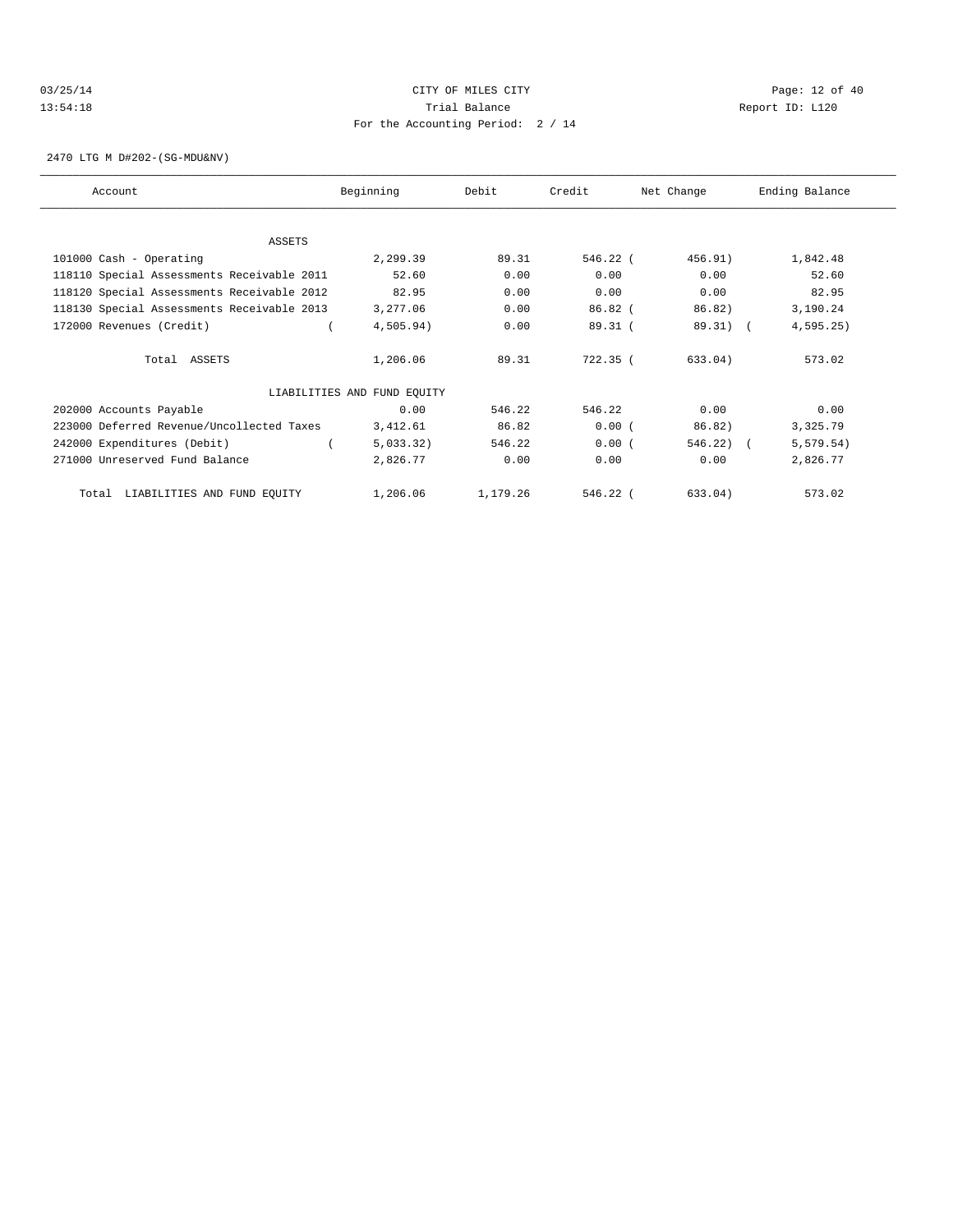## 03/25/14 Page: 12 of 40 13:54:18 Trial Balance Report ID: L120 For the Accounting Period: 2 / 14

2470 LTG M D#202-(SG-MDU&NV)

| Account                                    | Beginning                   | Debit    | Credit     | Net Change   | Ending Balance |  |
|--------------------------------------------|-----------------------------|----------|------------|--------------|----------------|--|
|                                            |                             |          |            |              |                |  |
| ASSETS                                     |                             |          |            |              |                |  |
| 101000 Cash - Operating                    | 2,299.39                    | 89.31    | 546.22 (   | 456.91)      | 1,842.48       |  |
| 118110 Special Assessments Receivable 2011 | 52.60                       | 0.00     | 0.00       | 0.00         | 52.60          |  |
| 118120 Special Assessments Receivable 2012 | 82.95                       | 0.00     | 0.00       | 0.00         | 82.95          |  |
| 118130 Special Assessments Receivable 2013 | 3,277.06                    | 0.00     | $86.82$ (  | 86.82)       | 3,190.24       |  |
| 172000 Revenues (Credit)                   | 4,505.94)                   | 0.00     | 89.31(     | 89.31) (     | 4,595.25       |  |
| Total ASSETS                               | 1,206.06                    | 89.31    | 722.35 (   | 633.04)      | 573.02         |  |
|                                            | LIABILITIES AND FUND EQUITY |          |            |              |                |  |
| 202000 Accounts Payable                    | 0.00                        | 546.22   | 546.22     | 0.00         | 0.00           |  |
| 223000 Deferred Revenue/Uncollected Taxes  | 3,412.61                    | 86.82    | 0.00(      | 86.82)       | 3,325.79       |  |
| 242000 Expenditures (Debit)                | 5,033.32)                   | 546.22   | 0.00(      | $546.22$ ) ( | 5, 579.54)     |  |
| 271000 Unreserved Fund Balance             | 2,826.77                    | 0.00     | 0.00       | 0.00         | 2,826.77       |  |
| LIABILITIES AND FUND EQUITY<br>Total       | 1,206.06                    | 1,179.26 | $546.22$ ( | 633.04)      | 573.02         |  |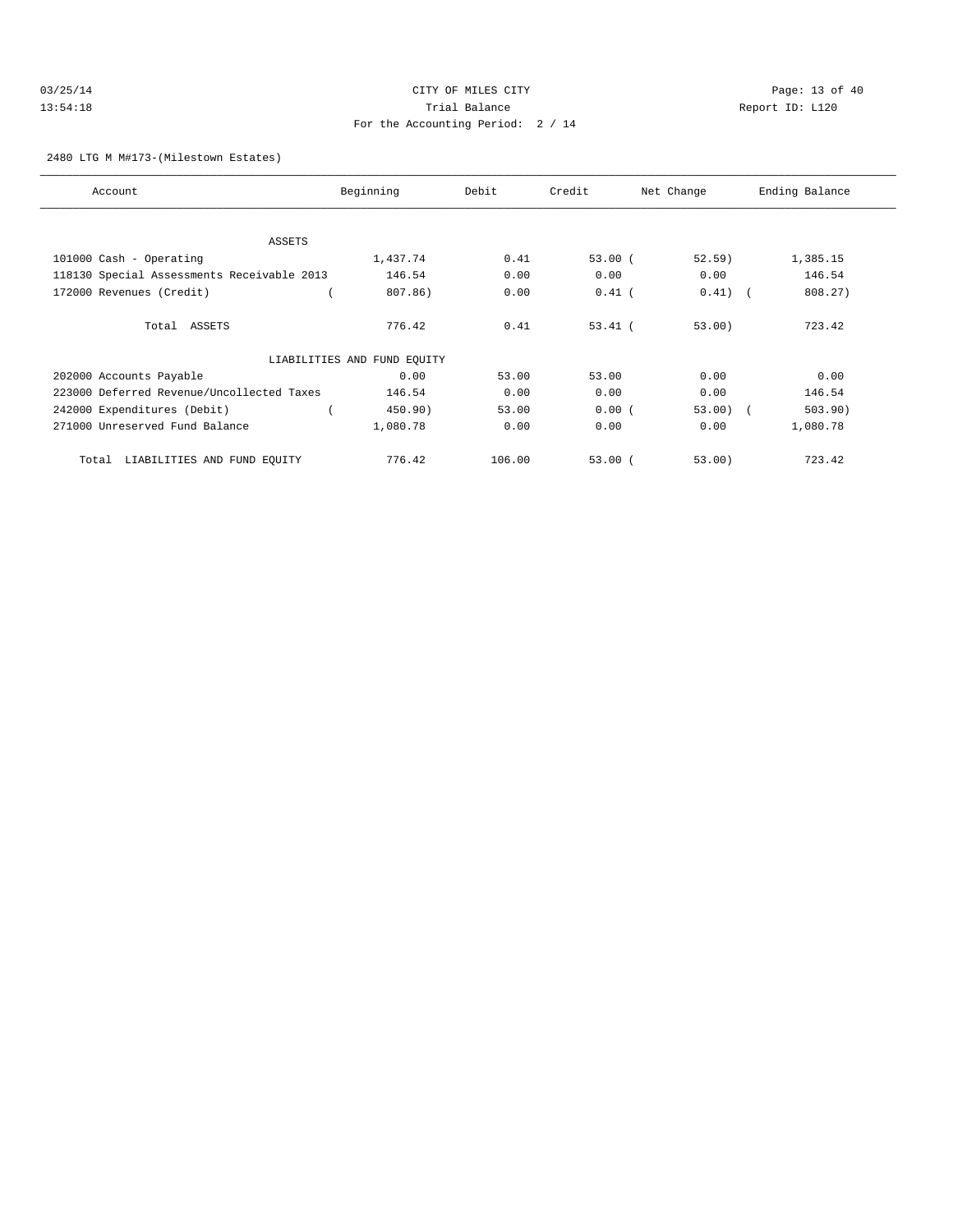|  |  | 03/25/14 |  |  |
|--|--|----------|--|--|
|  |  | 13:54:18 |  |  |

# CITY OF MILES CITY CONTROL CONTROL CONTROL CONTROL CONTROL PAGE: 13 of 40 13:54:18 Trial Balance and Communications of the Report ID: L120 For the Accounting Period: 2 / 14

2480 LTG M M#173-(Milestown Estates)

| Account                                    | Beginning                   | Debit  | Credit    | Net Change | Ending Balance |
|--------------------------------------------|-----------------------------|--------|-----------|------------|----------------|
|                                            |                             |        |           |            |                |
| ASSETS                                     |                             |        |           |            |                |
| 101000 Cash - Operating                    | 1,437.74                    | 0.41   | 53.00(    | 52.59)     | 1,385.15       |
| 118130 Special Assessments Receivable 2013 | 146.54                      | 0.00   | 0.00      | 0.00       | 146.54         |
| 172000 Revenues (Credit)                   | 807.86)                     | 0.00   | $0.41$ (  | 0.41)      | 808.27)        |
| Total ASSETS                               | 776.42                      | 0.41   | $53.41$ ( | 53.00      | 723.42         |
|                                            | LIABILITIES AND FUND EQUITY |        |           |            |                |
| 202000 Accounts Payable                    | 0.00                        | 53.00  | 53.00     | 0.00       | 0.00           |
| 223000 Deferred Revenue/Uncollected Taxes  | 146.54                      | 0.00   | 0.00      | 0.00       | 146.54         |
| 242000 Expenditures (Debit)                | 450.90)                     | 53.00  | 0.00(     | $53.00)$ ( | 503.90)        |
| 271000 Unreserved Fund Balance             | 1,080.78                    | 0.00   | 0.00      | 0.00       | 1,080.78       |
| LIABILITIES AND FUND EQUITY<br>Total       | 776.42                      | 106.00 | 53.00(    | 53.00)     | 723.42         |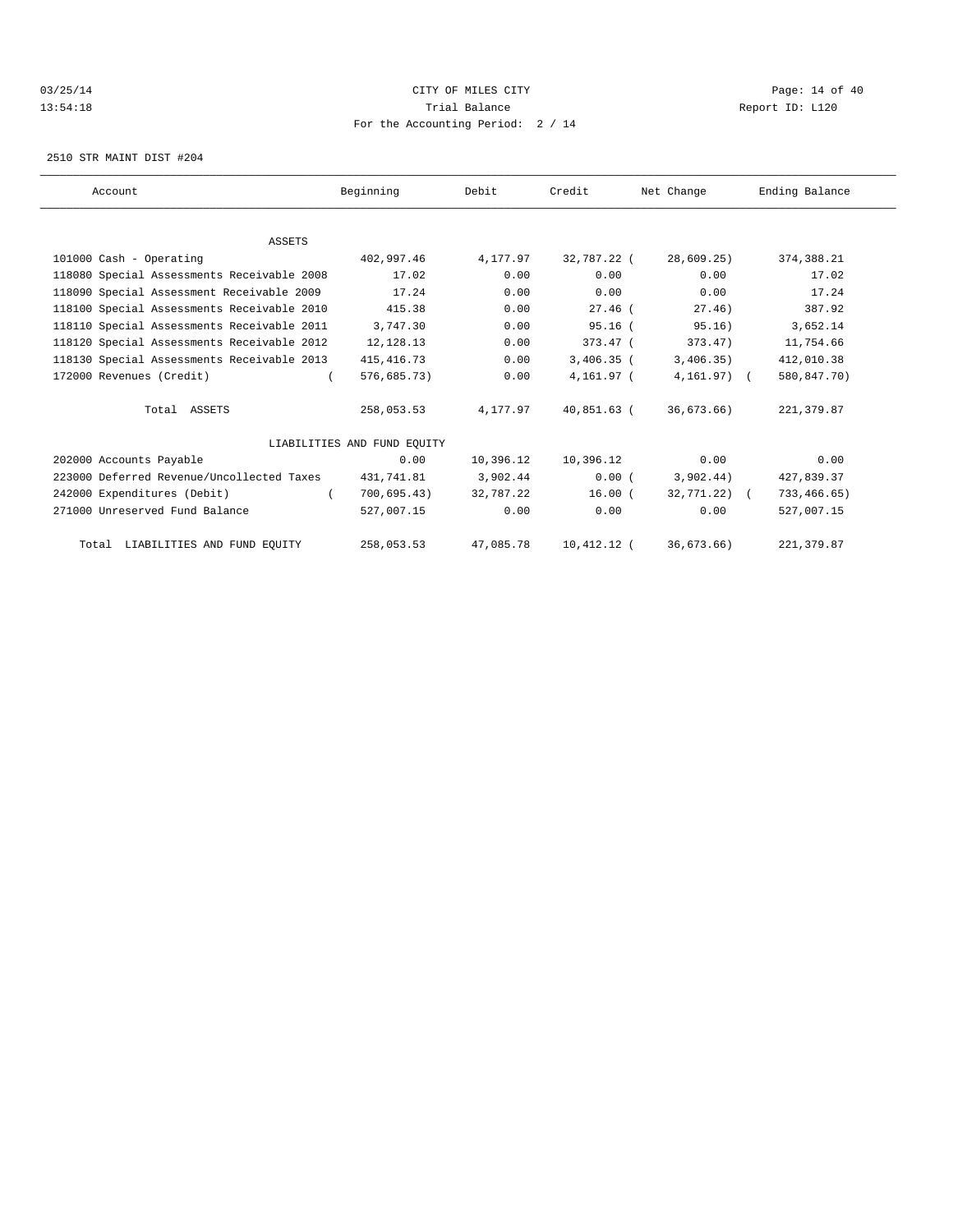## 03/25/14 Page: 14 of 40 13:54:18 Trial Balance Report ID: L120 For the Accounting Period: 2 / 14

2510 STR MAINT DIST #204

| Account                                    | Beginning                   | Debit     | Credit        | Net Change      | Ending Balance |  |
|--------------------------------------------|-----------------------------|-----------|---------------|-----------------|----------------|--|
|                                            |                             |           |               |                 |                |  |
| <b>ASSETS</b>                              |                             |           |               |                 |                |  |
| 101000 Cash - Operating                    | 402,997.46                  | 4,177.97  | 32,787.22 (   | 28,609.25)      | 374, 388.21    |  |
| 118080 Special Assessments Receivable 2008 | 17.02                       | 0.00      | 0.00          | 0.00            | 17.02          |  |
| 118090 Special Assessment Receivable 2009  | 17.24                       | 0.00      | 0.00          | 0.00            | 17.24          |  |
| 118100 Special Assessments Receivable 2010 | 415.38                      | 0.00      | $27.46$ (     | 27.46)          | 387.92         |  |
| 118110 Special Assessments Receivable 2011 | 3,747.30                    | 0.00      | $95.16$ (     | 95.16)          | 3,652.14       |  |
| 118120 Special Assessments Receivable 2012 | 12,128.13                   | 0.00      | $373.47$ (    | 373.47          | 11,754.66      |  |
| 118130 Special Assessments Receivable 2013 | 415, 416.73                 | 0.00      | $3,406.35$ (  | 3,406.35)       | 412,010.38     |  |
| 172000 Revenues (Credit)                   | 576,685.73)                 | 0.00      | 4,161.97 (    | $4,161.97$ ) (  | 580,847.70)    |  |
| Total ASSETS                               | 258,053.53                  | 4,177.97  | 40,851.63 (   | 36,673.66)      | 221, 379.87    |  |
|                                            | LIABILITIES AND FUND EOUITY |           |               |                 |                |  |
| 202000 Accounts Payable                    | 0.00                        | 10,396.12 | 10,396.12     | 0.00            | 0.00           |  |
| 223000 Deferred Revenue/Uncollected Taxes  | 431,741.81                  | 3,902.44  | 0.00(         | 3,902.44)       | 427,839.37     |  |
| 242000 Expenditures (Debit)                | 700,695.43)                 | 32,787.22 | 16.00(        | $32,771.22$ ) ( | 733,466.65)    |  |
| 271000 Unreserved Fund Balance             | 527,007.15                  | 0.00      | 0.00          | 0.00            | 527,007.15     |  |
| Total LIABILITIES AND FUND EQUITY          | 258,053.53                  | 47,085.78 | $10,412.12$ ( | 36,673.66)      | 221, 379.87    |  |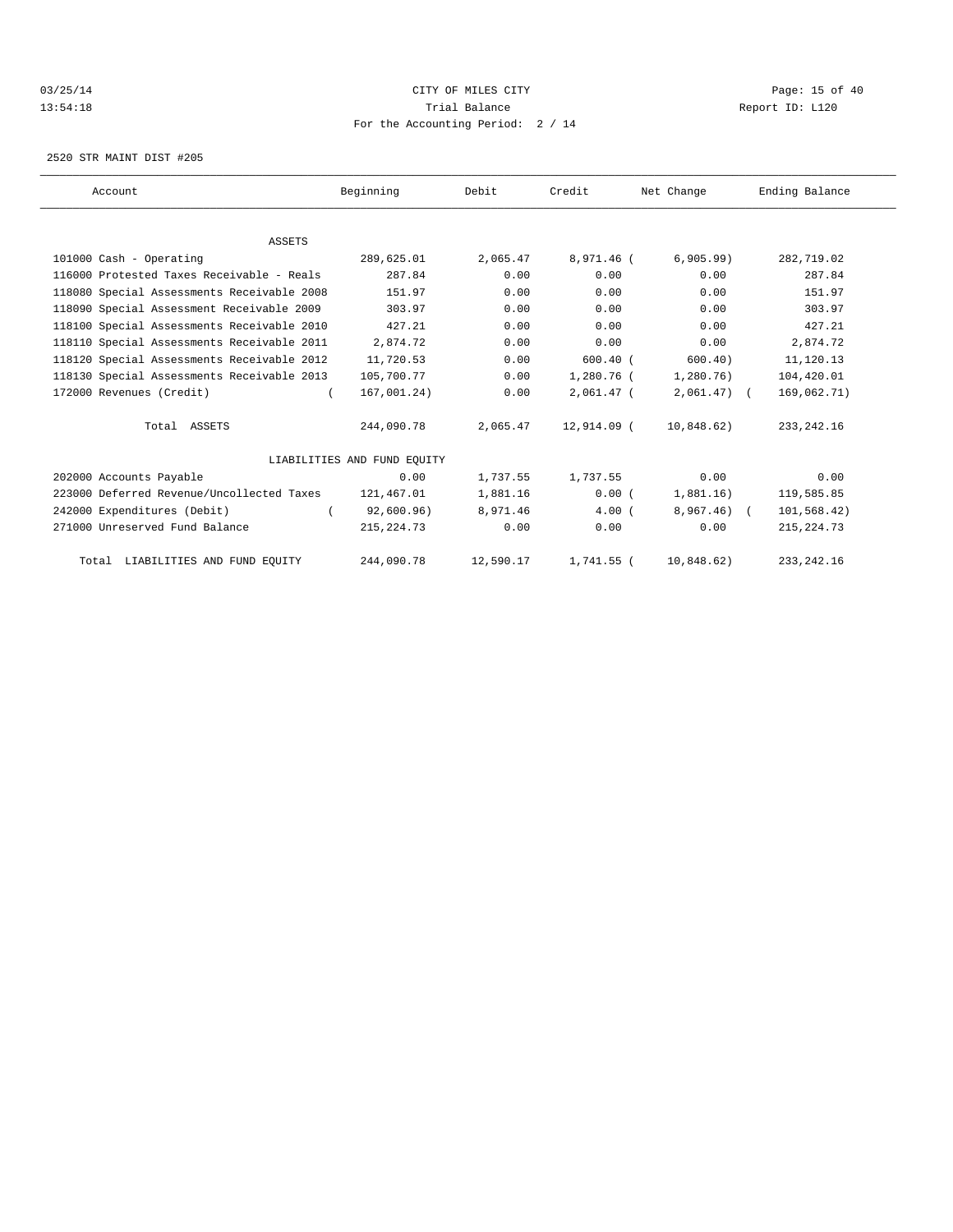## 03/25/14 Page: 15 of 40 13:54:18 Trial Balance Report ID: L120 For the Accounting Period: 2 / 14

2520 STR MAINT DIST #205

| Account                                    | Beginning                   | Debit     | Credit       | Net Change   | Ending Balance |  |
|--------------------------------------------|-----------------------------|-----------|--------------|--------------|----------------|--|
|                                            |                             |           |              |              |                |  |
| <b>ASSETS</b>                              |                             |           |              |              |                |  |
| 101000 Cash - Operating                    | 289,625.01                  | 2,065.47  | 8,971.46 (   | 6,905.99     | 282,719.02     |  |
| 116000 Protested Taxes Receivable - Reals  | 287.84                      | 0.00      | 0.00         | 0.00         | 287.84         |  |
| 118080 Special Assessments Receivable 2008 | 151.97                      | 0.00      | 0.00         | 0.00         | 151.97         |  |
| 118090 Special Assessment Receivable 2009  | 303.97                      | 0.00      | 0.00         | 0.00         | 303.97         |  |
| 118100 Special Assessments Receivable 2010 | 427.21                      | 0.00      | 0.00         | 0.00         | 427.21         |  |
| 118110 Special Assessments Receivable 2011 | 2,874.72                    | 0.00      | 0.00         | 0.00         | 2,874.72       |  |
| 118120 Special Assessments Receivable 2012 | 11,720.53                   | 0.00      | $600.40$ (   | 600.40       | 11,120.13      |  |
| 118130 Special Assessments Receivable 2013 | 105,700.77                  | 0.00      | 1,280.76 (   | 1,280.76)    | 104,420.01     |  |
| 172000 Revenues (Credit)                   | 167,001.24)                 | 0.00      | $2,061.47$ ( | $2,061.47$ ( | 169,062.71)    |  |
| Total ASSETS                               | 244,090.78                  | 2,065.47  | 12,914.09 (  | 10,848.62)   | 233, 242. 16   |  |
|                                            | LIABILITIES AND FUND EQUITY |           |              |              |                |  |
| 202000 Accounts Payable                    | 0.00                        | 1,737.55  | 1,737.55     | 0.00         | 0.00           |  |
| 223000 Deferred Revenue/Uncollected Taxes  | 121,467.01                  | 1,881.16  | 0.00(        | 1,881.16)    | 119,585.85     |  |
| 242000 Expenditures (Debit)                | 92,600.96)                  | 8,971.46  | 4.00(        | $8,967.46$ ( | 101,568.42)    |  |
| 271000 Unreserved Fund Balance             | 215, 224.73                 | 0.00      | 0.00         | 0.00         | 215, 224.73    |  |
| Total LIABILITIES AND FUND EQUITY          | 244,090.78                  | 12,590.17 | 1,741.55 (   | 10,848.62)   | 233, 242. 16   |  |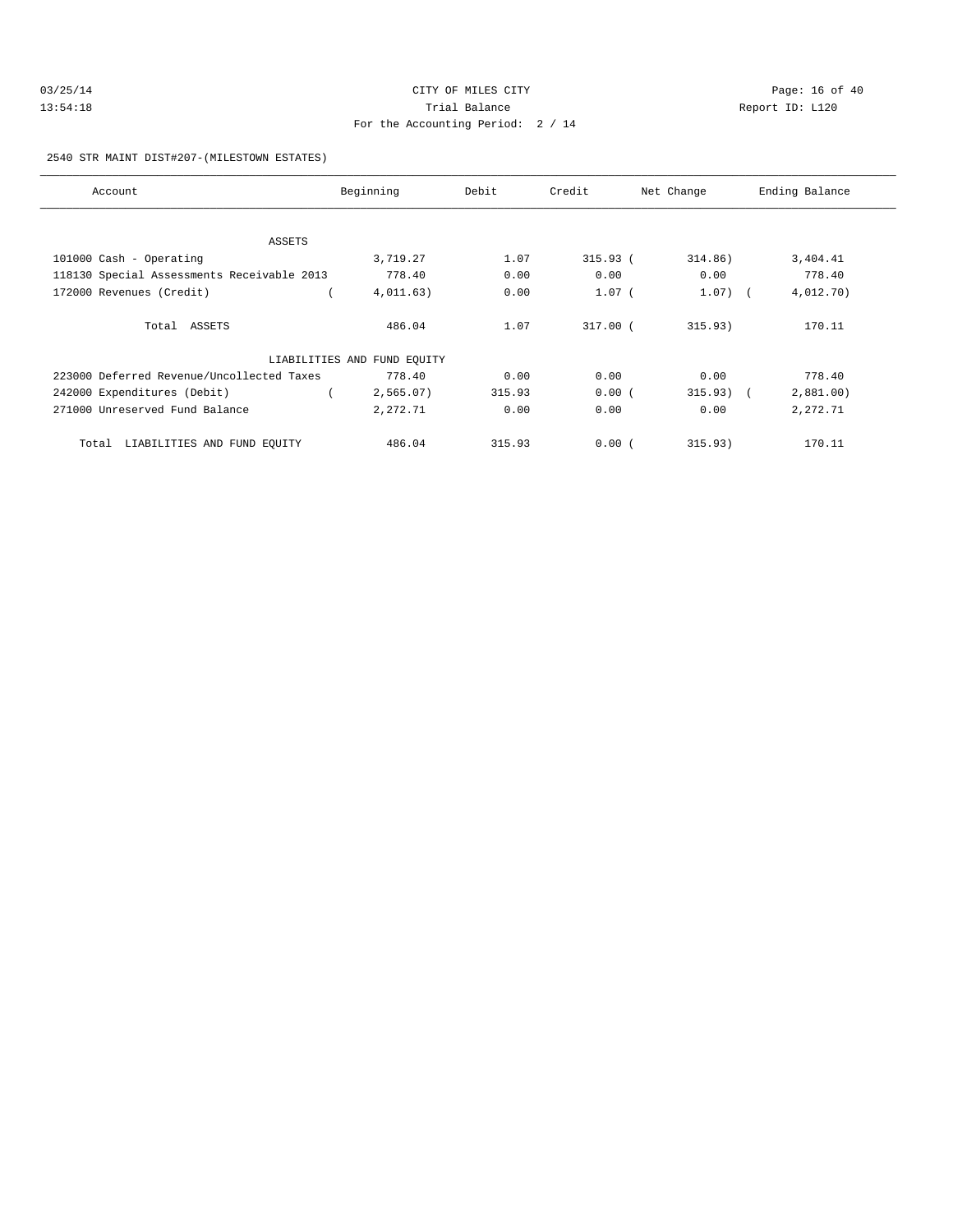| 03/25/14 | CITY OF MILES CITY                | Page: 16 of 40  |
|----------|-----------------------------------|-----------------|
| 13:54:18 | Trial Balance                     | Report ID: L120 |
|          | For the Accounting Period: 2 / 14 |                 |

2540 STR MAINT DIST#207-(MILESTOWN ESTATES)

| Account                                    | Beginning                   | Debit  | Credit     | Net Change  | Ending Balance |
|--------------------------------------------|-----------------------------|--------|------------|-------------|----------------|
|                                            |                             |        |            |             |                |
| ASSETS                                     |                             |        |            |             |                |
| 101000 Cash - Operating                    | 3,719.27                    | 1.07   | 315.93 (   | 314.86)     | 3,404.41       |
| 118130 Special Assessments Receivable 2013 | 778.40                      | 0.00   | 0.00       | 0.00        | 778.40         |
| 172000 Revenues (Credit)                   | 4,011.63)                   | 0.00   | $1.07$ (   | $1.07)$ (   | 4,012.70)      |
| Total ASSETS                               | 486.04                      | 1.07   | $317.00$ ( | 315.93)     | 170.11         |
|                                            | LIABILITIES AND FUND EQUITY |        |            |             |                |
| 223000 Deferred Revenue/Uncollected Taxes  | 778.40                      | 0.00   | 0.00       | 0.00        | 778.40         |
| 242000 Expenditures (Debit)                | 2,565.07)                   | 315.93 | 0.00(      | $315.93)$ ( | 2,881.00       |
| 271000 Unreserved Fund Balance             | 2,272.71                    | 0.00   | 0.00       | 0.00        | 2,272.71       |
| LIABILITIES AND FUND EQUITY<br>Total       | 486.04                      | 315.93 | 0.00(      | 315.93)     | 170.11         |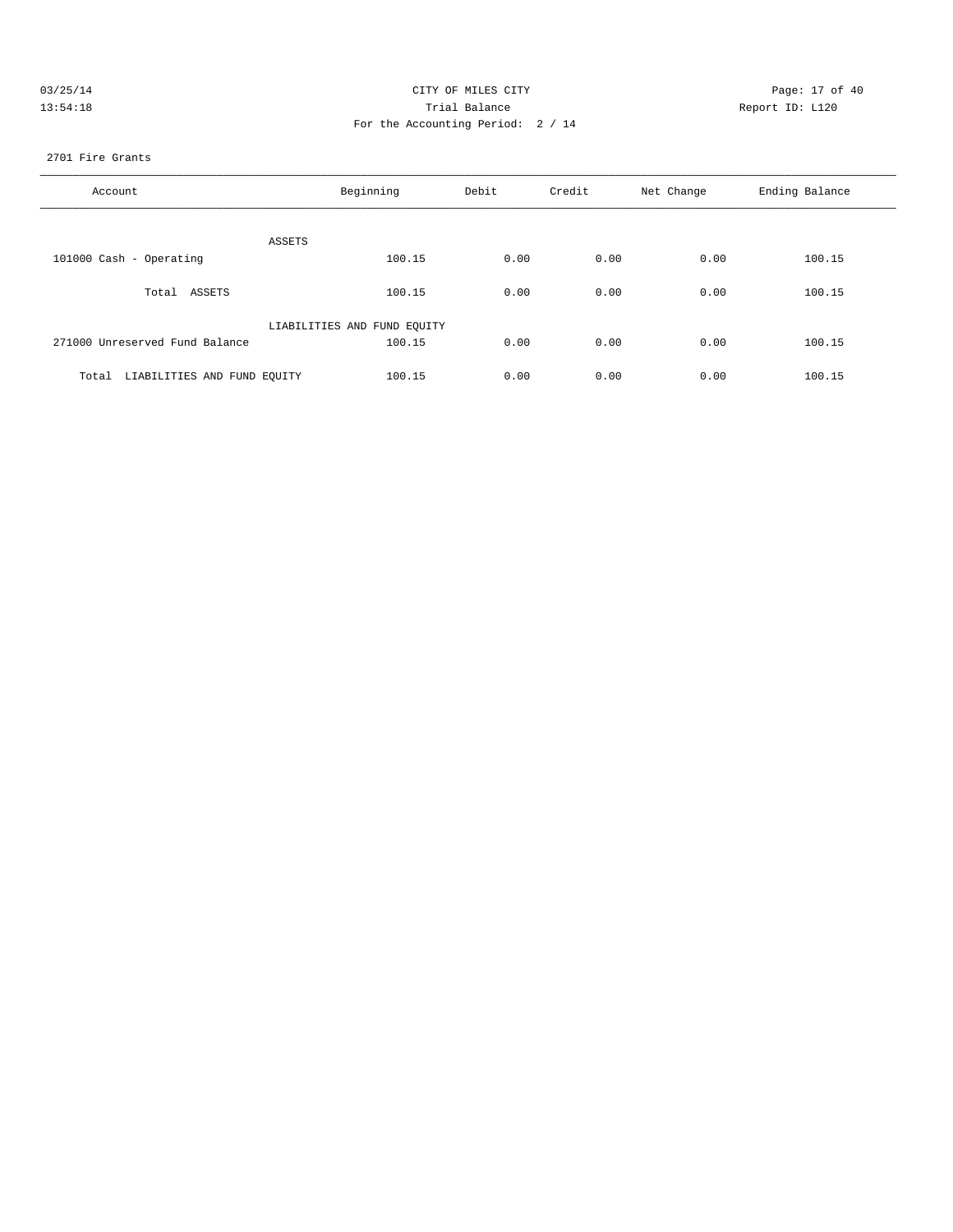| 03/25/14 | CITY OF MILES CITY                | Page: 17 of 40  |
|----------|-----------------------------------|-----------------|
| 13:54:18 | Trial Balance                     | Report ID: L120 |
|          | For the Accounting Period: 2 / 14 |                 |

#### 2701 Fire Grants

| Account                              | Beginning                   | Debit | Credit | Net Change | Ending Balance |
|--------------------------------------|-----------------------------|-------|--------|------------|----------------|
| ASSETS                               |                             |       |        |            |                |
| 101000 Cash - Operating              | 100.15                      | 0.00  | 0.00   | 0.00       | 100.15         |
| Total ASSETS                         | 100.15                      | 0.00  | 0.00   | 0.00       | 100.15         |
|                                      | LIABILITIES AND FUND EQUITY |       |        |            |                |
| 271000 Unreserved Fund Balance       | 100.15                      | 0.00  | 0.00   | 0.00       | 100.15         |
| LIABILITIES AND FUND EQUITY<br>Total | 100.15                      | 0.00  | 0.00   | 0.00       | 100.15         |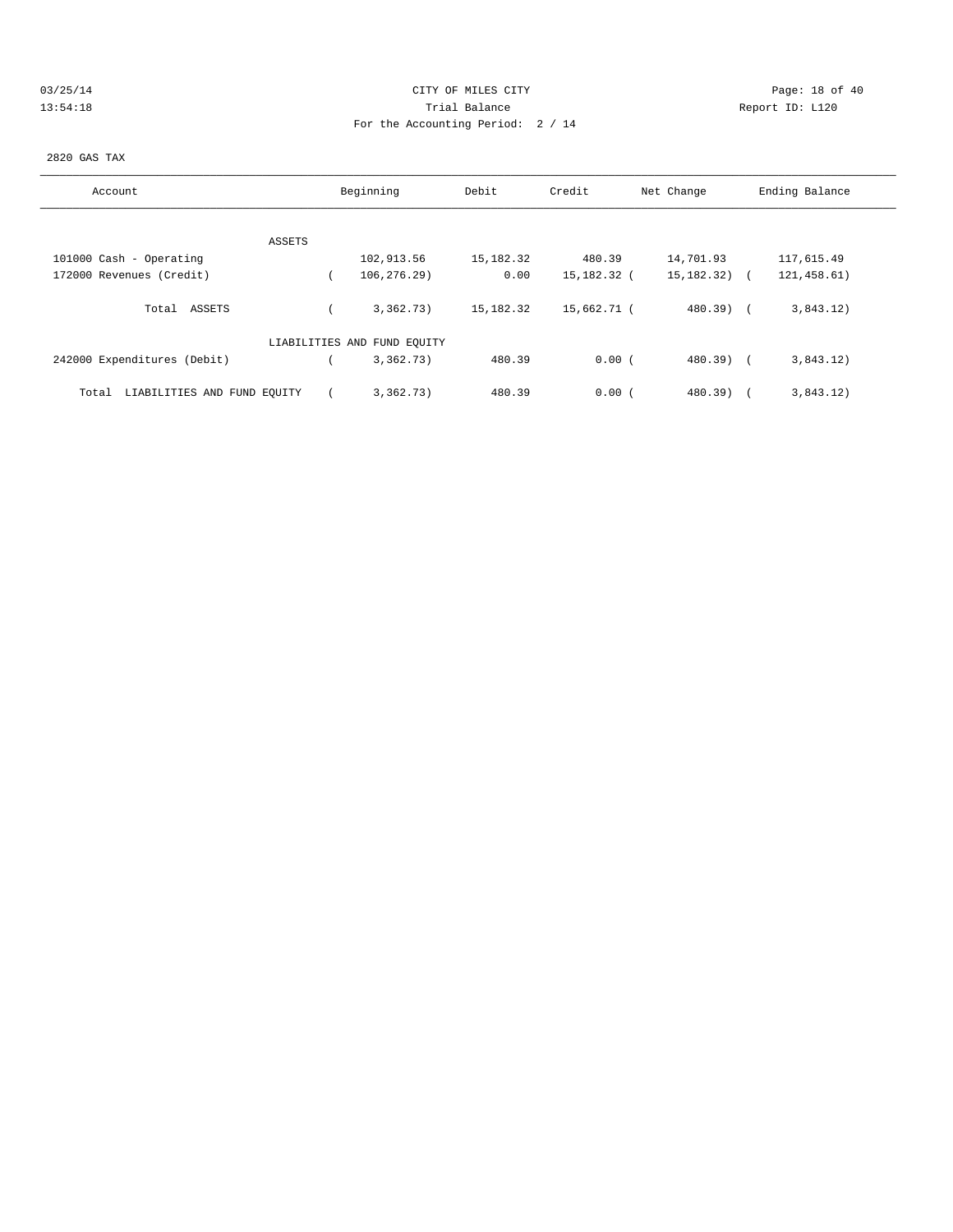| 03/25/14 |  |  |  |  |
|----------|--|--|--|--|
| 13:54:18 |  |  |  |  |

# CITY OF MILES CITY CONTROL CONTROL CONTROL CONTROL CITY 13:54:18 Peport ID: L120 For the Accounting Period: 2 / 14

## 2820 GAS TAX

| Account                              | Beginning                   | Debit       | Credit      | Net Change   | Ending Balance |
|--------------------------------------|-----------------------------|-------------|-------------|--------------|----------------|
|                                      |                             |             |             |              |                |
| ASSETS                               |                             |             |             |              |                |
| 101000 Cash - Operating              | 102,913.56                  | 15,182.32   | 480.39      | 14,701.93    | 117,615.49     |
| 172000 Revenues (Credit)             | 106, 276.29)                | 0.00        | 15,182.32 ( | 15, 182. 32) | 121, 458.61)   |
| Total ASSETS                         | 3,362,73)                   | 15, 182. 32 | 15,662.71 ( | $480.39$ $($ | 3,843.12)      |
|                                      | LIABILITIES AND FUND EQUITY |             |             |              |                |
| 242000 Expenditures (Debit)          | 3,362.73)                   | 480.39      | 0.00(       | $480.39$ (   | 3,843.12)      |
| LIABILITIES AND FUND EQUITY<br>Total | 3.362.73)                   | 480.39      | 0.00(       | $480.39$ )   | 3,843.12)      |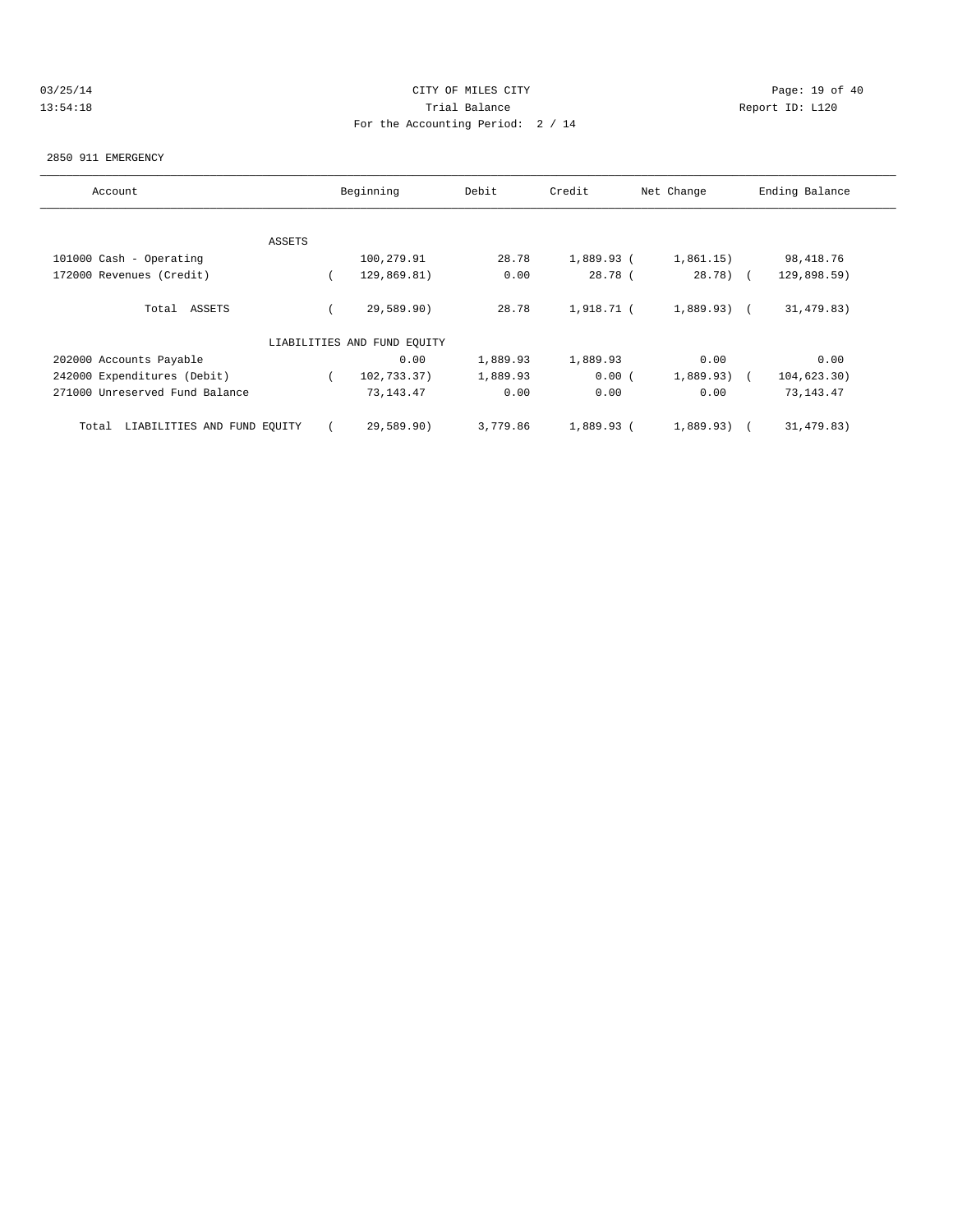## 03/25/14 Page: 19 of 40 13:54:18 Trial Balance Report ID: L120 For the Accounting Period: 2 / 14

#### 2850 911 EMERGENCY

| Account                              |        | Beginning                   | Debit    | Credit     | Net Change    | Ending Balance |
|--------------------------------------|--------|-----------------------------|----------|------------|---------------|----------------|
|                                      |        |                             |          |            |               |                |
|                                      | ASSETS |                             |          |            |               |                |
| 101000 Cash - Operating              |        | 100,279.91                  | 28.78    | 1,889.93 ( | 1,861.15)     | 98, 418.76     |
| 172000 Revenues (Credit)             |        | 129,869.81)                 | 0.00     | 28.78(     | $28.78$ (     | 129,898.59)    |
| Total ASSETS                         |        | 29,589.90)                  | 28.78    | 1,918.71 ( | $1,889.93)$ ( | 31,479.83)     |
|                                      |        | LIABILITIES AND FUND EQUITY |          |            |               |                |
| 202000 Accounts Payable              |        | 0.00                        | 1,889.93 | 1,889.93   | 0.00          | 0.00           |
| 242000 Expenditures (Debit)          |        | 102,733.37)                 | 1,889.93 | 0.00(      | $1,889.93)$ ( | 104, 623.30)   |
| 271000 Unreserved Fund Balance       |        | 73, 143. 47                 | 0.00     | 0.00       | 0.00          | 73, 143. 47    |
| LIABILITIES AND FUND EQUITY<br>Total |        | 29,589.90)                  | 3,779.86 | 1,889.93 ( | 1,889.93)     | 31,479.83)     |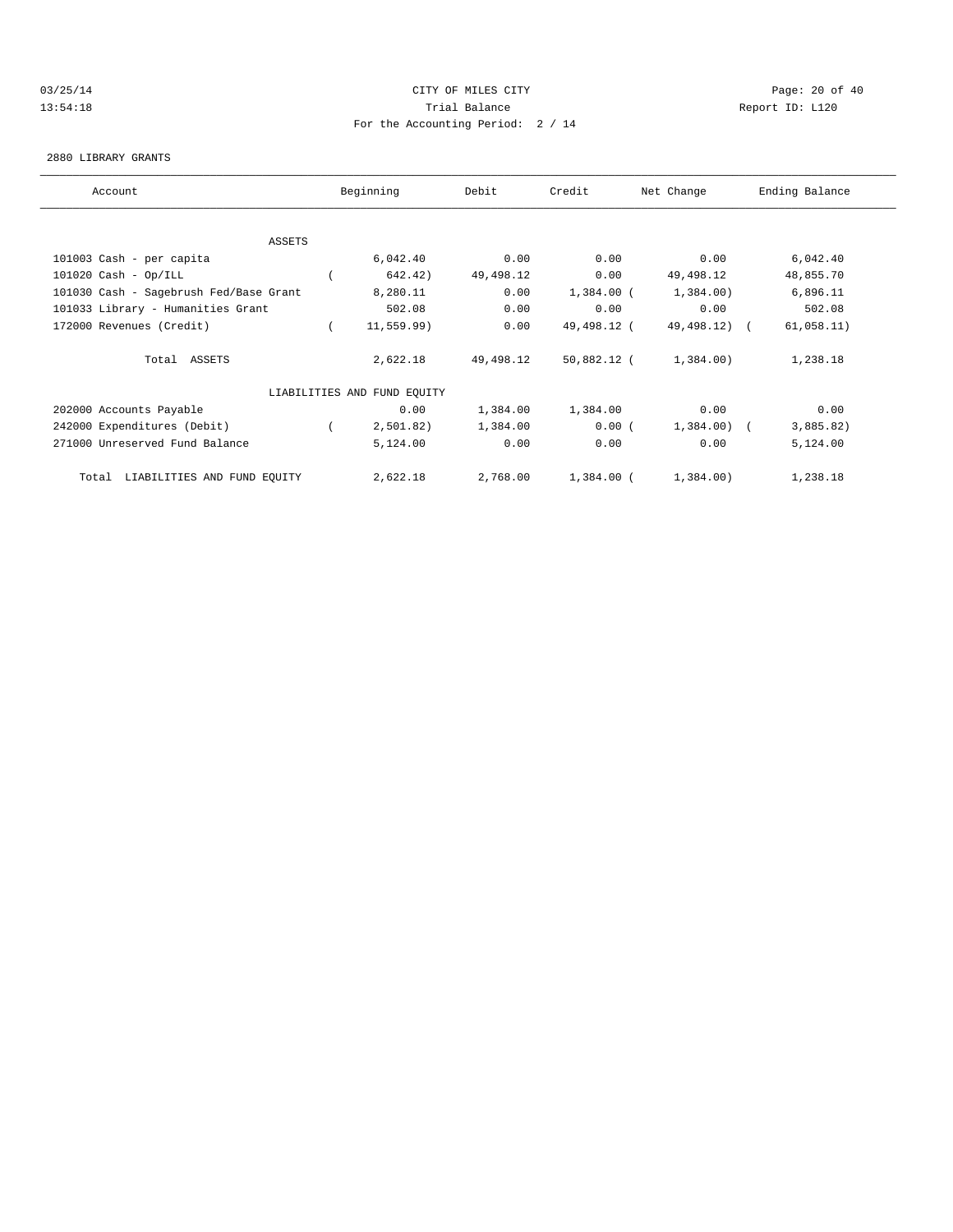## 03/25/14 Page: 20 of 40 13:54:18 Trial Balance Report ID: L120 For the Accounting Period: 2 / 14

#### 2880 LIBRARY GRANTS

| Account                                | Beginning                   | Debit     | Credit       | Net Change   | Ending Balance |
|----------------------------------------|-----------------------------|-----------|--------------|--------------|----------------|
|                                        |                             |           |              |              |                |
| ASSETS                                 |                             |           |              |              |                |
| 101003 Cash - per capita               | 6,042.40                    | 0.00      | 0.00         | 0.00         | 6,042.40       |
| $101020$ Cash - Op/ILL                 | 642.42)                     | 49,498.12 | 0.00         | 49,498.12    | 48,855.70      |
| 101030 Cash - Sagebrush Fed/Base Grant | 8,280.11                    | 0.00      | $1,384.00$ ( | 1,384.00     | 6,896.11       |
| 101033 Library - Humanities Grant      | 502.08                      | 0.00      | 0.00         | 0.00         | 502.08         |
| 172000 Revenues (Credit)               | 11, 559.99)                 | 0.00      | 49,498.12 (  | 49,498.12) ( | 61,058.11)     |
| Total ASSETS                           | 2,622.18                    | 49,498.12 | 50,882.12 (  | 1,384.00)    | 1,238.18       |
|                                        | LIABILITIES AND FUND EQUITY |           |              |              |                |
| 202000 Accounts Payable                | 0.00                        | 1,384.00  | 1,384.00     | 0.00         | 0.00           |
| 242000 Expenditures (Debit)            | 2,501.82)                   | 1,384.00  | 0.00(        | 1,384.00) (  | 3,885.82)      |
| 271000 Unreserved Fund Balance         | 5,124.00                    | 0.00      | 0.00         | 0.00         | 5,124.00       |
| Total LIABILITIES AND FUND EQUITY      | 2,622.18                    | 2,768.00  | $1,384.00$ ( | 1,384.00)    | 1,238.18       |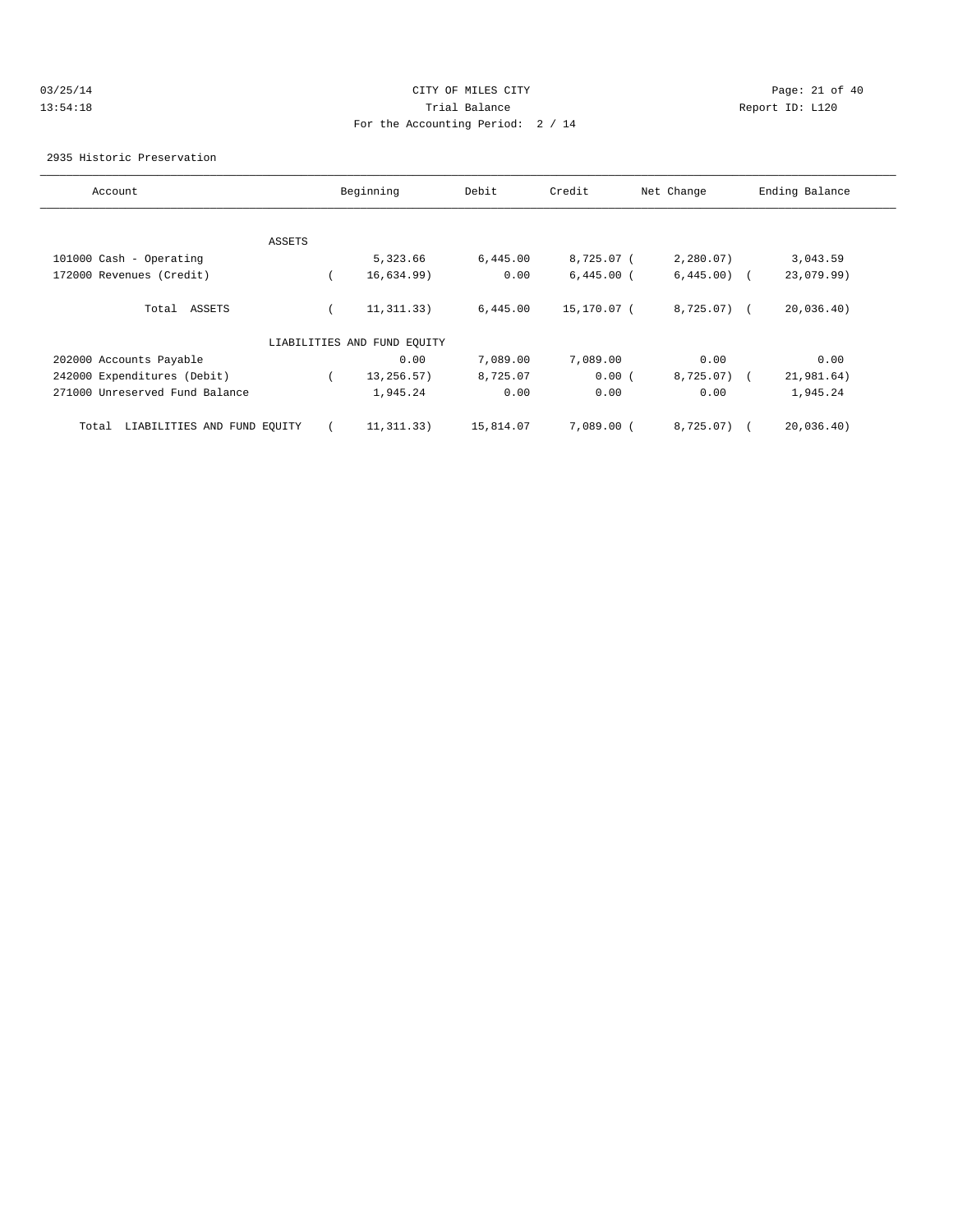## 03/25/14 Page: 21 of 40 13:54:18 Trial Balance Report ID: L120 For the Accounting Period: 2 / 14

2935 Historic Preservation

| Account                              |        | Beginning                   | Debit     | Credit       | Net Change   | Ending Balance |
|--------------------------------------|--------|-----------------------------|-----------|--------------|--------------|----------------|
|                                      |        |                             |           |              |              |                |
|                                      | ASSETS |                             |           |              |              |                |
| 101000 Cash - Operating              |        | 5,323.66                    | 6,445.00  | 8,725.07 (   | 2,280.07)    | 3,043.59       |
| 172000 Revenues (Credit)             |        | 16,634.99)                  | 0.00      | $6,445.00$ ( | $6,445.00$ ( | 23,079.99)     |
| Total ASSETS                         |        | 11, 311, 33)                | 6,445.00  | 15,170.07 (  | $8,725.07$ ( | 20,036.40)     |
|                                      |        | LIABILITIES AND FUND EQUITY |           |              |              |                |
| 202000 Accounts Payable              |        | 0.00                        | 7,089.00  | 7,089.00     | 0.00         | 0.00           |
| 242000 Expenditures (Debit)          |        | 13,256.57)                  | 8,725.07  | 0.00(        | $8,725.07$ ( | 21,981.64)     |
| 271000 Unreserved Fund Balance       |        | 1,945.24                    | 0.00      | 0.00         | 0.00         | 1,945.24       |
| LIABILITIES AND FUND EQUITY<br>Total |        | 11, 311, 33)                | 15,814.07 | 7,089.00 (   | 8,725.07)    | 20,036.40)     |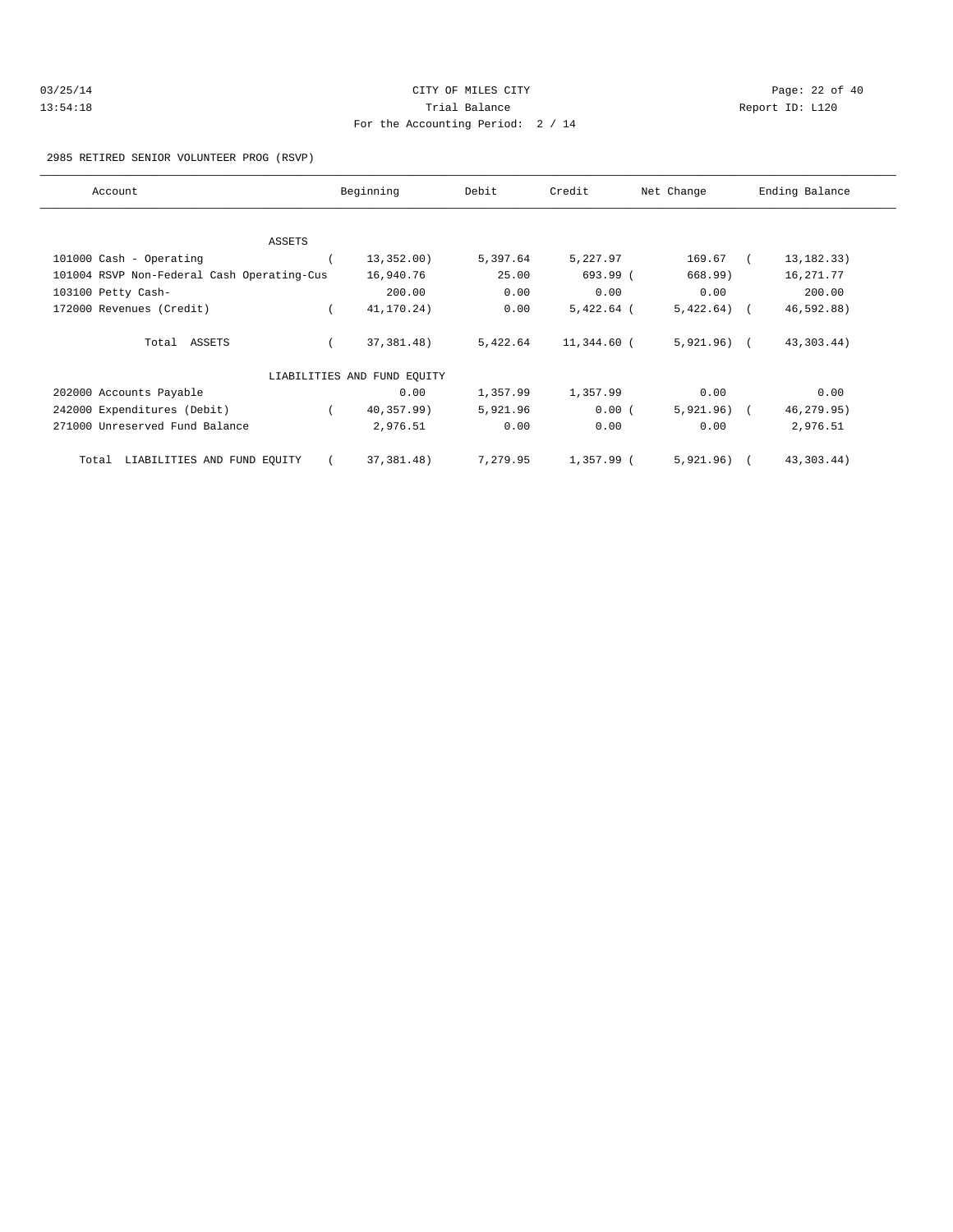| 03/25/14 | CITY OF MILES CITY                | Page: 22 of 40  |  |
|----------|-----------------------------------|-----------------|--|
| 13:54:18 | Trial Balance                     | Report ID: L120 |  |
|          | For the Accounting Period: 2 / 14 |                 |  |

2985 RETIRED SENIOR VOLUNTEER PROG (RSVP)

| Account                                    | Beginning                   | Debit    | Credit       | Net Change   | Ending Balance |
|--------------------------------------------|-----------------------------|----------|--------------|--------------|----------------|
|                                            |                             |          |              |              |                |
| <b>ASSETS</b>                              |                             |          |              |              |                |
| 101000 Cash - Operating                    | 13,352.00)                  | 5,397.64 | 5,227.97     | 169.67       | 13, 182. 33)   |
| 101004 RSVP Non-Federal Cash Operating-Cus | 16,940.76                   | 25.00    | 693.99 (     | 668.99)      | 16,271.77      |
| 103100 Petty Cash-                         | 200.00                      | 0.00     | 0.00         | 0.00         | 200.00         |
| 172000 Revenues (Credit)                   | 41,170.24)                  | 0.00     | $5,422.64$ ( | $5,422.64$ ( | 46,592.88)     |
| Total ASSETS                               | 37, 381. 48)                | 5,422.64 | 11,344.60 (  | $5,921.96$ ( | 43, 303. 44)   |
|                                            | LIABILITIES AND FUND EQUITY |          |              |              |                |
| 202000 Accounts Payable                    | 0.00                        | 1,357.99 | 1,357.99     | 0.00         | 0.00           |
| 242000 Expenditures (Debit)                | 40,357.99)                  | 5,921.96 | 0.00(        | $5,921.96$ ( | 46,279.95)     |
| 271000 Unreserved Fund Balance             | 2,976.51                    | 0.00     | 0.00         | 0.00         | 2,976.51       |
| LIABILITIES AND FUND EQUITY<br>Total       | 37,381.48)                  | 7,279.95 | 1,357.99 (   | $5,921.96$ ( | 43,303.44)     |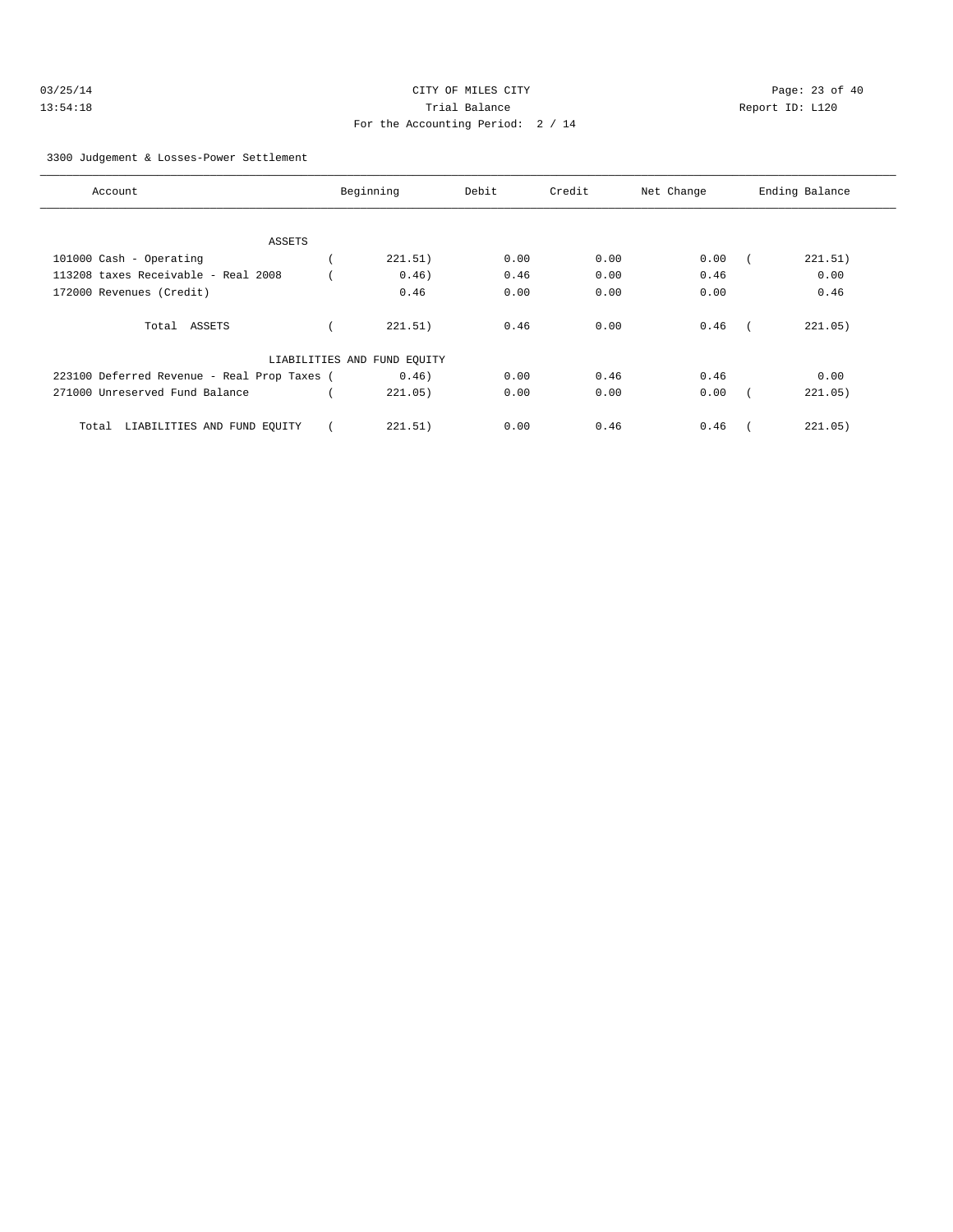| 03/25/14 | CITY OF MILES CITY                | Page: 23 of 40  |
|----------|-----------------------------------|-----------------|
| 13:54:18 | Trial Balance                     | Report ID: L120 |
|          | For the Accounting Period: 2 / 14 |                 |

3300 Judgement & Losses-Power Settlement

| Account                                     | Beginning                   | Debit | Credit | Net Change | Ending Balance |
|---------------------------------------------|-----------------------------|-------|--------|------------|----------------|
|                                             |                             |       |        |            |                |
| ASSETS                                      |                             |       |        |            |                |
| 101000 Cash - Operating                     | 221.51)                     | 0.00  | 0.00   | 0.00       | 221.51)        |
| 113208 taxes Receivable - Real 2008         | 0.46)                       | 0.46  | 0.00   | 0.46       | 0.00           |
| 172000 Revenues (Credit)                    | 0.46                        | 0.00  | 0.00   | 0.00       | 0.46           |
|                                             |                             |       |        |            |                |
| Total ASSETS                                | 221.51)                     | 0.46  | 0.00   | 0.46       | 221.05)        |
|                                             |                             |       |        |            |                |
|                                             | LIABILITIES AND FUND EQUITY |       |        |            |                |
| 223100 Deferred Revenue - Real Prop Taxes ( | 0.46)                       | 0.00  | 0.46   | 0.46       | 0.00           |
| 271000 Unreserved Fund Balance              | 221.05)                     | 0.00  | 0.00   | 0.00       | 221.05)        |
|                                             |                             |       |        |            |                |
| LIABILITIES AND FUND EQUITY<br>Total        | 221.51)                     | 0.00  | 0.46   | 0.46       | 221.05)        |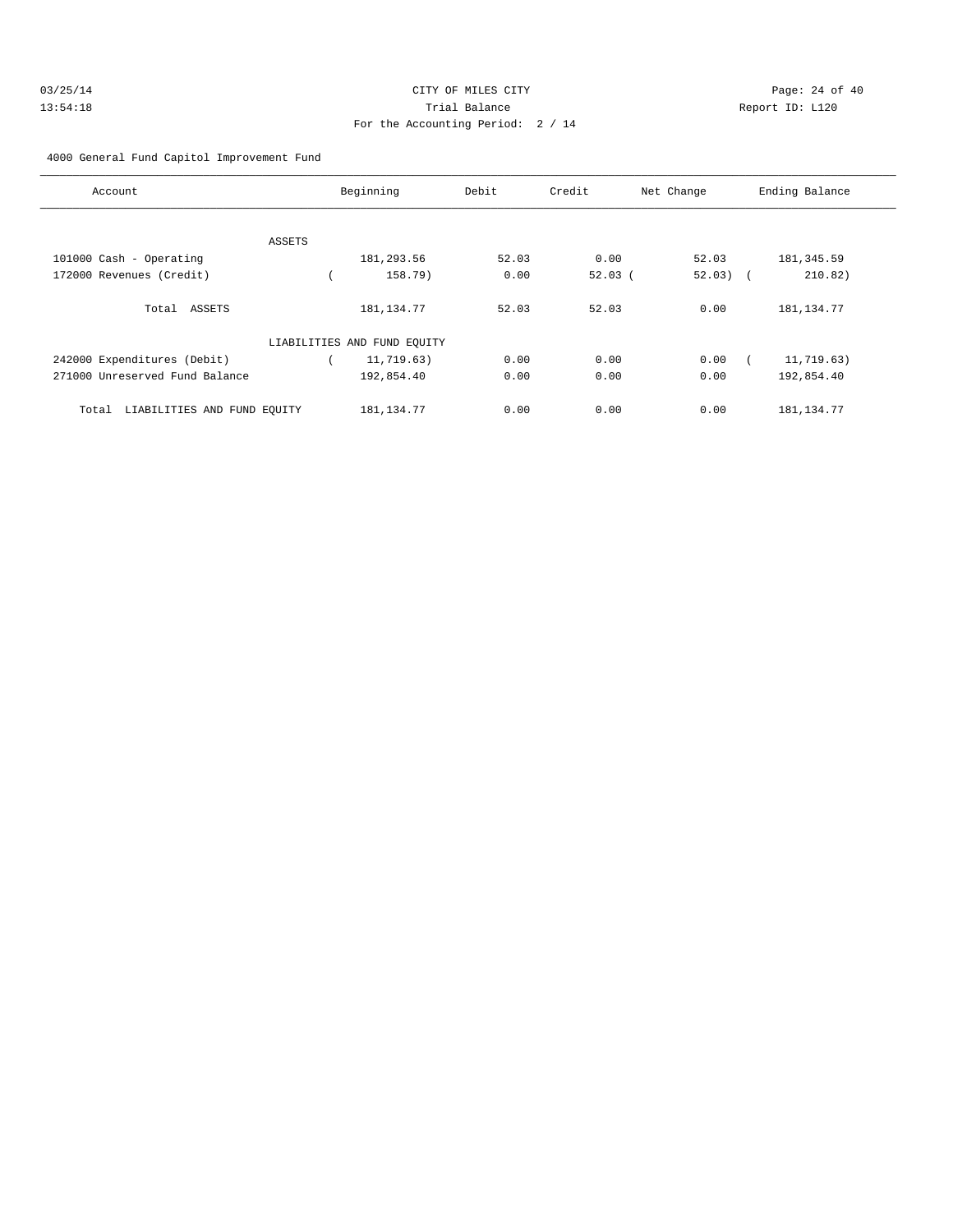| 03/25/14 | CITY OF MILES CITY                | Page: 24 of 40  |
|----------|-----------------------------------|-----------------|
| 13:54:18 | Trial Balance                     | Report ID: L120 |
|          | For the Accounting Period: 2 / 14 |                 |

4000 General Fund Capitol Improvement Fund

| Account                              |        | Beginning    | Debit | Credit | Net Change | Ending Balance |
|--------------------------------------|--------|--------------|-------|--------|------------|----------------|
|                                      |        |              |       |        |            |                |
|                                      | ASSETS |              |       |        |            |                |
| 101000 Cash - Operating              |        | 181,293.56   | 52.03 | 0.00   | 52.03      | 181, 345.59    |
| 172000 Revenues (Credit)             |        | 158.79)      | 0.00  | 52.03( | $52.03)$ ( | 210.82)        |
| Total ASSETS                         |        | 181, 134. 77 | 52.03 | 52.03  | 0.00       | 181, 134.77    |
| LIABILITIES AND FUND EQUITY          |        |              |       |        |            |                |
| 242000 Expenditures (Debit)          |        | 11,719.63)   | 0.00  | 0.00   | 0.00       | 11,719.63)     |
| 271000 Unreserved Fund Balance       |        | 192,854.40   | 0.00  | 0.00   | 0.00       | 192,854.40     |
| LIABILITIES AND FUND EOUITY<br>Total |        | 181, 134. 77 | 0.00  | 0.00   | 0.00       | 181, 134. 77   |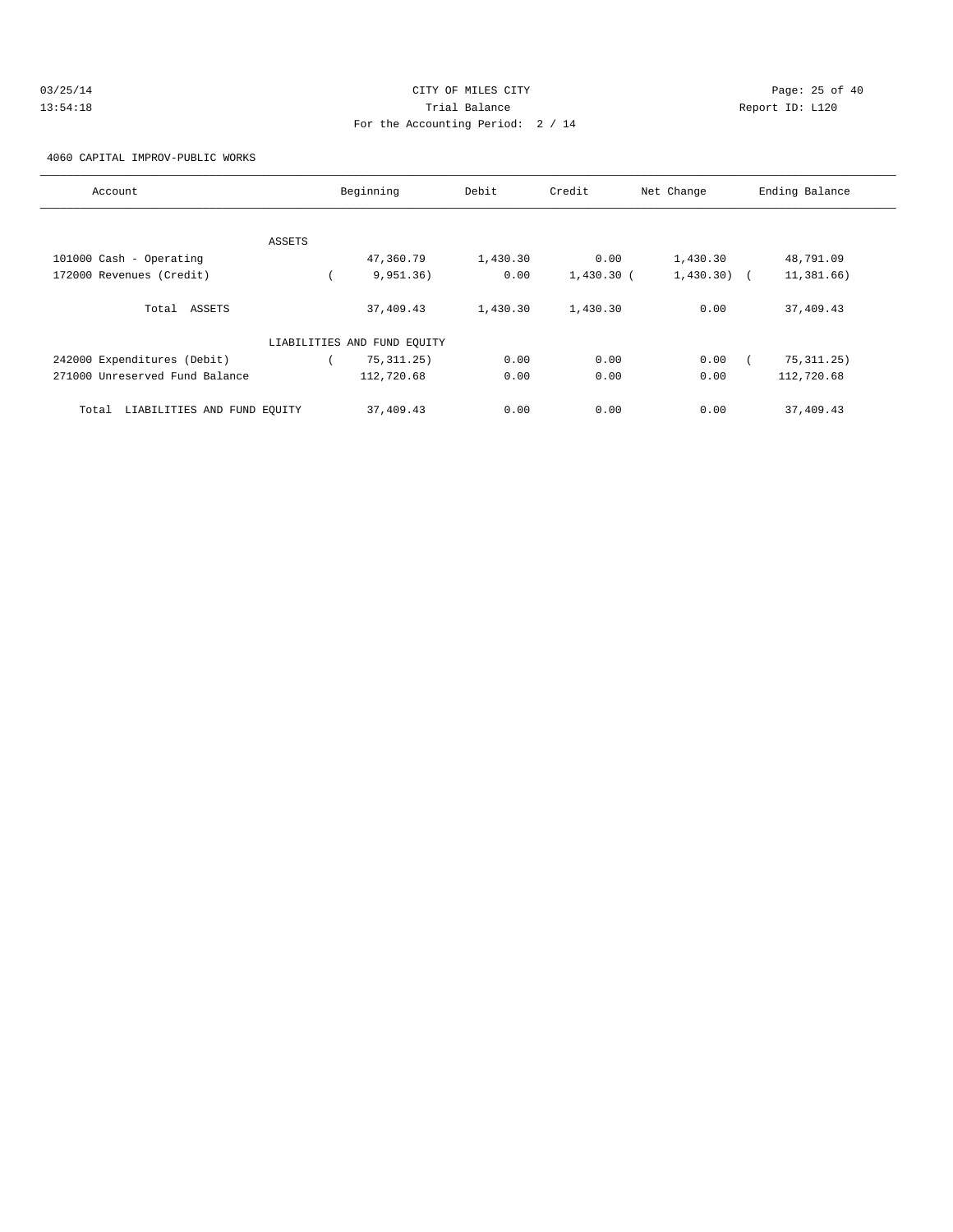| 03/25/14 | CITY OF MILES CITY                | Page: 25 of 40  |
|----------|-----------------------------------|-----------------|
| 13:54:18 | Trial Balance                     | Report ID: L120 |
|          | For the Accounting Period: 2 / 14 |                 |

4060 CAPITAL IMPROV-PUBLIC WORKS

| Account                              |        | Beginning    | Debit    | Credit       | Net Change    | Ending Balance |
|--------------------------------------|--------|--------------|----------|--------------|---------------|----------------|
|                                      |        |              |          |              |               |                |
|                                      | ASSETS |              |          |              |               |                |
| 101000 Cash - Operating              |        | 47,360.79    | 1,430.30 | 0.00         | 1,430.30      | 48,791.09      |
| 172000 Revenues (Credit)             |        | 9,951.36)    | 0.00     | $1,430.30$ ( | $1,430.30)$ ( | 11,381.66)     |
| Total ASSETS                         |        | 37,409.43    | 1,430.30 | 1,430.30     | 0.00          | 37,409.43      |
| LIABILITIES AND FUND EQUITY          |        |              |          |              |               |                |
| 242000 Expenditures (Debit)          |        | 75, 311, 25) | 0.00     | 0.00         | 0.00          | 75, 311.25)    |
| 271000 Unreserved Fund Balance       |        | 112,720.68   | 0.00     | 0.00         | 0.00          | 112,720.68     |
| LIABILITIES AND FUND EOUITY<br>Total |        | 37,409.43    | 0.00     | 0.00         | 0.00          | 37,409.43      |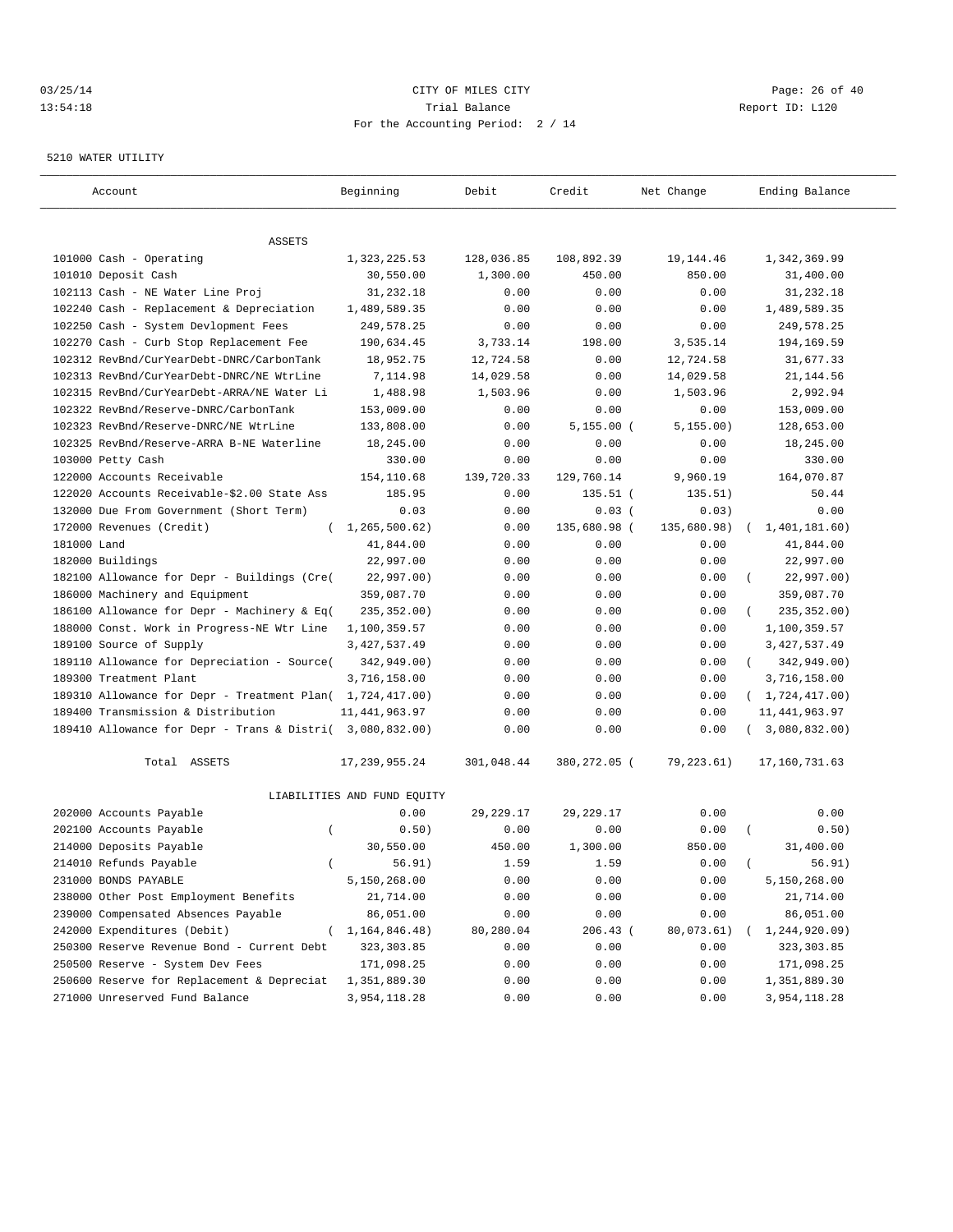## 03/25/14 Page: 26 of 40 13:54:18 Trial Balance Report ID: L120 For the Accounting Period: 2 / 14

#### 5210 WATER UTILITY

| Account                                                   | Beginning                   | Debit            | Credit               | Net Change           | Ending Balance          |
|-----------------------------------------------------------|-----------------------------|------------------|----------------------|----------------------|-------------------------|
|                                                           |                             |                  |                      |                      |                         |
| ASSETS                                                    |                             |                  |                      |                      |                         |
| 101000 Cash - Operating<br>101010 Deposit Cash            | 1,323,225.53                | 128,036.85       | 108,892.39<br>450.00 | 19, 144.46<br>850.00 | 1,342,369.99            |
| 102113 Cash - NE Water Line Proj                          | 30,550.00<br>31,232.18      | 1,300.00<br>0.00 | 0.00                 | 0.00                 | 31,400.00<br>31,232.18  |
| 102240 Cash - Replacement & Depreciation                  | 1,489,589.35                | 0.00             | 0.00                 | 0.00                 | 1,489,589.35            |
| 102250 Cash - System Devlopment Fees                      | 249,578.25                  | 0.00             | 0.00                 | 0.00                 | 249,578.25              |
| 102270 Cash - Curb Stop Replacement Fee                   | 190,634.45                  | 3,733.14         | 198.00               | 3,535.14             | 194,169.59              |
| 102312 RevBnd/CurYearDebt-DNRC/CarbonTank                 | 18,952.75                   | 12,724.58        | 0.00                 | 12,724.58            | 31,677.33               |
| 102313 RevBnd/CurYearDebt-DNRC/NE WtrLine                 | 7,114.98                    | 14,029.58        | 0.00                 | 14,029.58            | 21, 144.56              |
| 102315 RevBnd/CurYearDebt-ARRA/NE Water Li                | 1,488.98                    | 1,503.96         | 0.00                 | 1,503.96             | 2,992.94                |
| 102322 RevBnd/Reserve-DNRC/CarbonTank                     | 153,009.00                  | 0.00             | 0.00                 | 0.00                 | 153,009.00              |
| 102323 RevBnd/Reserve-DNRC/NE WtrLine                     | 133,808.00                  | 0.00             | $5,155.00$ (         | 5, 155.00)           | 128,653.00              |
| 102325 RevBnd/Reserve-ARRA B-NE Waterline                 | 18,245.00                   | 0.00             | 0.00                 | 0.00                 | 18,245.00               |
| 103000 Petty Cash                                         | 330.00                      | 0.00             | 0.00                 | 0.00                 | 330.00                  |
| 122000 Accounts Receivable                                | 154,110.68                  | 139,720.33       | 129,760.14           | 9,960.19             | 164,070.87              |
| 122020 Accounts Receivable-\$2.00 State Ass               | 185.95                      | 0.00             | $135.51$ (           | 135.51)              | 50.44                   |
| 132000 Due From Government (Short Term)                   | 0.03                        | 0.00             | 0.03(                | 0.03)                | 0.00                    |
| 172000 Revenues (Credit)<br>$\left($                      | 1,265,500.62)               | 0.00             | 135,680.98 (         | 135,680.98)          | 1,401,181.60)           |
| 181000 Land                                               | 41,844.00                   | 0.00             | 0.00                 | 0.00                 | 41,844.00               |
| 182000 Buildings                                          | 22,997.00                   | 0.00             | 0.00                 | 0.00                 | 22,997.00               |
| 182100 Allowance for Depr - Buildings (Cre(               | 22,997.00)                  | 0.00             | 0.00                 | 0.00                 | 22,997.00)              |
| 186000 Machinery and Equipment                            | 359,087.70                  | 0.00             | 0.00                 | 0.00                 | 359,087.70              |
| 186100 Allowance for Depr - Machinery & Eq(               | 235, 352.00)                | 0.00             | 0.00                 | 0.00                 | 235, 352.00)            |
| 188000 Const. Work in Progress-NE Wtr Line                | 1,100,359.57                | 0.00             | 0.00                 | 0.00                 | 1,100,359.57            |
| 189100 Source of Supply                                   | 3, 427, 537.49              | 0.00             | 0.00                 | 0.00                 | 3, 427, 537.49          |
| 189110 Allowance for Depreciation - Source(               | 342,949.00)                 | 0.00             | 0.00                 | 0.00                 | 342,949.00)<br>$\left($ |
| 189300 Treatment Plant                                    | 3,716,158.00                | 0.00             | 0.00                 | 0.00                 | 3,716,158.00            |
| 189310 Allowance for Depr - Treatment Plan( 1,724,417.00) |                             | 0.00             | 0.00                 | 0.00                 | (1, 724, 417.00)        |
| 189400 Transmission & Distribution                        | 11, 441, 963.97             | 0.00             | 0.00                 | 0.00                 | 11, 441, 963.97         |
| 189410 Allowance for Depr - Trans & Distri( 3,080,832.00) |                             | 0.00             | 0.00                 | 0.00                 | 3,080,832.00)           |
| Total ASSETS                                              | 17, 239, 955.24             | 301,048.44       | 380,272.05 (         | 79,223.61)           | 17,160,731.63           |
|                                                           | LIABILITIES AND FUND EQUITY |                  |                      |                      |                         |
| 202000 Accounts Payable                                   | 0.00                        | 29, 229. 17      | 29, 229. 17          | 0.00                 | 0.00                    |
| 202100 Accounts Payable<br>$\overline{ }$                 | 0.50)                       | 0.00             | 0.00                 | 0.00                 | 0.50)                   |
| 214000 Deposits Payable                                   | 30,550.00                   | 450.00           | 1,300.00             | 850.00               | 31,400.00               |
| 214010 Refunds Payable<br>$\left($                        | 56.91)                      | 1.59             | 1.59                 | 0.00                 | 56.91)<br>$\left($      |
| 231000 BONDS PAYABLE                                      | 5,150,268.00                | 0.00             | 0.00                 | 0.00                 | 5,150,268.00            |
| 238000 Other Post Employment Benefits                     | 21,714.00                   | 0.00             | 0.00                 | 0.00                 | 21,714.00               |
| 239000 Compensated Absences Payable                       | 86,051.00                   | 0.00             | 0.00                 | 0.00                 | 86,051.00               |
| 242000 Expenditures (Debit)                               | 1, 164, 846. 48)            | 80,280.04        | 206.43 (             | 80,073.61)           | 1,244,920.09)           |
| 250300 Reserve Revenue Bond - Current Debt                | 323, 303.85                 | 0.00             | 0.00                 | 0.00                 | 323,303.85              |
| 250500 Reserve - System Dev Fees                          | 171,098.25                  | 0.00             | 0.00                 | 0.00                 | 171,098.25              |
| 250600 Reserve for Replacement & Depreciat                | 1,351,889.30                | 0.00             | 0.00                 | 0.00                 | 1,351,889.30            |
| 271000 Unreserved Fund Balance                            | 3,954,118.28                | 0.00             | 0.00                 | 0.00                 | 3,954,118.28            |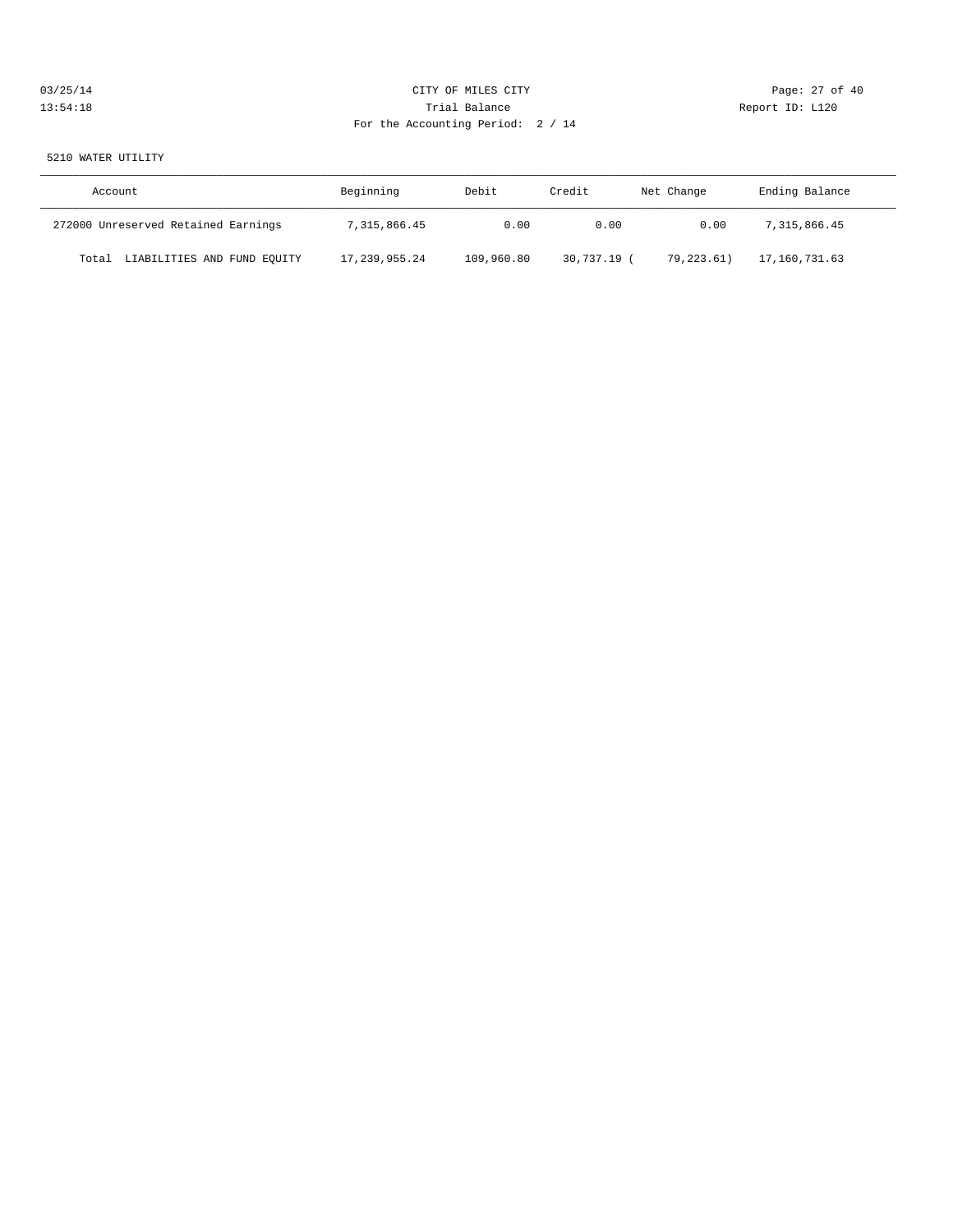| 03/25/14 | CITY OF MILES CITY                | Page: 27 of 40  |
|----------|-----------------------------------|-----------------|
| 13:54:18 | Trial Balance                     | Report ID: L120 |
|          | For the Accounting Period: 2 / 14 |                 |

5210 WATER UTILITY

| Account                              | Beginning     | Debit      | Credit    | Net Change | Ending Balance |
|--------------------------------------|---------------|------------|-----------|------------|----------------|
| 272000 Unreserved Retained Earnings  | 7,315,866.45  | 0.00       | 0.00      | 0.00       | 7,315,866.45   |
| LIABILITIES AND FUND EQUITY<br>Total | 17,239,955.24 | 109,960.80 | 30,737.19 | 79,223.61) | 17,160,731.63  |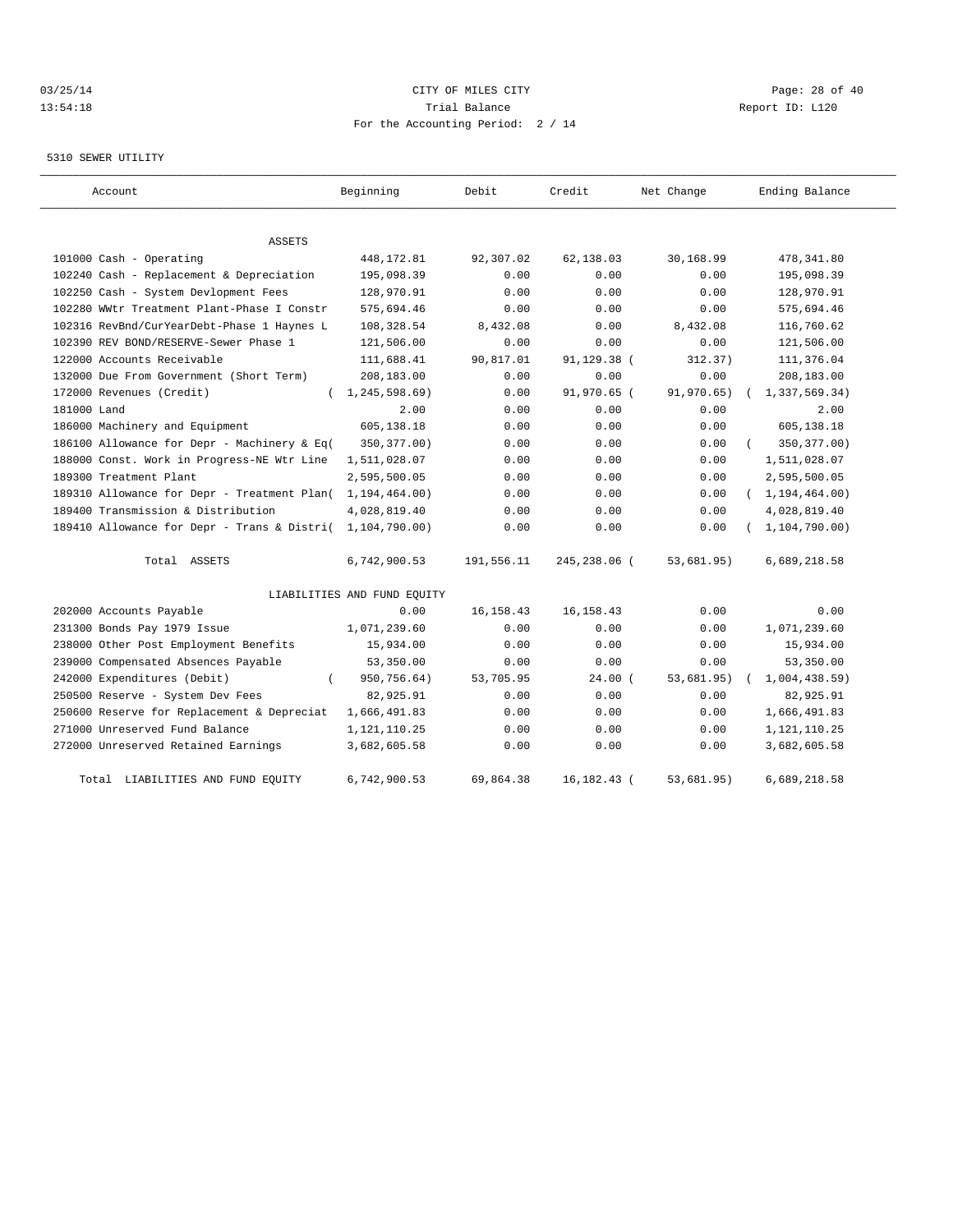## 03/25/14 Page: 28 of 40 13:54:18 Trial Balance Report ID: L120 For the Accounting Period: 2 / 14

## 5310 SEWER UTILITY

| Account                                     | Beginning                   | Debit       | Credit          | Net Change | Ending Balance   |
|---------------------------------------------|-----------------------------|-------------|-----------------|------------|------------------|
| <b>ASSETS</b>                               |                             |             |                 |            |                  |
| 101000 Cash - Operating                     | 448, 172.81                 | 92,307.02   | 62,138.03       | 30,168.99  | 478,341.80       |
| 102240 Cash - Replacement & Depreciation    | 195,098.39                  | 0.00        | 0.00            | 0.00       | 195,098.39       |
| 102250 Cash - System Devlopment Fees        | 128,970.91                  | 0.00        | 0.00            | 0.00       | 128,970.91       |
| 102280 WWtr Treatment Plant-Phase I Constr  | 575,694.46                  | 0.00        | 0.00            | 0.00       | 575,694.46       |
| 102316 RevBnd/CurYearDebt-Phase 1 Haynes L  | 108, 328.54                 | 8,432.08    | 0.00            | 8,432.08   | 116,760.62       |
| 102390 REV BOND/RESERVE-Sewer Phase 1       | 121,506.00                  | 0.00        | 0.00            | 0.00       | 121,506.00       |
| 122000 Accounts Receivable                  | 111,688.41                  | 90,817.01   | 91,129.38 (     | 312.37)    | 111,376.04       |
| 132000 Due From Government (Short Term)     | 208,183.00                  | 0.00        | 0.00            | 0.00       | 208,183.00       |
| 172000 Revenues (Credit)<br>$\left($        | 1, 245, 598.69              | 0.00        | 91,970.65 (     | 91,970.65) | 1,337,569.34)    |
| 181000 Land                                 | 2.00                        | 0.00        | 0.00            | 0.00       | 2.00             |
| 186000 Machinery and Equipment              | 605,138.18                  | 0.00        | 0.00            | 0.00       | 605,138.18       |
| 186100 Allowance for Depr - Machinery & Eq( | 350, 377.00)                | 0.00        | 0.00            | 0.00       | 350, 377.00)     |
| 188000 Const. Work in Progress-NE Wtr Line  | 1,511,028.07                | 0.00        | 0.00            | 0.00       | 1,511,028.07     |
| 189300 Treatment Plant                      | 2,595,500.05                | 0.00        | 0.00            | 0.00       | 2,595,500.05     |
| 189310 Allowance for Depr - Treatment Plan( | 1, 194, 464.00)             | 0.00        | 0.00            | 0.00       | (1, 194, 464.00) |
| 189400 Transmission & Distribution          | 4,028,819.40                | 0.00        | 0.00            | 0.00       | 4,028,819.40     |
| 189410 Allowance for Depr - Trans & Distri( | 1,104,790.00)               | 0.00        | 0.00            | 0.00       | 1, 104, 790.00)  |
| Total ASSETS                                | 6,742,900.53                | 191,556.11  | 245,238.06 (    | 53,681.95) | 6,689,218.58     |
|                                             | LIABILITIES AND FUND EQUITY |             |                 |            |                  |
| 202000 Accounts Payable                     | 0.00                        | 16, 158. 43 | 16, 158. 43     | 0.00       | 0.00             |
| 231300 Bonds Pay 1979 Issue                 | 1,071,239.60                | 0.00        | 0.00            | 0.00       | 1,071,239.60     |
| 238000 Other Post Employment Benefits       | 15,934.00                   | 0.00        | 0.00            | 0.00       | 15,934.00        |
| 239000 Compensated Absences Payable         | 53,350.00                   | 0.00        | 0.00            | 0.00       | 53,350.00        |
| 242000 Expenditures (Debit)                 | 950,756.64)                 | 53,705.95   | $24.00$ (       | 53,681.95) | 1,004,438.59     |
| 250500 Reserve - System Dev Fees            | 82,925.91                   | 0.00        | 0.00            | 0.00       | 82,925.91        |
| 250600 Reserve for Replacement & Depreciat  | 1,666,491.83                | 0.00        | 0.00            | 0.00       | 1,666,491.83     |
| 271000 Unreserved Fund Balance              | 1,121,110.25                | 0.00        | 0.00            | 0.00       | 1, 121, 110. 25  |
| 272000 Unreserved Retained Earnings         | 3,682,605.58                | 0.00        | 0.00            | 0.00       | 3,682,605.58     |
| Total LIABILITIES AND FUND EQUITY           | 6,742,900.53                | 69,864.38   | $16, 182, 43$ ( | 53,681.95) | 6,689,218.58     |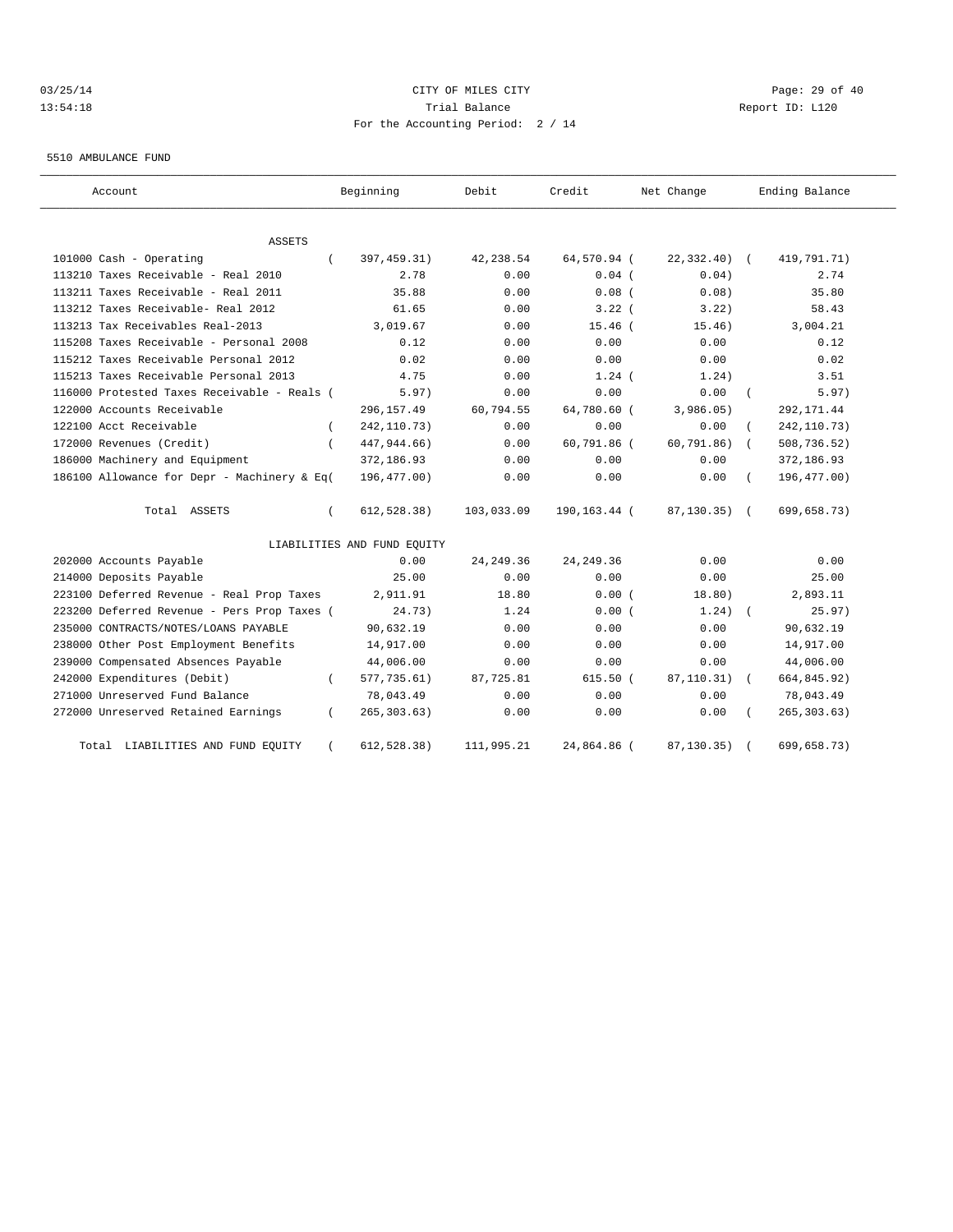## 03/25/14 Page: 29 of 40 13:54:18 Change Report ID: L120 For the Accounting Period: 2 / 14

5510 AMBULANCE FUND

| Account                                     |          | Beginning                   | Debit      | Credit       | Net Change       | Ending Balance |
|---------------------------------------------|----------|-----------------------------|------------|--------------|------------------|----------------|
| ASSETS                                      |          |                             |            |              |                  |                |
| 101000 Cash - Operating                     |          | 397, 459. 31)               | 42,238.54  | 64,570.94 (  | $22,332.40$ (    | 419,791.71)    |
| 113210 Taxes Receivable - Real 2010         |          | 2.78                        | 0.00       | $0.04$ (     | 0.04)            | 2.74           |
| 113211 Taxes Receivable - Real 2011         |          | 35.88                       | 0.00       | $0.08$ (     | 0.08             | 35.80          |
| 113212 Taxes Receivable- Real 2012          |          | 61.65                       | 0.00       | 3.22(        | 3.22)            | 58.43          |
| 113213 Tax Receivables Real-2013            |          | 3,019.67                    | 0.00       | $15.46$ $($  | 15.46)           | 3,004.21       |
| 115208 Taxes Receivable - Personal 2008     |          | 0.12                        | 0.00       | 0.00         | 0.00             | 0.12           |
| 115212 Taxes Receivable Personal 2012       |          | 0.02                        | 0.00       | 0.00         | 0.00             | 0.02           |
| 115213 Taxes Receivable Personal 2013       |          | 4.75                        | 0.00       | $1.24$ (     | 1.24)            | 3.51           |
| 116000 Protested Taxes Receivable - Reals ( |          | 5.97)                       | 0.00       | 0.00         | 0.00             | 5.97)          |
| 122000 Accounts Receivable                  |          | 296, 157.49                 | 60,794.55  | 64,780.60 (  | 3,986.05)        | 292, 171.44    |
| 122100 Acct Receivable                      | $\left($ | 242, 110.73)                | 0.00       | 0.00         | 0.00             | 242, 110.73)   |
| 172000 Revenues (Credit)                    | $\left($ | 447, 944.66)                | 0.00       | 60,791.86 (  | 60, 791.86)      | 508,736.52)    |
| 186000 Machinery and Equipment              |          | 372,186.93                  | 0.00       | 0.00         | 0.00             | 372,186.93     |
| 186100 Allowance for Depr - Machinery & Eq( |          | 196,477.00)                 | 0.00       | 0.00         | 0.00             | 196, 477.00)   |
| Total ASSETS                                |          | 612, 528.38)                | 103,033.09 | 190,163.44 ( | $87, 130, 35)$ ( | 699,658.73)    |
|                                             |          | LIABILITIES AND FUND EQUITY |            |              |                  |                |
| 202000 Accounts Payable                     |          | 0.00                        | 24, 249.36 | 24, 249.36   | 0.00             | 0.00           |
| 214000 Deposits Payable                     |          | 25.00                       | 0.00       | 0.00         | 0.00             | 25.00          |
| 223100 Deferred Revenue - Real Prop Taxes   |          | 2,911.91                    | 18.80      | 0.00(        | 18.80)           | 2,893.11       |
| 223200 Deferred Revenue - Pers Prop Taxes ( |          | 24.73)                      | 1.24       | 0.00(        | 1.24)            | 25.97)         |
| 235000 CONTRACTS/NOTES/LOANS PAYABLE        |          | 90,632.19                   | 0.00       | 0.00         | 0.00             | 90,632.19      |
| 238000 Other Post Employment Benefits       |          | 14,917.00                   | 0.00       | 0.00         | 0.00             | 14,917.00      |
| 239000 Compensated Absences Payable         |          | 44,006.00                   | 0.00       | 0.00         | 0.00             | 44,006.00      |
| 242000 Expenditures (Debit)                 |          | 577,735.61)                 | 87,725.81  | 615.50(      | 87, 110.31)      | 664,845.92)    |
| 271000 Unreserved Fund Balance              |          | 78,043.49                   | 0.00       | 0.00         | 0.00             | 78,043.49      |
| 272000 Unreserved Retained Earnings         |          | 265, 303.63)                | 0.00       | 0.00         | 0.00             | 265, 303.63)   |
| Total LIABILITIES AND FUND EQUITY           |          | 612, 528.38)                | 111,995.21 | 24,864.86 (  | 87,130.35)       | 699,658.73)    |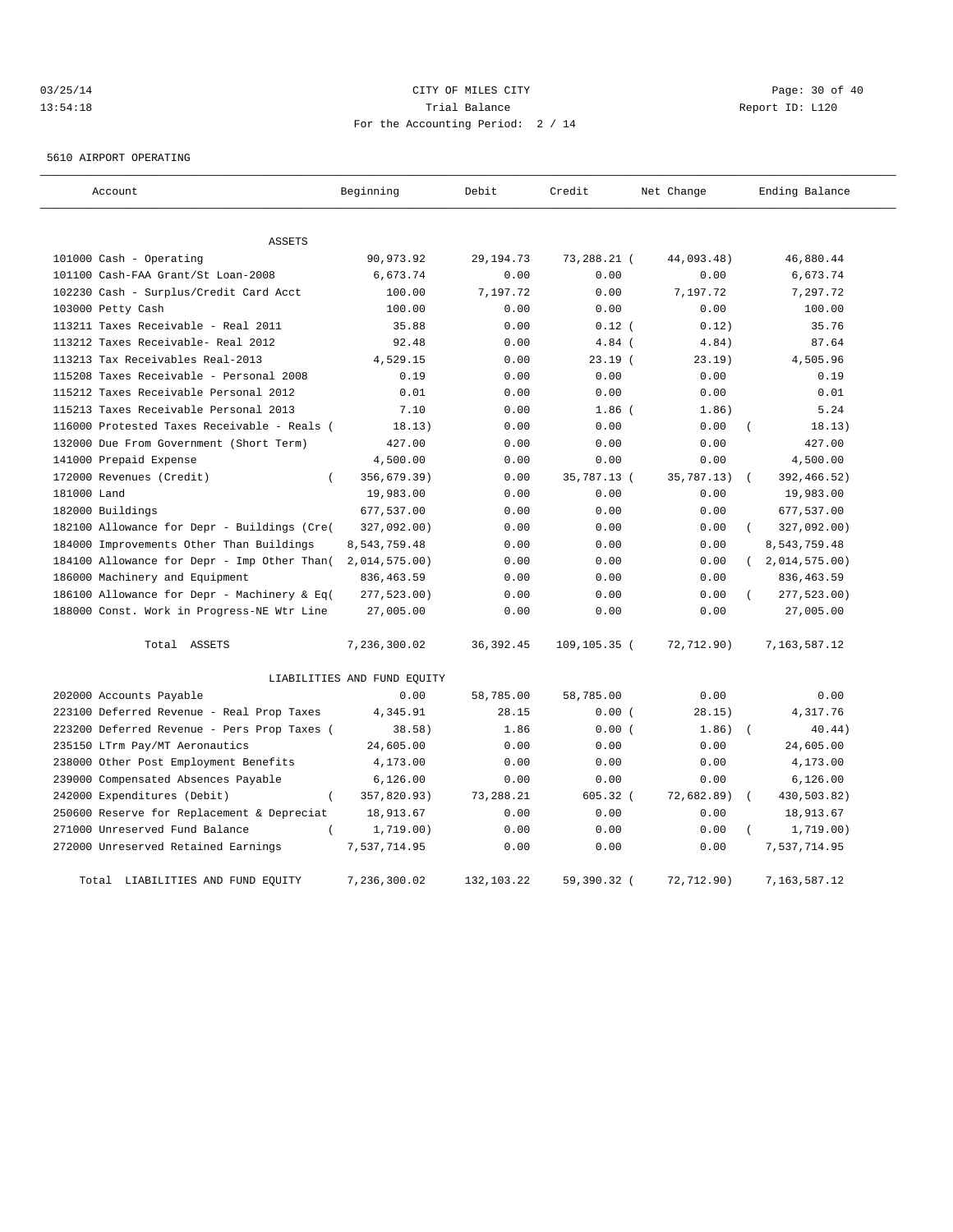# 03/25/14 Page: 30 of 40 13:54:18 Trial Balance Report ID: L120 For the Accounting Period: 2 / 14

5610 AIRPORT OPERATING

| Account                                     | Beginning                   | Debit       | Credit          | Net Change | Ending Balance       |
|---------------------------------------------|-----------------------------|-------------|-----------------|------------|----------------------|
| <b>ASSETS</b>                               |                             |             |                 |            |                      |
| 101000 Cash - Operating                     | 90,973.92                   | 29, 194. 73 | 73,288.21 (     | 44,093.48) | 46,880.44            |
| 101100 Cash-FAA Grant/St Loan-2008          | 6,673.74                    | 0.00        | 0.00            | 0.00       | 6,673.74             |
| 102230 Cash - Surplus/Credit Card Acct      | 100.00                      | 7,197.72    | 0.00            | 7,197.72   | 7,297.72             |
| 103000 Petty Cash                           | 100.00                      | 0.00        | 0.00            | 0.00       | 100.00               |
| 113211 Taxes Receivable - Real 2011         | 35.88                       | 0.00        | $0.12$ (        | 0.12)      | 35.76                |
| 113212 Taxes Receivable- Real 2012          | 92.48                       | 0.00        | $4.84$ (        | 4.84)      | 87.64                |
| 113213 Tax Receivables Real-2013            | 4,529.15                    | 0.00        | 23.19(          | 23.19)     | 4,505.96             |
| 115208 Taxes Receivable - Personal 2008     | 0.19                        | 0.00        | 0.00            | 0.00       | 0.19                 |
| 115212 Taxes Receivable Personal 2012       | 0.01                        | 0.00        | 0.00            | 0.00       | 0.01                 |
| 115213 Taxes Receivable Personal 2013       | 7.10                        | 0.00        | $1.86$ $($      | 1.86)      | 5.24                 |
| 116000 Protested Taxes Receivable - Reals ( | 18.13)                      | 0.00        | 0.00            | 0.00       | 18.13)               |
| 132000 Due From Government (Short Term)     | 427.00                      | 0.00        | 0.00            | 0.00       | 427.00               |
| 141000 Prepaid Expense                      | 4,500.00                    | 0.00        | 0.00            | 0.00       | 4,500.00             |
| 172000 Revenues (Credit)<br>$\left($        | 356,679.39)                 | 0.00        | 35,787.13 (     | 35,787.13) | 392,466.52)          |
| 181000 Land                                 | 19,983.00                   | 0.00        | 0.00            | 0.00       | 19,983.00            |
| 182000 Buildings                            | 677,537.00                  | 0.00        | 0.00            | 0.00       | 677,537.00           |
| 182100 Allowance for Depr - Buildings (Cre( | 327,092.00)                 | 0.00        | 0.00            | 0.00       | 327,092.00)          |
| 184000 Improvements Other Than Buildings    | 8,543,759.48                | 0.00        | 0.00            | 0.00       | 8,543,759.48         |
| 184100 Allowance for Depr - Imp Other Than( | $2,014,575.00$ )            | 0.00        | 0.00            | 0.00       | (2,014,575.00)       |
| 186000 Machinery and Equipment              | 836, 463.59                 | 0.00        | 0.00            | 0.00       | 836, 463.59          |
| 186100 Allowance for Depr - Machinery & Eq( | 277,523.00)                 | 0.00        | 0.00            | 0.00       | 277,523.00)          |
| 188000 Const. Work in Progress-NE Wtr Line  | 27,005.00                   | 0.00        | 0.00            | 0.00       | 27,005.00            |
| Total ASSETS                                | 7,236,300.02                | 36, 392.45  | $109, 105.35$ ( | 72,712.90) | 7,163,587.12         |
|                                             | LIABILITIES AND FUND EQUITY |             |                 |            |                      |
| 202000 Accounts Payable                     | 0.00                        | 58,785.00   | 58,785.00       | 0.00       | 0.00                 |
| 223100 Deferred Revenue - Real Prop Taxes   | 4,345.91                    | 28.15       | 0.00(           | 28.15)     | 4,317.76             |
| 223200 Deferred Revenue - Pers Prop Taxes ( | 38.58)                      | 1.86        | 0.00(           | 1.86)      | 40.44)<br>$\sqrt{2}$ |
| 235150 LTrm Pay/MT Aeronautics              | 24,605.00                   | 0.00        | 0.00            | 0.00       | 24,605.00            |
| 238000 Other Post Employment Benefits       | 4,173.00                    | 0.00        | 0.00            | 0.00       | 4,173.00             |
| 239000 Compensated Absences Payable         | 6,126.00                    | 0.00        | 0.00            | 0.00       | 6,126.00             |
| 242000 Expenditures (Debit)<br>$\left($     | 357,820.93)                 | 73,288.21   | $605.32$ (      | 72,682.89) | 430,503.82)          |
| 250600 Reserve for Replacement & Depreciat  | 18,913.67                   | 0.00        | 0.00            | 0.00       | 18,913.67            |
| 271000 Unreserved Fund Balance<br>$\left($  | 1,719.00)                   | 0.00        | 0.00            | 0.00       | 1,719.00)            |
| 272000 Unreserved Retained Earnings         | 7,537,714.95                | 0.00        | 0.00            | 0.00       | 7,537,714.95         |
| Total LIABILITIES AND FUND EQUITY           | 7,236,300.02                | 132,103.22  | 59,390.32 (     | 72,712.90) | 7,163,587.12         |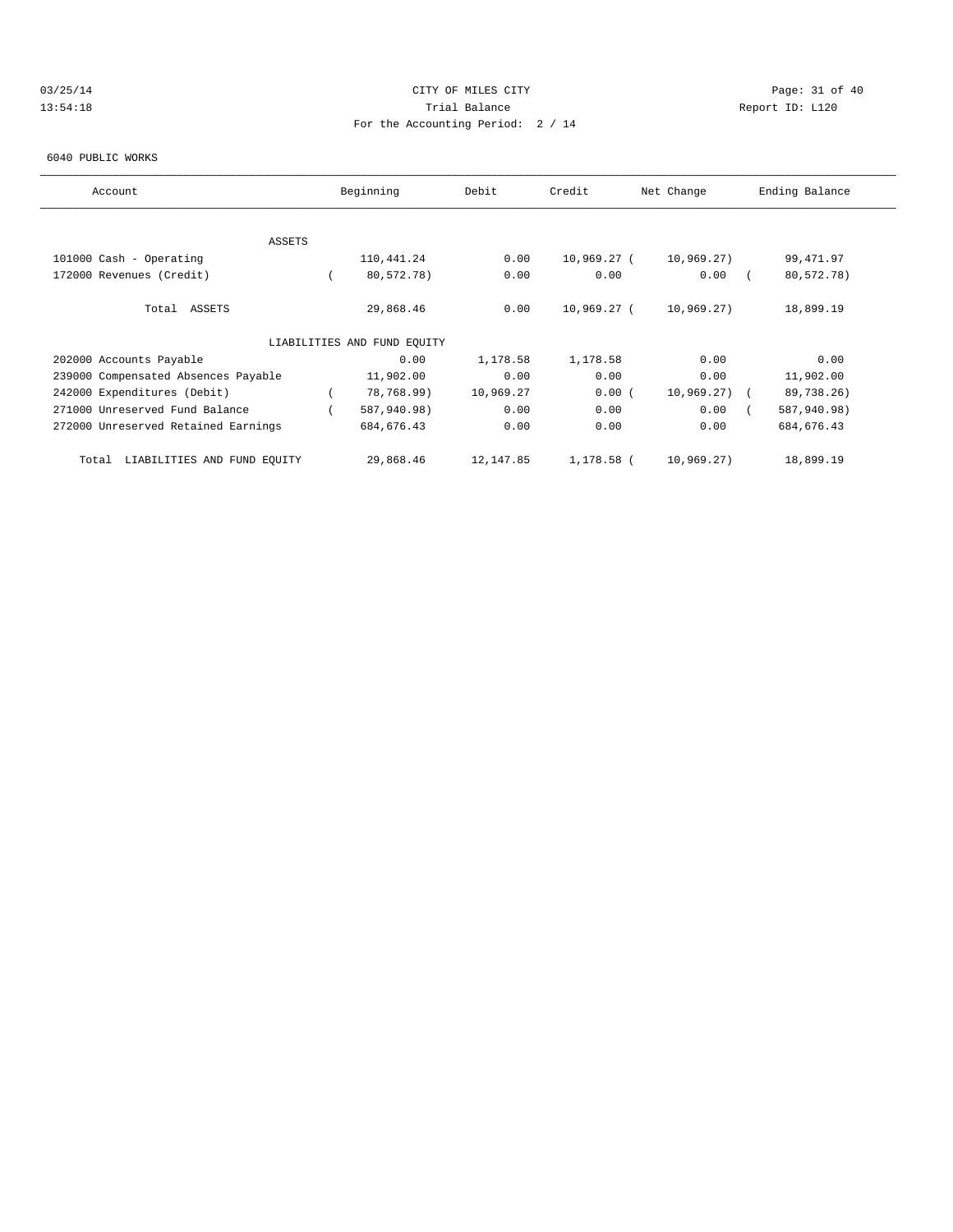# 03/25/14 Page: 31 of 40 13:54:18 Trial Balance Report ID: L120 For the Accounting Period: 2 / 14

#### 6040 PUBLIC WORKS

| Account                              | Beginning                   | Debit     | Credit      | Net Change    | Ending Balance |  |
|--------------------------------------|-----------------------------|-----------|-------------|---------------|----------------|--|
|                                      |                             |           |             |               |                |  |
| <b>ASSETS</b>                        |                             |           |             |               |                |  |
| 101000 Cash - Operating              | 110,441.24                  | 0.00      | 10,969.27 ( | 10,969.27)    | 99,471.97      |  |
| 172000 Revenues (Credit)             | 80,572.78)                  | 0.00      | 0.00        | 0.00          | 80,572.78)     |  |
| Total ASSETS                         | 29,868.46                   | 0.00      | 10,969.27 ( | 10,969.27)    | 18,899.19      |  |
|                                      | LIABILITIES AND FUND EQUITY |           |             |               |                |  |
| 202000 Accounts Payable              | 0.00                        | 1,178.58  | 1,178.58    | 0.00          | 0.00           |  |
| 239000 Compensated Absences Payable  | 11,902.00                   | 0.00      | 0.00        | 0.00          | 11,902.00      |  |
| 242000 Expenditures (Debit)          | 78,768.99)                  | 10,969.27 | 0.00(       | $10,969.27$ ( | 89,738.26)     |  |
| 271000 Unreserved Fund Balance       | 587,940.98)                 | 0.00      | 0.00        | 0.00          | 587,940.98)    |  |
| 272000 Unreserved Retained Earnings  | 684, 676.43                 | 0.00      | 0.00        | 0.00          | 684, 676.43    |  |
| LIABILITIES AND FUND EQUITY<br>Total | 29,868.46                   | 12,147.85 | 1,178.58 (  | 10,969.27)    | 18,899.19      |  |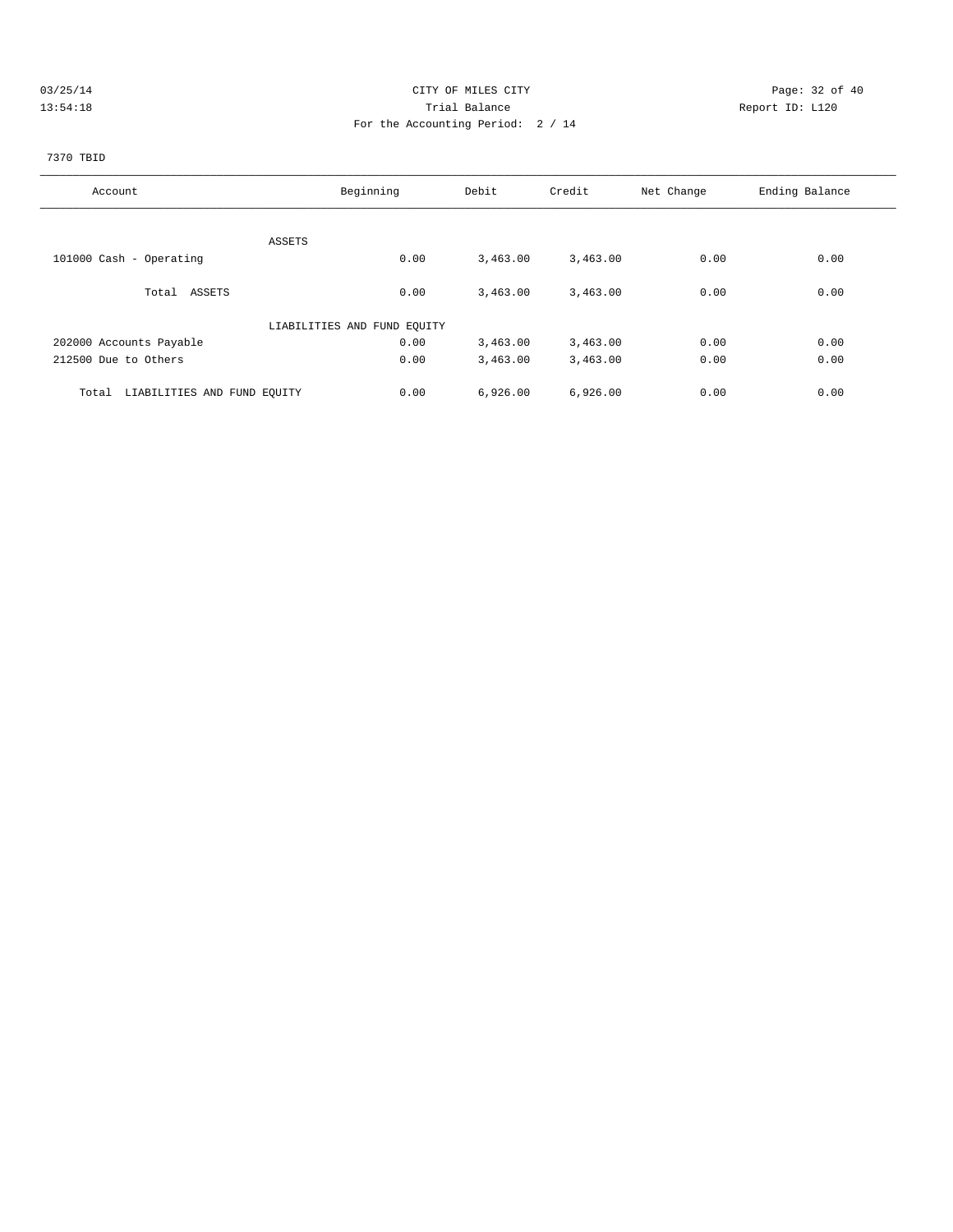## 03/25/14 Page: 32 of 40 13:54:18 Trial Balance Report ID: L120 For the Accounting Period: 2 / 14

# 7370 TBID

| Account                              | Beginning                   | Debit    | Credit   | Net Change | Ending Balance |
|--------------------------------------|-----------------------------|----------|----------|------------|----------------|
|                                      |                             |          |          |            |                |
| ASSETS                               |                             |          |          |            |                |
| 101000 Cash - Operating              | 0.00                        | 3,463.00 | 3,463.00 | 0.00       | 0.00           |
| Total ASSETS                         | 0.00                        | 3,463.00 | 3,463.00 | 0.00       | 0.00           |
|                                      | LIABILITIES AND FUND EQUITY |          |          |            |                |
| 202000 Accounts Payable              | 0.00                        | 3,463.00 | 3,463.00 | 0.00       | 0.00           |
| 212500 Due to Others                 | 0.00                        | 3,463.00 | 3,463.00 | 0.00       | 0.00           |
| Total<br>LIABILITIES AND FUND EQUITY | 0.00                        | 6,926.00 | 6,926.00 | 0.00       | 0.00           |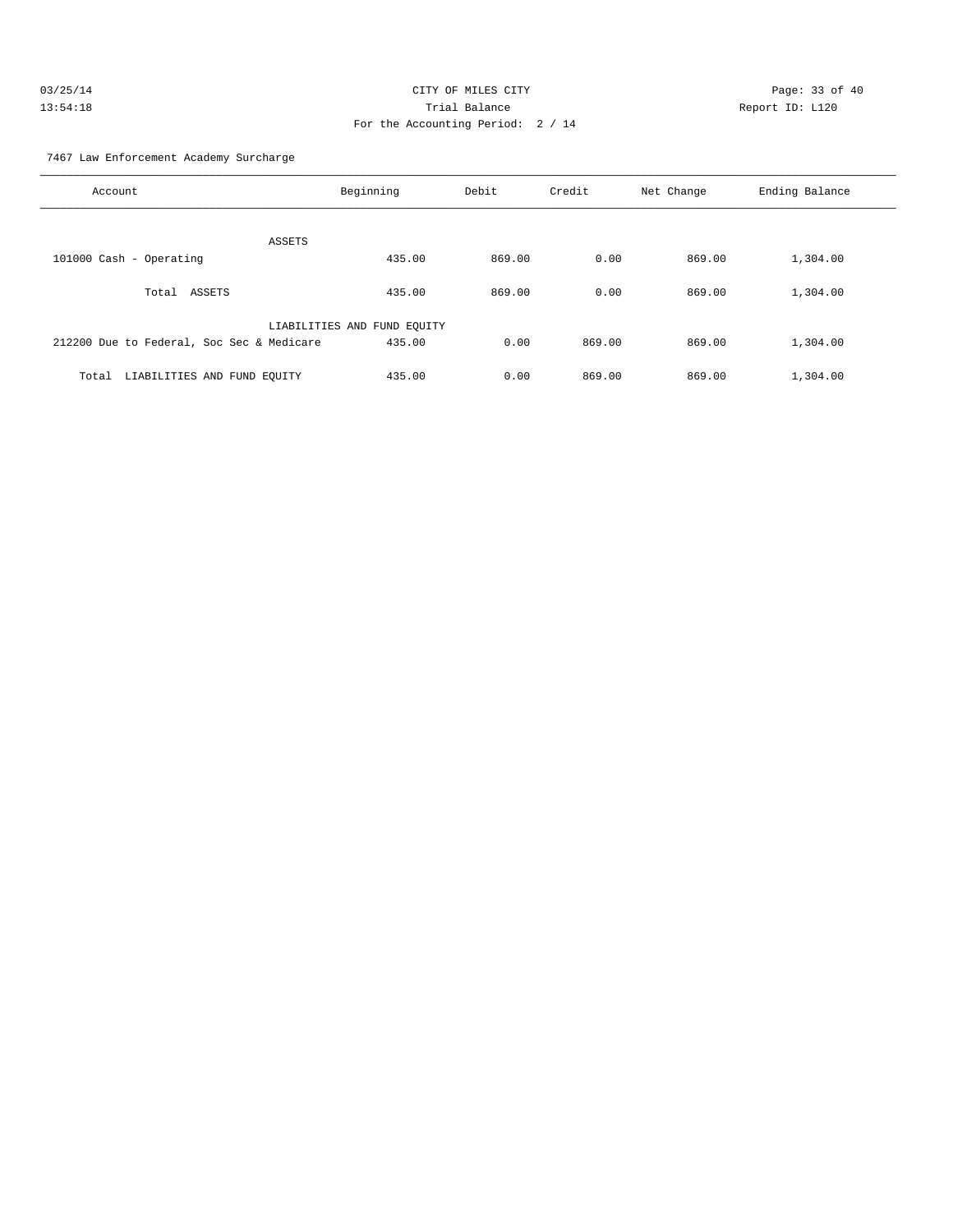| 03/25/14 | CITY OF MILES CITY                |                 | Page: 33 of 40 |
|----------|-----------------------------------|-----------------|----------------|
| 13:54:18 | Trial Balance                     | Report ID: L120 |                |
|          | For the Accounting Period: 2 / 14 |                 |                |

7467 Law Enforcement Academy Surcharge

| Account                                   | Beginning                   | Debit  | Credit | Net Change | Ending Balance |
|-------------------------------------------|-----------------------------|--------|--------|------------|----------------|
| ASSETS                                    |                             |        |        |            |                |
| 101000 Cash - Operating                   | 435.00                      | 869.00 | 0.00   | 869.00     | 1,304.00       |
| ASSETS<br>Total                           | 435.00                      | 869.00 | 0.00   | 869.00     | 1,304.00       |
|                                           | LIABILITIES AND FUND EQUITY |        |        |            |                |
| 212200 Due to Federal, Soc Sec & Medicare | 435.00                      | 0.00   | 869.00 | 869.00     | 1,304.00       |
| LIABILITIES AND FUND EQUITY<br>Total      | 435.00                      | 0.00   | 869.00 | 869.00     | 1,304.00       |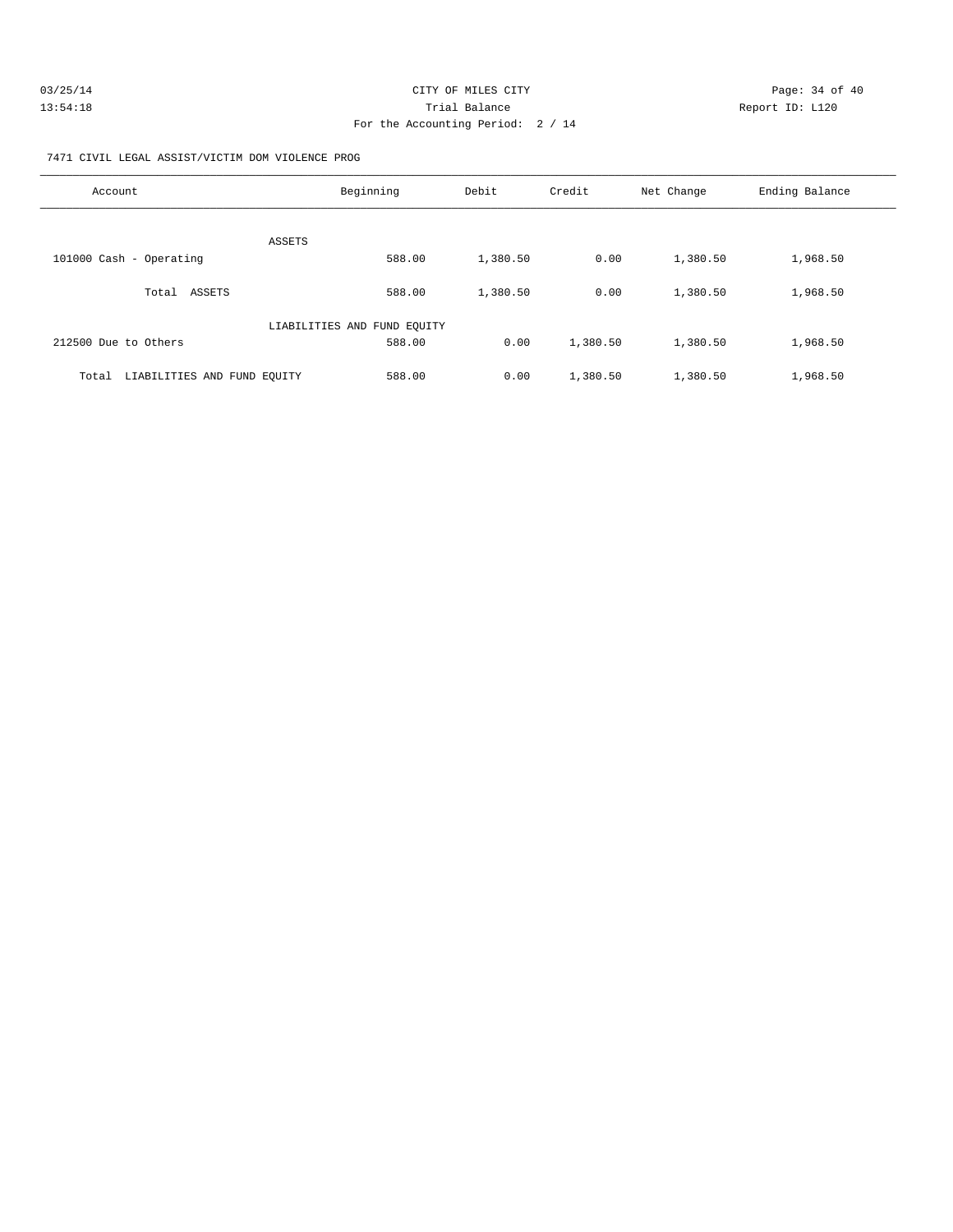| 03/25/14 | CITY OF MILES CITY                | Page: 34 of 40  |
|----------|-----------------------------------|-----------------|
| 13:54:18 | Trial Balance                     | Report ID: L120 |
|          | For the Accounting Period: 2 / 14 |                 |

7471 CIVIL LEGAL ASSIST/VICTIM DOM VIOLENCE PROG

| Account                              | Beginning                   | Debit    | Credit   | Net Change | Ending Balance |
|--------------------------------------|-----------------------------|----------|----------|------------|----------------|
| ASSETS                               |                             |          |          |            |                |
| 101000 Cash - Operating              | 588.00                      | 1,380.50 | 0.00     | 1,380.50   | 1,968.50       |
| ASSETS<br>Total                      | 588.00                      | 1,380.50 | 0.00     | 1,380.50   | 1,968.50       |
|                                      | LIABILITIES AND FUND EQUITY |          |          |            |                |
| 212500 Due to Others                 | 588.00                      | 0.00     | 1,380.50 | 1,380.50   | 1,968.50       |
| LIABILITIES AND FUND EOUITY<br>Total | 588.00                      | 0.00     | 1,380.50 | 1,380.50   | 1,968.50       |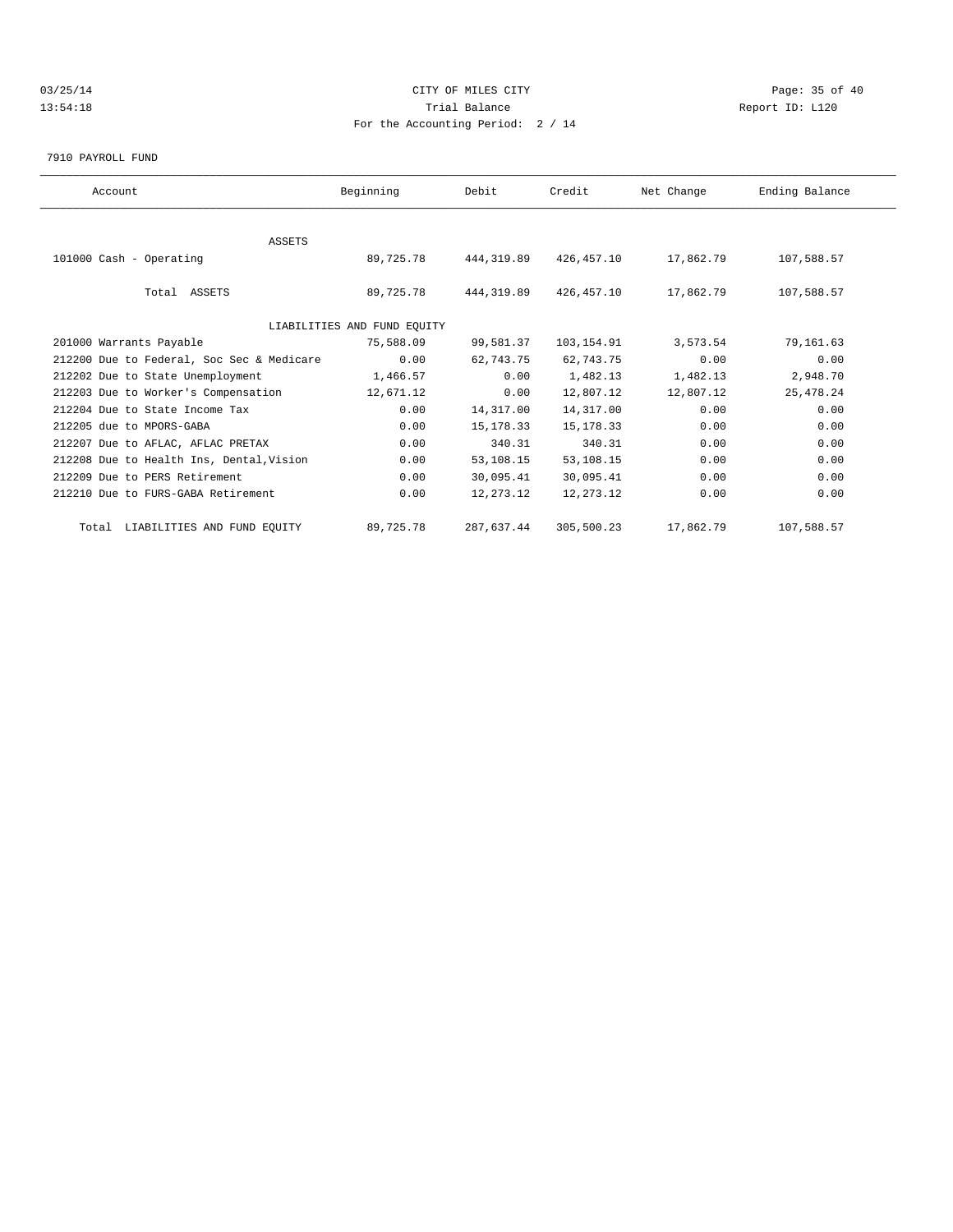## 03/25/14 Page: 35 of 40 13:54:18 Trial Balance Report ID: L120 For the Accounting Period: 2 / 14

7910 PAYROLL FUND

| Account                                   | Beginning                   | Debit      | Credit      | Net Change | Ending Balance |  |
|-------------------------------------------|-----------------------------|------------|-------------|------------|----------------|--|
|                                           |                             |            |             |            |                |  |
| <b>ASSETS</b>                             |                             |            |             |            |                |  |
| 101000 Cash - Operating                   | 89,725.78                   | 444,319.89 | 426,457.10  | 17,862.79  | 107,588.57     |  |
| Total ASSETS                              | 89,725.78                   | 444,319.89 | 426,457.10  | 17,862.79  | 107,588.57     |  |
|                                           | LIABILITIES AND FUND EQUITY |            |             |            |                |  |
| 201000 Warrants Payable                   | 75,588.09                   | 99,581.37  | 103,154.91  | 3,573.54   | 79,161.63      |  |
| 212200 Due to Federal, Soc Sec & Medicare | 0.00                        | 62,743.75  | 62,743.75   | 0.00       | 0.00           |  |
| 212202 Due to State Unemployment          | 1,466.57                    | 0.00       | 1,482.13    | 1,482.13   | 2,948.70       |  |
| 212203 Due to Worker's Compensation       | 12,671.12                   | 0.00       | 12,807.12   | 12,807.12  | 25, 478.24     |  |
| 212204 Due to State Income Tax            | 0.00                        | 14,317.00  | 14,317.00   | 0.00       | 0.00           |  |
| 212205 due to MPORS-GABA                  | 0.00                        | 15, 178.33 | 15, 178. 33 | 0.00       | 0.00           |  |
| 212207 Due to AFLAC, AFLAC PRETAX         | 0.00                        | 340.31     | 340.31      | 0.00       | 0.00           |  |
| 212208 Due to Health Ins, Dental, Vision  | 0.00                        | 53,108.15  | 53,108.15   | 0.00       | 0.00           |  |
| 212209 Due to PERS Retirement             | 0.00                        | 30,095.41  | 30,095.41   | 0.00       | 0.00           |  |
| 212210 Due to FURS-GABA Retirement        | 0.00                        | 12,273.12  | 12, 273. 12 | 0.00       | 0.00           |  |
| Total LIABILITIES AND FUND EQUITY         | 89,725.78                   | 287,637.44 | 305,500.23  | 17,862.79  | 107,588.57     |  |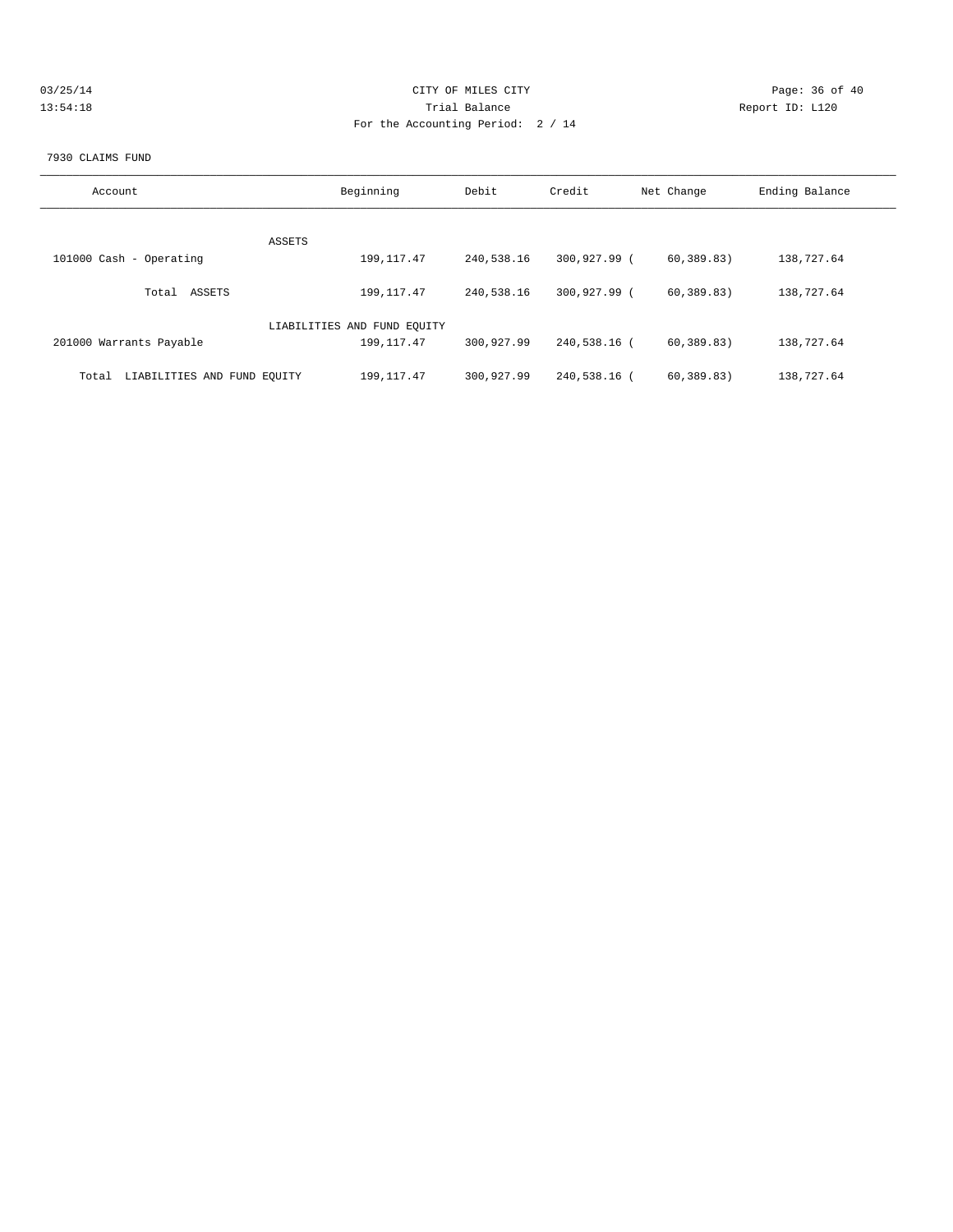| 03/25/14 | CITY OF MILES CITY                | Page: 36 of 40  |
|----------|-----------------------------------|-----------------|
| 13:54:18 | Trial Balance                     | Report ID: L120 |
|          | For the Accounting Period: 2 / 14 |                 |
|          |                                   |                 |

#### 7930 CLAIMS FUND

| Account                              | Beginning                   | Debit      | Credit       | Net Change   | Ending Balance |
|--------------------------------------|-----------------------------|------------|--------------|--------------|----------------|
| ASSETS                               |                             |            |              |              |                |
| 101000 Cash - Operating              | 199, 117.47                 | 240,538.16 | 300,927.99 ( | 60, 389, 83) | 138,727.64     |
| ASSETS<br>Total                      | 199, 117, 47                | 240,538.16 | 300,927.99 ( | 60, 389, 83) | 138,727.64     |
|                                      | LIABILITIES AND FUND EQUITY |            |              |              |                |
| 201000 Warrants Payable              | 199, 117.47                 | 300,927.99 | 240,538.16 ( | 60, 389, 83) | 138,727.64     |
| LIABILITIES AND FUND EQUITY<br>Total | 199, 117.47                 | 300,927.99 | 240,538.16 ( | 60, 389.83)  | 138,727.64     |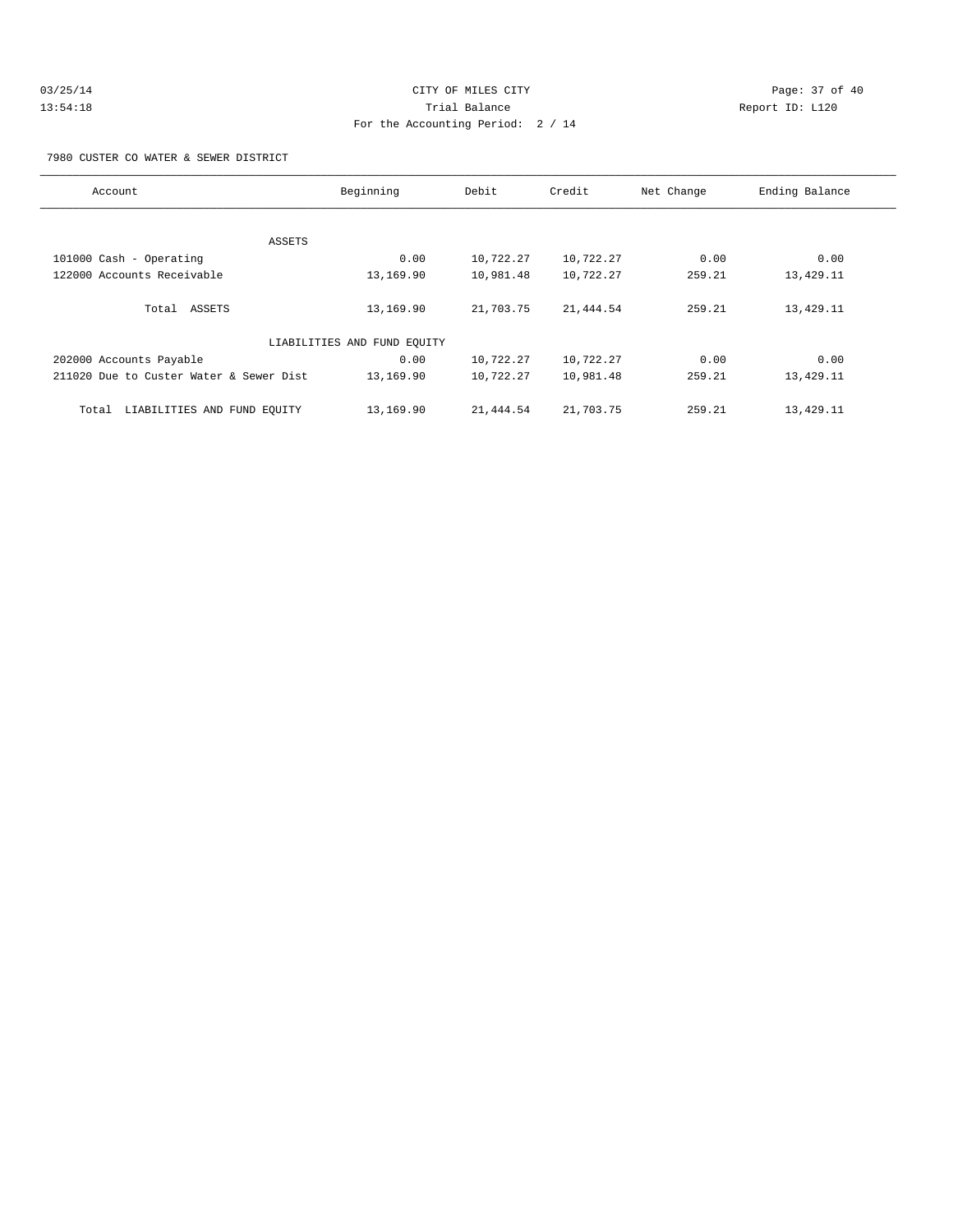| 03/25/14 | CITY OF MILES CITY                | Page: 37 of 40  |
|----------|-----------------------------------|-----------------|
| 13:54:18 | Trial Balance                     | Report ID: L120 |
|          | For the Accounting Period: 2 / 14 |                 |

7980 CUSTER CO WATER & SEWER DISTRICT

| Account                                 | Beginning                   | Debit     | Credit    | Net Change | Ending Balance |
|-----------------------------------------|-----------------------------|-----------|-----------|------------|----------------|
|                                         |                             |           |           |            |                |
| ASSETS                                  |                             |           |           |            |                |
| 101000 Cash - Operating                 | 0.00                        | 10,722.27 | 10,722.27 | 0.00       | 0.00           |
| 122000 Accounts Receivable              | 13,169.90                   | 10,981.48 | 10,722.27 | 259.21     | 13,429.11      |
| Total ASSETS                            | 13,169.90                   | 21,703.75 | 21,444.54 | 259.21     | 13,429.11      |
|                                         | LIABILITIES AND FUND EQUITY |           |           |            |                |
| 202000 Accounts Payable                 | 0.00                        | 10,722.27 | 10,722.27 | 0.00       | 0.00           |
| 211020 Due to Custer Water & Sewer Dist | 13,169.90                   | 10,722.27 | 10,981.48 | 259.21     | 13,429.11      |
| LIABILITIES AND FUND EQUITY<br>Total    | 13,169.90                   | 21,444.54 | 21,703.75 | 259.21     | 13,429.11      |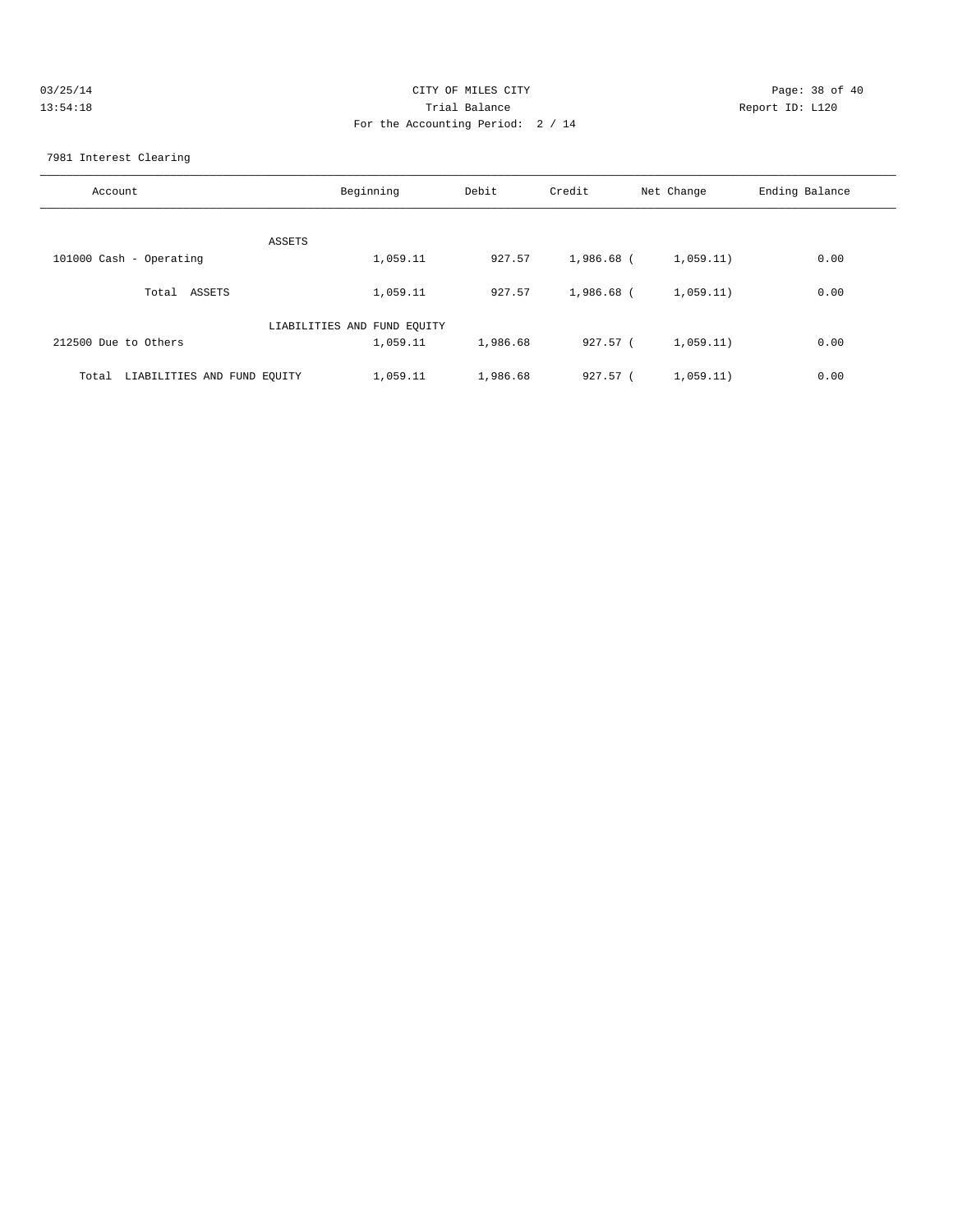| 03/25/14 | CITY OF MILES CITY                | Page: 38 of 40  |
|----------|-----------------------------------|-----------------|
| 13:54:18 | Trial Balance                     | Report ID: L120 |
|          | For the Accounting Period: 2 / 14 |                 |

7981 Interest Clearing

| Account                           | Beginning                   | Debit    | Credit     | Net Change | Ending Balance |
|-----------------------------------|-----------------------------|----------|------------|------------|----------------|
| ASSETS                            |                             |          |            |            |                |
| 101000 Cash - Operating           | 1,059.11                    | 927.57   | 1,986.68 ( | 1,059.11)  | 0.00           |
| Total ASSETS                      | 1,059.11                    | 927.57   | 1,986.68 ( | 1,059.11)  | 0.00           |
|                                   | LIABILITIES AND FUND EQUITY |          |            |            |                |
| 212500 Due to Others              | 1,059.11                    | 1,986.68 | 927.57 (   | 1,059.11)  | 0.00           |
| Total LIABILITIES AND FUND EQUITY | 1,059.11                    | 1,986.68 | $927.57$ ( | 1,059.11)  | 0.00           |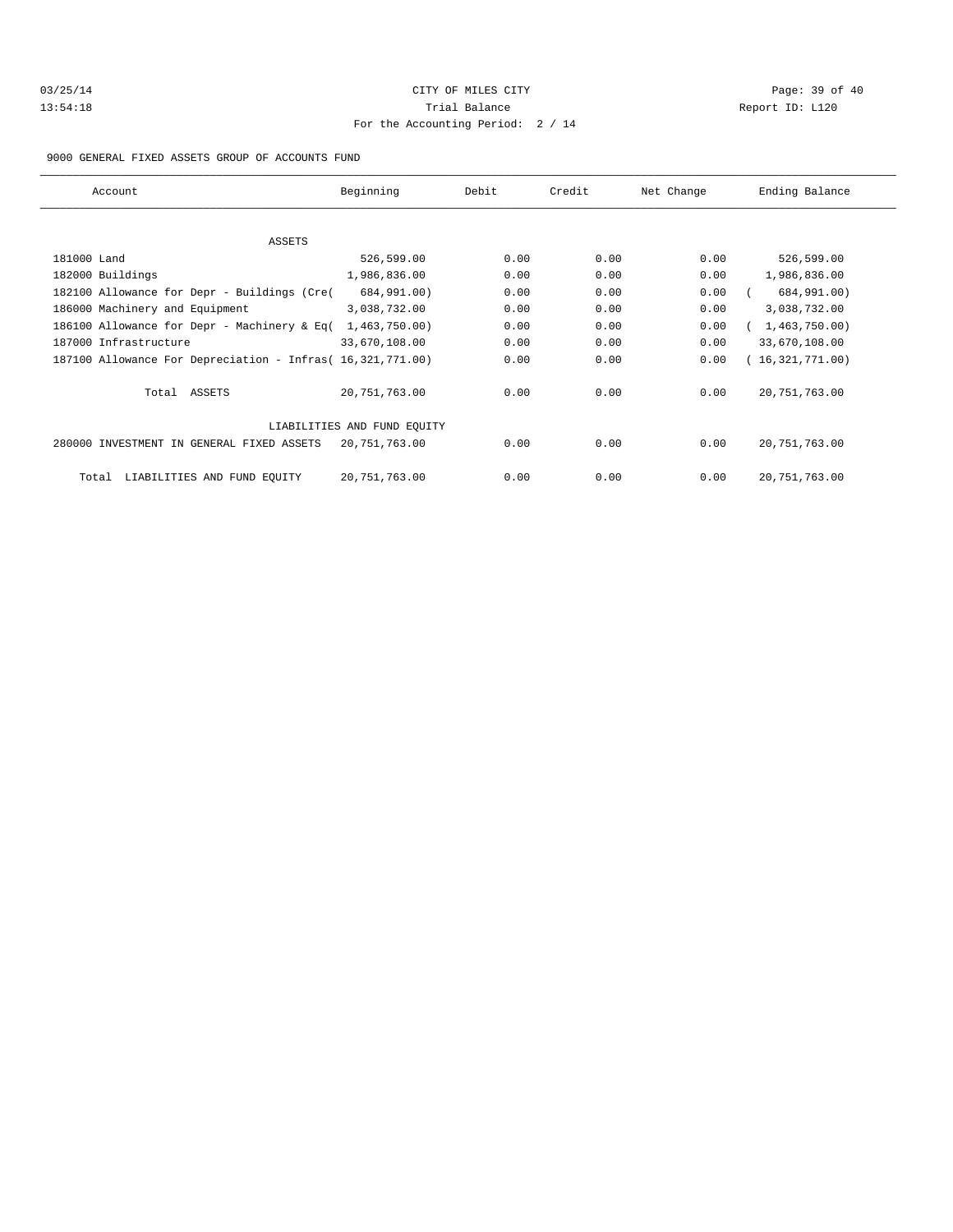| 03/25/14 |  |
|----------|--|
| 13:54:18 |  |

# CITY OF MILES CITY CONTROL CONTROL CONTROL CONTROL CITY Trial Balance and Communicated Report ID: L120 For the Accounting Period: 2 / 14

#### 9000 GENERAL FIXED ASSETS GROUP OF ACCOUNTS FUND

| Account                                                    | Beginning                   | Debit | Credit | Net Change | Ending Balance    |
|------------------------------------------------------------|-----------------------------|-------|--------|------------|-------------------|
| ASSETS                                                     |                             |       |        |            |                   |
| 181000 Land                                                | 526,599.00                  | 0.00  | 0.00   | 0.00       | 526,599.00        |
| 182000 Buildings                                           | 1,986,836.00                | 0.00  | 0.00   | 0.00       | 1,986,836.00      |
| 182100 Allowance for Depr - Buildings (Cre(                | 684,991.00)                 | 0.00  | 0.00   | 0.00       | 684,991.00)       |
| 186000 Machinery and Equipment                             | 3,038,732.00                | 0.00  | 0.00   | 0.00       | 3,038,732.00      |
| 186100 Allowance for Depr - Machinery & Eq(                | 1,463,750.00                | 0.00  | 0.00   | 0.00       | (1, 463, 750.00)  |
| 187000 Infrastructure                                      | 33,670,108.00               | 0.00  | 0.00   | 0.00       | 33,670,108.00     |
| 187100 Allowance For Depreciation - Infras( 16,321,771.00) |                             | 0.00  | 0.00   | 0.00       | (16, 321, 771.00) |
| Total ASSETS                                               | 20,751,763.00               | 0.00  | 0.00   | 0.00       | 20,751,763.00     |
|                                                            | LIABILITIES AND FUND EQUITY |       |        |            |                   |
| 280000 INVESTMENT IN GENERAL FIXED ASSETS                  | 20,751,763.00               | 0.00  | 0.00   | 0.00       | 20,751,763.00     |
| LIABILITIES AND FUND EOUITY<br>Total                       | 20,751,763.00               | 0.00  | 0.00   | 0.00       | 20, 751, 763.00   |